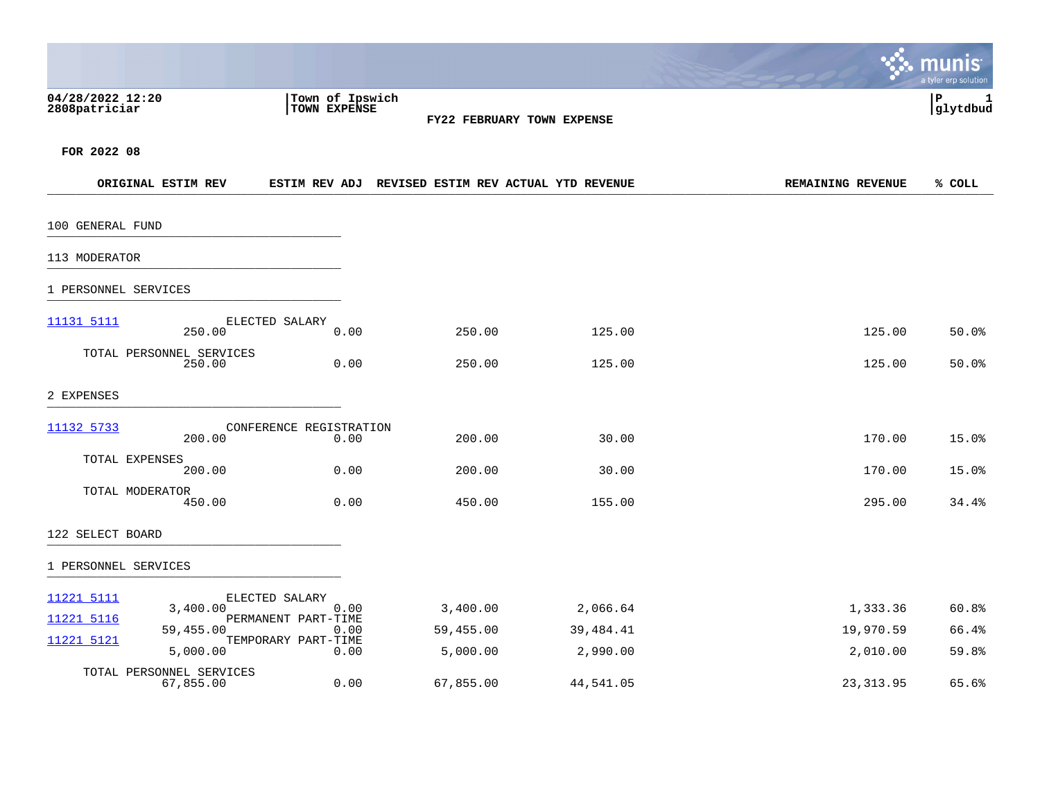|                                   |                                       |                                 |           |                                                    |                          | munis<br>a tyler erp solution |
|-----------------------------------|---------------------------------------|---------------------------------|-----------|----------------------------------------------------|--------------------------|-------------------------------|
| 04/28/2022 12:20<br>2808patriciar |                                       | Town of Ipswich<br>TOWN EXPENSE |           | FY22 FEBRUARY TOWN EXPENSE                         |                          | ∣₽<br>1<br>glytdbud           |
| FOR 2022 08                       |                                       |                                 |           |                                                    |                          |                               |
|                                   | ORIGINAL ESTIM REV                    |                                 |           | ESTIM REV ADJ REVISED ESTIM REV ACTUAL YTD REVENUE | <b>REMAINING REVENUE</b> | % COLL                        |
| 100 GENERAL FUND                  |                                       |                                 |           |                                                    |                          |                               |
| 113 MODERATOR                     |                                       |                                 |           |                                                    |                          |                               |
| 1 PERSONNEL SERVICES              |                                       |                                 |           |                                                    |                          |                               |
| <u>11131 5111</u>                 | 250.00                                | ELECTED SALARY<br>0.00          | 250.00    | 125.00                                             | 125.00                   | 50.0%                         |
|                                   | TOTAL PERSONNEL SERVICES<br>250.00    | 0.00                            | 250.00    | 125.00                                             | 125.00                   | 50.0%                         |
| 2 EXPENSES                        |                                       |                                 |           |                                                    |                          |                               |
| 11132 5733                        | 200.00                                | CONFERENCE REGISTRATION<br>0.00 | 200.00    | 30.00                                              | 170.00                   | 15.0%                         |
|                                   | TOTAL EXPENSES<br>200.00              | 0.00                            | 200.00    | 30.00                                              | 170.00                   | 15.0%                         |
|                                   | TOTAL MODERATOR<br>450.00             | 0.00                            | 450.00    | 155.00                                             | 295.00                   | 34.4%                         |
| 122 SELECT BOARD                  |                                       |                                 |           |                                                    |                          |                               |
| 1 PERSONNEL SERVICES              |                                       |                                 |           |                                                    |                          |                               |
| 11221 5111                        | 3,400.00                              | ELECTED SALARY<br>0.00          | 3,400.00  | 2,066.64                                           | 1,333.36                 | 60.8%                         |
| 11221 5116                        | 59,455.00                             | PERMANENT PART-TIME<br>0.00     | 59,455.00 | 39,484.41                                          | 19,970.59                | 66.4%                         |
| 11221 5121                        | 5,000.00                              | TEMPORARY PART-TIME<br>0.00     | 5,000.00  | 2,990.00                                           | 2,010.00                 | 59.8%                         |
|                                   | TOTAL PERSONNEL SERVICES<br>67,855.00 | 0.00                            | 67,855.00 | 44,541.05                                          | 23, 313.95               | 65.6%                         |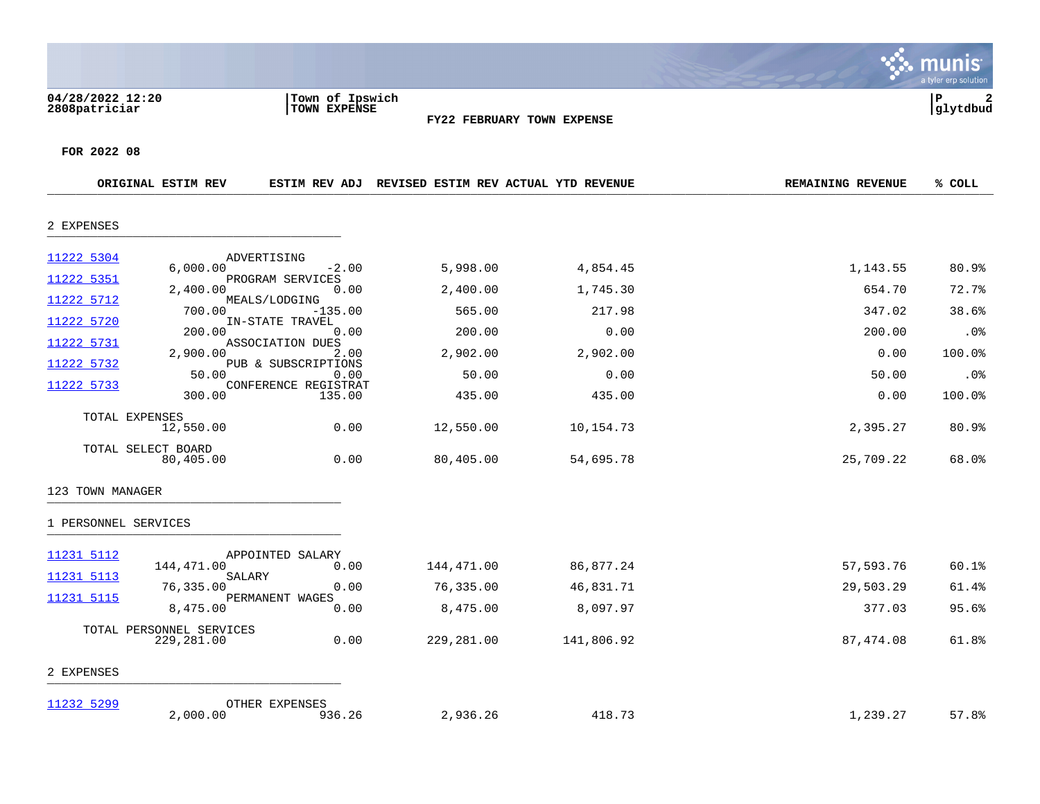|                                                      |                                                                                         |                                                                                                             |                                                   |                                                  |                                                | a tyler erp solution                       |
|------------------------------------------------------|-----------------------------------------------------------------------------------------|-------------------------------------------------------------------------------------------------------------|---------------------------------------------------|--------------------------------------------------|------------------------------------------------|--------------------------------------------|
| 04/28/2022 12:20<br>2808patriciar                    |                                                                                         | Town of Ipswich<br>TOWN EXPENSE                                                                             |                                                   | FY22 FEBRUARY TOWN EXPENSE                       |                                                | lР<br>glytdbud                             |
| FOR 2022 08                                          | ORIGINAL ESTIM REV                                                                      | ESTIM REV ADJ                                                                                               |                                                   | REVISED ESTIM REV ACTUAL YTD REVENUE             | <b>REMAINING REVENUE</b>                       | % COLL                                     |
| 2 EXPENSES                                           |                                                                                         |                                                                                                             |                                                   |                                                  |                                                |                                            |
| 11222 5304<br>11222 5351<br>11222 5712<br>11222 5720 | 6.000.00<br>2,400.00<br>700.00<br>200.00                                                | ADVERTISING<br>$-2.00$<br>PROGRAM SERVICES<br>0.00<br>MEALS/LODGING<br>$-135.00$<br>IN-STATE TRAVEL<br>0.00 | 5,998.00<br>2,400.00<br>565.00<br>200.00          | 4,854.45<br>1,745.30<br>217.98<br>0.00           | 1,143.55<br>654.70<br>347.02<br>200.00         | 80.9%<br>72.7%<br>38.6%<br>.0 <sub>8</sub> |
| 11222 5731<br>11222 5732<br>11222 5733               | 2,900.00<br>50.00<br>300.00                                                             | ASSOCIATION DUES<br>2.00<br>PUB & SUBSCRIPTIONS<br>0.00<br>CONFERENCE REGISTRAT<br>135.00                   | 2,902.00<br>50.00<br>435.00                       | 2,902.00<br>0.00<br>435.00                       | 0.00<br>50.00<br>0.00                          | 100.0%<br>.0%<br>100.0%                    |
| TOTAL EXPENSES<br>TOTAL SELECT BOARD                 | 12,550.00<br>80,405.00                                                                  | 0.00<br>0.00                                                                                                | 12,550.00<br>80,405.00                            | 10,154.73<br>54,695.78                           | 2,395.27<br>25,709.22                          | 80.9%<br>68.0%                             |
| 123 TOWN MANAGER                                     |                                                                                         |                                                                                                             |                                                   |                                                  |                                                |                                            |
| 1 PERSONNEL SERVICES                                 |                                                                                         |                                                                                                             |                                                   |                                                  |                                                |                                            |
| 11231 5112<br>11231 5113<br>11231 5115               | 144,471.00<br>SALARY<br>76,335.00<br>8,475.00<br>TOTAL PERSONNEL SERVICES<br>229,281.00 | APPOINTED SALARY<br>0.00<br>0.00<br>PERMANENT WAGES<br>0.00<br>0.00                                         | 144,471.00<br>76,335.00<br>8,475.00<br>229,281.00 | 86,877.24<br>46,831.71<br>8,097.97<br>141,806.92 | 57,593.76<br>29,503.29<br>377.03<br>87, 474.08 | 60.1%<br>61.4%<br>95.6%<br>61.8%           |
| 2 EXPENSES                                           |                                                                                         |                                                                                                             |                                                   |                                                  |                                                |                                            |
| 11232 5299                                           | 2,000.00                                                                                | OTHER EXPENSES<br>936.26                                                                                    | 2,936.26                                          | 418.73                                           | 1,239.27                                       | 57.8%                                      |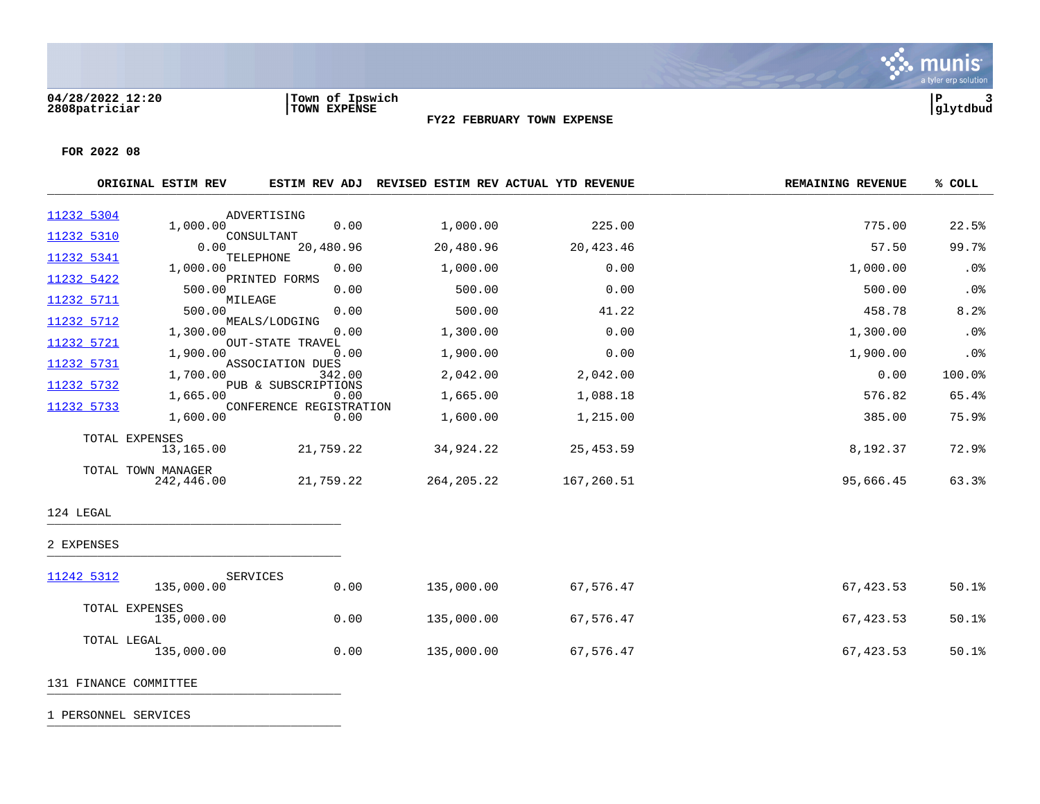

**FOR 2022 08**

|            | ORIGINAL ESTIM REV           | <b>ESTIM REV ADJ</b>            | REVISED ESTIM REV ACTUAL YTD REVENUE |            | <b>REMAINING REVENUE</b> | % COLL     |
|------------|------------------------------|---------------------------------|--------------------------------------|------------|--------------------------|------------|
| 11232 5304 |                              | ADVERTISING                     |                                      |            |                          |            |
| 11232 5310 | 1,000.00                     | 0.00<br>CONSULTANT              | 1,000.00                             | 225.00     | 775.00                   | 22.5%      |
| 11232 5341 | 0.00                         | 20,480.96<br>TELEPHONE          | 20,480.96                            | 20,423.46  | 57.50                    | 99.7%      |
|            | 1,000.00                     | 0.00                            | 1,000.00                             | 0.00       | 1,000.00                 | .0%        |
| 11232 5422 | 500.00                       | PRINTED FORMS<br>0.00           | 500.00                               | 0.00       | 500.00                   | .0%        |
| 11232 5711 | 500.00                       | MILEAGE<br>0.00                 | 500.00                               | 41.22      | 458.78                   | 8.2%       |
| 11232 5712 | 1,300.00                     | MEALS/LODGING<br>0.00           | 1,300.00                             | 0.00       | 1,300.00                 | .0%        |
| 11232 5721 | 1,900.00                     | <b>OUT-STATE TRAVEL</b><br>0.00 | 1,900.00                             | 0.00       | 1,900.00                 | .0%        |
| 11232 5731 | 1,700.00                     | ASSOCIATION DUES<br>342.00      | 2,042.00                             | 2,042.00   | 0.00                     | 100.0%     |
| 11232 5732 | 1,665.00                     | PUB & SUBSCRIPTIONS<br>0.00     | 1,665.00                             | 1,088.18   | 576.82                   | 65.4%      |
| 11232 5733 | 1,600.00                     | CONFERENCE REGISTRATION<br>0.00 | 1,600.00                             | 1,215.00   | 385.00                   | 75.9%      |
|            |                              |                                 |                                      |            |                          |            |
|            | TOTAL EXPENSES<br>13,165.00  | 21,759.22                       | 34,924.22                            | 25, 453.59 | 8,192.37                 | 72.9%      |
|            | TOTAL TOWN MANAGER           |                                 |                                      |            |                          |            |
|            | 242,446.00                   | 21,759.22                       | 264, 205. 22                         | 167,260.51 | 95,666.45                | 63.3%      |
| 124 LEGAL  |                              |                                 |                                      |            |                          |            |
| 2 EXPENSES |                              |                                 |                                      |            |                          |            |
| 11242 5312 |                              | <b>SERVICES</b>                 |                                      |            |                          |            |
|            | 135,000.00                   | 0.00                            | 135,000.00                           | 67,576.47  | 67, 423.53               | 50.1%      |
|            | TOTAL EXPENSES<br>135,000.00 | 0.00                            | 135,000.00                           | 67,576.47  | 67,423.53                | $50.1$ $%$ |
|            | TOTAL LEGAL<br>135,000.00    | 0.00                            | 135,000.00                           | 67,576.47  | 67,423.53                | 50.1%      |

131 FINANCE COMMITTEE **Example 20** FINANCE **COMMITTEE**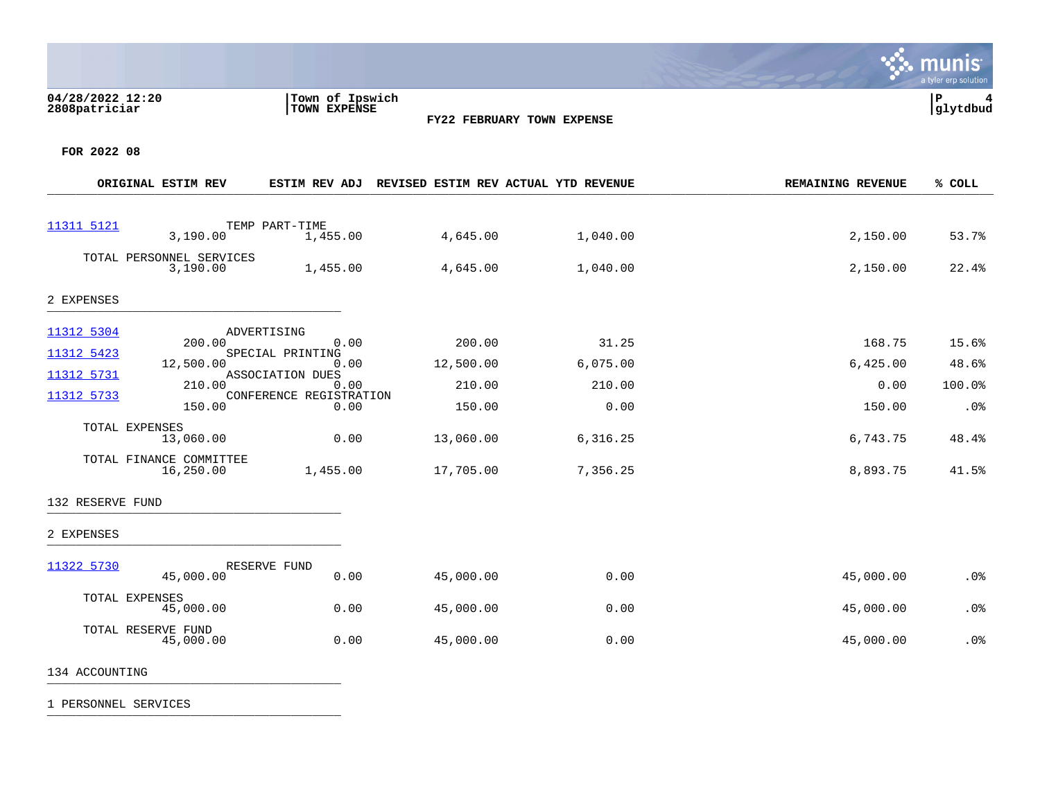### **04/28/2022 12:20 |Town of Ipswich |P 4 2808patriciar |TOWN EXPENSE |glytdbud**



 $\mathbf{\ddot{\cdot}}$  munis

a tyler erp solution

**FOR 2022 08**

|                          | ORIGINAL ESTIM REV                   | <b>ESTIM REV ADJ</b>                                | REVISED ESTIM REV ACTUAL YTD REVENUE |          | <b>REMAINING REVENUE</b> | % COLL |
|--------------------------|--------------------------------------|-----------------------------------------------------|--------------------------------------|----------|--------------------------|--------|
|                          |                                      |                                                     |                                      |          |                          |        |
| 11311 5121               | 3,190.00                             | TEMP PART-TIME<br>1,455.00                          | 4,645.00                             | 1,040.00 | 2,150.00                 | 53.7%  |
|                          | TOTAL PERSONNEL SERVICES<br>3,190.00 | 1,455.00                                            | 4,645.00                             | 1,040.00 | 2,150.00                 | 22.4%  |
| 2 EXPENSES               |                                      |                                                     |                                      |          |                          |        |
| 11312 5304               |                                      | ADVERTISING                                         |                                      |          |                          |        |
| 11312 5423               | 200.00                               | 0.00<br>SPECIAL PRINTING                            | 200.00                               | 31.25    | 168.75                   | 15.6%  |
|                          | 12,500.00                            | 0.00                                                | 12,500.00                            | 6,075.00 | 6,425.00                 | 48.6%  |
| 11312 5731<br>11312 5733 | 210.00                               | ASSOCIATION DUES<br>0.00<br>CONFERENCE REGISTRATION | 210.00                               | 210.00   | 0.00                     | 100.0% |
|                          | 150.00                               | 0.00                                                | 150.00                               | 0.00     | 150.00                   | .0%    |
|                          | TOTAL EXPENSES<br>13,060.00          | 0.00                                                | 13,060.00                            | 6,316.25 | 6,743.75                 | 48.4%  |
|                          | TOTAL FINANCE COMMITTEE<br>16,250.00 | 1,455.00                                            | 17,705.00                            | 7,356.25 | 8,893.75                 | 41.5%  |
| 132 RESERVE FUND         |                                      |                                                     |                                      |          |                          |        |
| 2 EXPENSES               |                                      |                                                     |                                      |          |                          |        |
| 11322 5730               |                                      | RESERVE FUND                                        |                                      |          |                          |        |
|                          | 45,000.00                            | 0.00                                                | 45,000.00                            | 0.00     | 45,000.00                | .0%    |
|                          | TOTAL EXPENSES<br>45,000.00          | 0.00                                                | 45,000.00                            | 0.00     | 45,000.00                | .0%    |
|                          | TOTAL RESERVE FUND<br>45,000.00      | 0.00                                                | 45,000.00                            | 0.00     | 45,000.00                | .0%    |

1 PERSONNEL SERVICES \_\_\_\_\_\_\_\_\_\_\_\_\_\_\_\_\_\_\_\_\_\_\_\_\_\_\_\_\_\_\_\_\_\_\_\_\_\_\_\_\_

134 ACCOUNTING \_\_\_\_\_\_\_\_\_\_\_\_\_\_\_\_\_\_\_\_\_\_\_\_\_\_\_\_\_\_\_\_\_\_\_\_\_\_\_\_\_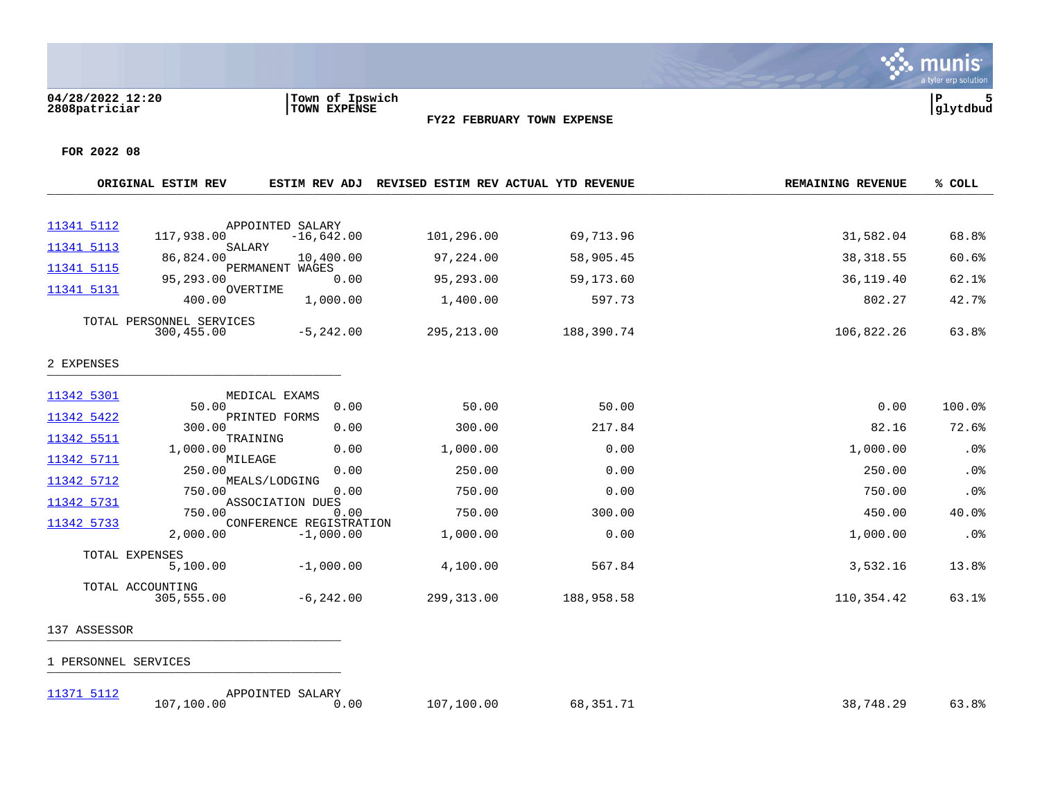**04/28/2022 12:20 |Town of Ipswich |P 5**



**FOR 2022 08**

|            | ORIGINAL ESTIM REV             | ESTIM REV ADJ                          |            | REVISED ESTIM REV ACTUAL YTD REVENUE | <b>REMAINING REVENUE</b> | % COLL |
|------------|--------------------------------|----------------------------------------|------------|--------------------------------------|--------------------------|--------|
|            |                                |                                        |            |                                      |                          |        |
| 11341 5112 | 117,938.00                     | APPOINTED SALARY<br>$-16,642.00$       | 101,296.00 | 69,713.96                            | 31,582.04                | 68.8%  |
| 11341 5113 | SALARY<br>86,824.00            | 10,400.00                              | 97,224.00  | 58,905.45                            | 38, 318.55               | 60.6%  |
| 11341 5115 | 95,293.00                      | PERMANENT WAGES<br>0.00                | 95,293.00  | 59,173.60                            | 36,119.40                | 62.1%  |
| 11341 5131 | OVERTIME<br>400.00             | 1,000.00                               | 1,400.00   | 597.73                               | 802.27                   | 42.7%  |
|            | TOTAL PERSONNEL SERVICES       |                                        |            |                                      |                          |        |
|            | 300,455.00                     | $-5, 242.00$                           | 295,213.00 | 188,390.74                           | 106,822.26               | 63.8%  |
| 2 EXPENSES |                                |                                        |            |                                      |                          |        |
| 11342 5301 |                                | MEDICAL EXAMS                          |            |                                      |                          |        |
| 11342 5422 | 50.00                          | 0.00<br>PRINTED FORMS                  | 50.00      | 50.00                                | 0.00                     | 100.0% |
| 11342 5511 | 300.00                         | 0.00<br>TRAINING                       | 300.00     | 217.84                               | 82.16                    | 72.6%  |
|            | 1,000.00                       | 0.00                                   | 1,000.00   | 0.00                                 | 1,000.00                 | .0%    |
| 11342 5711 | MILEAGE<br>250.00              | 0.00                                   | 250.00     | 0.00                                 | 250.00                   | .0%    |
| 11342 5712 | 750.00                         | MEALS/LODGING<br>0.00                  | 750.00     | 0.00                                 | 750.00                   | .0%    |
| 11342 5731 | 750.00                         | ASSOCIATION DUES<br>0.00               | 750.00     | 300.00                               | 450.00                   | 40.0%  |
| 11342 5733 | 2,000.00                       | CONFERENCE REGISTRATION<br>$-1,000.00$ | 1,000.00   | 0.00                                 | 1,000.00                 | .0%    |
|            | TOTAL EXPENSES<br>5,100.00     | $-1,000.00$                            | 4,100.00   | 567.84                               | 3,532.16                 | 13.8%  |
|            | TOTAL ACCOUNTING<br>305,555.00 | $-6, 242.00$                           | 299,313.00 | 188,958.58                           | 110,354.42               | 63.1%  |

# 137 ASSESSOR \_\_\_\_\_\_\_\_\_\_\_\_\_\_\_\_\_\_\_\_\_\_\_\_\_\_\_\_\_\_\_\_\_\_\_\_\_\_\_\_\_

| 11371 5112 | APPOINTED SALARY |      |            |           |           |       |
|------------|------------------|------|------------|-----------|-----------|-------|
|            | 107,100.00       | J.OO | 107,100.00 | 68,351.71 | 38,748.29 | 63.8% |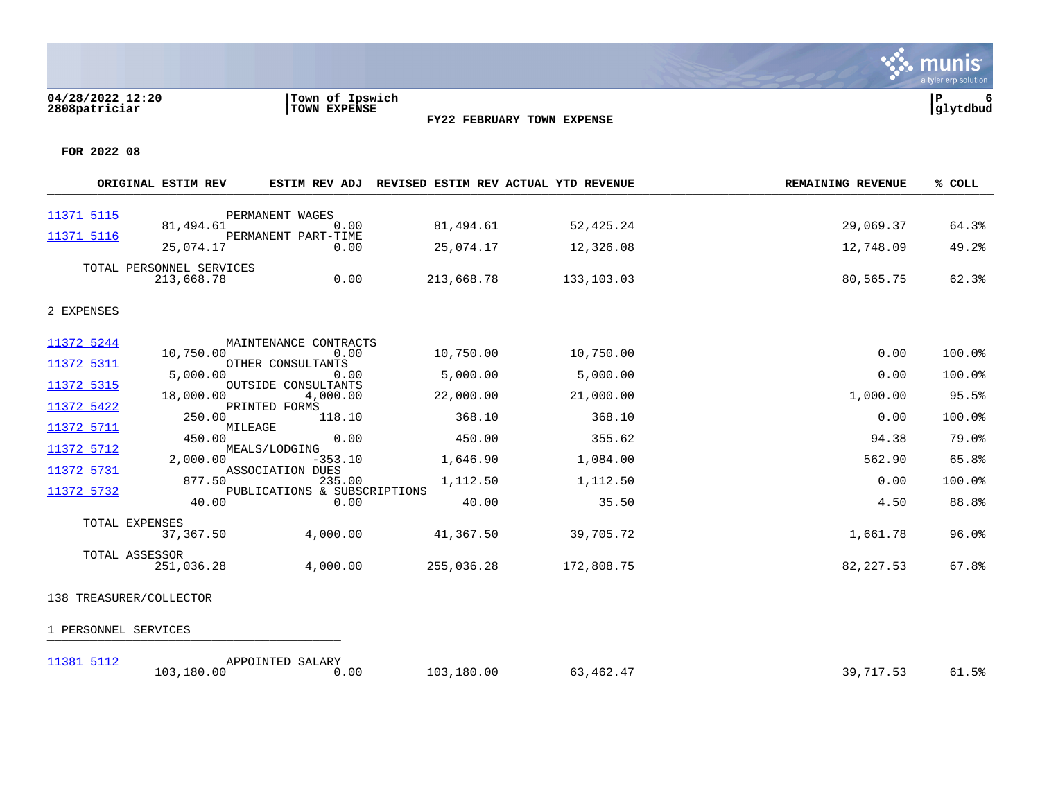

**FOR 2022 08**

|            | ORIGINAL ESTIM REV                     | ESTIM REV ADJ                   |            | REVISED ESTIM REV ACTUAL YTD REVENUE | <b>REMAINING REVENUE</b> | % COLL |
|------------|----------------------------------------|---------------------------------|------------|--------------------------------------|--------------------------|--------|
| 11371 5115 |                                        | PERMANENT WAGES                 |            |                                      |                          |        |
|            | 81,494.61                              | 0.00                            | 81,494.61  | 52,425.24                            | 29,069.37                | 64.3%  |
| 11371 5116 | 25,074.17                              | PERMANENT PART-TIME<br>0.00     | 25,074.17  | 12,326.08                            | 12,748.09                | 49.2%  |
|            | TOTAL PERSONNEL SERVICES<br>213,668.78 | 0.00                            | 213,668.78 | 133,103.03                           | 80,565.75                | 62.3%  |
| 2 EXPENSES |                                        |                                 |            |                                      |                          |        |
| 11372 5244 |                                        | MAINTENANCE CONTRACTS           |            |                                      |                          |        |
| 11372 5311 | 10,750.00                              | 0.00<br>OTHER CONSULTANTS       | 10,750.00  | 10,750.00                            | 0.00                     | 100.0% |
|            | 5,000.00                               | 0.00                            | 5,000.00   | 5,000.00                             | 0.00                     | 100.0% |
| 11372 5315 | 18,000.00                              | OUTSIDE CONSULTANTS<br>4,000.00 | 22,000.00  | 21,000.00                            | 1,000.00                 | 95.5%  |
| 11372 5422 | 250.00                                 | PRINTED FORMS<br>118.10         | 368.10     | 368.10                               | 0.00                     | 100.0% |
| 11372 5711 | MILEAGE<br>450.00                      | 0.00                            | 450.00     | 355.62                               | 94.38                    | 79.0%  |
| 11372 5712 | 2,000.00                               | MEALS/LODGING<br>$-353.10$      | 1,646.90   | 1,084.00                             | 562.90                   | 65.8%  |
| 11372 5731 | 877.50                                 | ASSOCIATION DUES<br>235.00      | 1,112.50   | 1,112.50                             | 0.00                     | 100.0% |
| 11372 5732 |                                        | PUBLICATIONS & SUBSCRIPTIONS    |            |                                      |                          |        |
|            | 40.00                                  | 0.00                            | 40.00      | 35.50                                | 4.50                     | 88.8%  |
|            | TOTAL EXPENSES<br>37,367.50            | 4,000.00                        | 41,367.50  | 39,705.72                            | 1,661.78                 | 96.0%  |
|            | TOTAL ASSESSOR<br>251,036.28           | 4,000.00                        | 255,036.28 | 172,808.75                           | 82,227.53                | 67.8%  |
|            | 138 TREASURER/COLLECTOR                |                                 |            |                                      |                          |        |
|            |                                        |                                 |            |                                      |                          |        |

| 11381 5112 | APPOINTED SALARY |      |            |           |           |       |
|------------|------------------|------|------------|-----------|-----------|-------|
|            | 103,180.00       | J.OO | 103,180.00 | 63,462.47 | 39,717.53 | 61.5% |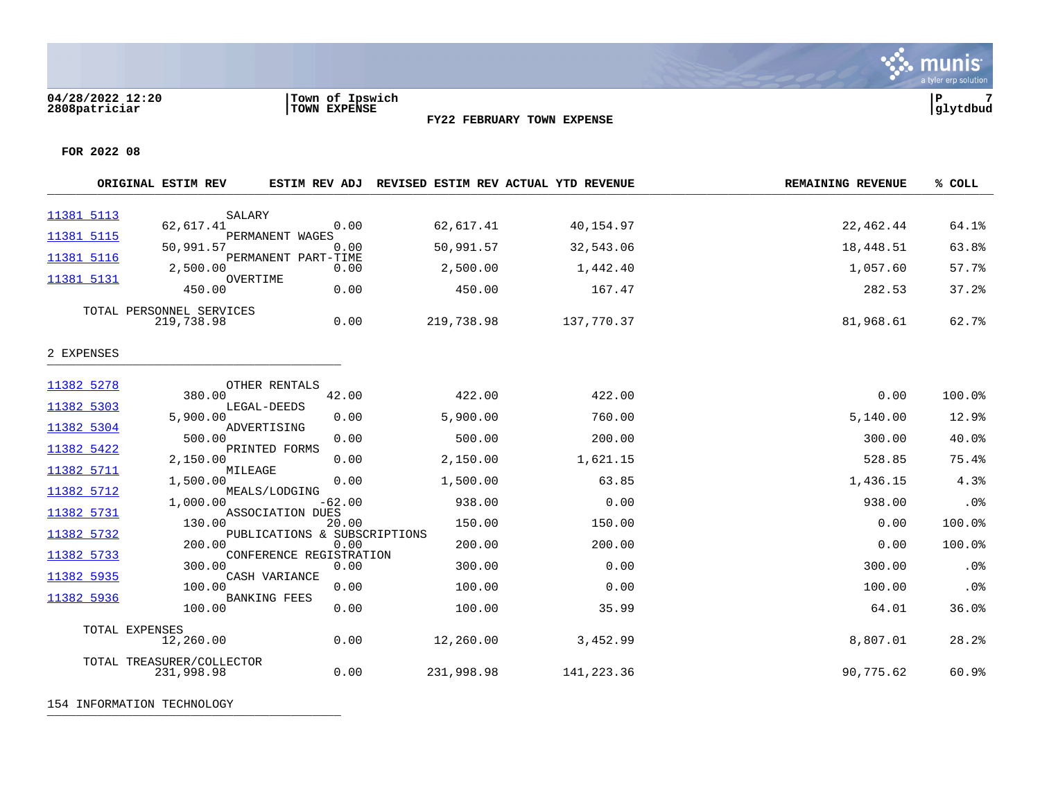

**FOR 2022 08**

|            | ORIGINAL ESTIM REV                      | <b>ESTIM REV ADJ</b>                 | REVISED ESTIM REV ACTUAL YTD REVENUE |            | <b>REMAINING REVENUE</b> | % COLL |
|------------|-----------------------------------------|--------------------------------------|--------------------------------------|------------|--------------------------|--------|
| 11381 5113 | SALARY                                  |                                      |                                      |            |                          |        |
| 11381 5115 | 62,617.41                               | 0.00<br>PERMANENT WAGES              | 62,617.41                            | 40,154.97  | 22,462.44                | 64.1%  |
|            | 50,991.57                               | 0.00                                 | 50,991.57                            | 32,543.06  | 18,448.51                | 63.8%  |
| 11381 5116 | 2,500.00                                | PERMANENT PART-TIME<br>0.00          | 2,500.00                             | 1,442.40   | 1,057.60                 | 57.7%  |
| 11381 5131 | 450.00                                  | OVERTIME<br>0.00                     | 450.00                               | 167.47     | 282.53                   | 37.2%  |
|            | TOTAL PERSONNEL SERVICES<br>219,738.98  | 0.00                                 | 219,738.98                           | 137,770.37 | 81,968.61                | 62.7%  |
| 2 EXPENSES |                                         |                                      |                                      |            |                          |        |
| 11382 5278 | 380.00                                  | OTHER RENTALS<br>42.00               | 422.00                               | 422.00     | 0.00                     | 100.0% |
| 11382 5303 | 5,900.00                                | LEGAL-DEEDS<br>0.00                  | 5,900.00                             | 760.00     | 5,140.00                 | 12.9%  |
| 11382 5304 |                                         | ADVERTISING                          |                                      |            |                          |        |
| 11382 5422 | 500.00                                  | 0.00<br>PRINTED FORMS                | 500.00                               | 200.00     | 300.00                   | 40.0%  |
| 11382 5711 | 2,150.00<br>MILEAGE                     | 0.00                                 | 2,150.00                             | 1,621.15   | 528.85                   | 75.4%  |
| 11382 5712 | 1,500.00                                | 0.00<br>MEALS/LODGING                | 1,500.00                             | 63.85      | 1,436.15                 | 4.3%   |
| 11382 5731 | 1,000.00                                | $-62.00$<br>ASSOCIATION DUES         | 938.00                               | 0.00       | 938.00                   | .0%    |
|            | 130.00                                  | 20.00                                | 150.00                               | 150.00     | 0.00                     | 100.0% |
| 11382 5732 | 200.00                                  | PUBLICATIONS & SUBSCRIPTIONS<br>0.00 | 200.00                               | 200.00     | 0.00                     | 100.0% |
| 11382 5733 | 300.00                                  | CONFERENCE REGISTRATION<br>0.00      | 300.00                               | 0.00       | 300.00                   | .0%    |
| 11382 5935 | 100.00                                  | CASH VARIANCE<br>0.00                | 100.00                               | 0.00       | 100.00                   | .0%    |
| 11382 5936 | 100.00                                  | <b>BANKING FEES</b><br>0.00          | 100.00                               | 35.99      | 64.01                    | 36.0%  |
|            | TOTAL EXPENSES<br>12,260.00             | 0.00                                 | 12,260.00                            | 3,452.99   | 8,807.01                 | 28.2%  |
|            | TOTAL TREASURER/COLLECTOR<br>231,998.98 | 0.00                                 | 231,998.98                           | 141,223.36 | 90,775.62                | 60.9%  |

**FY22 FEBRUARY TOWN EXPENSE**

154 INFORMATION TECHNOLOGY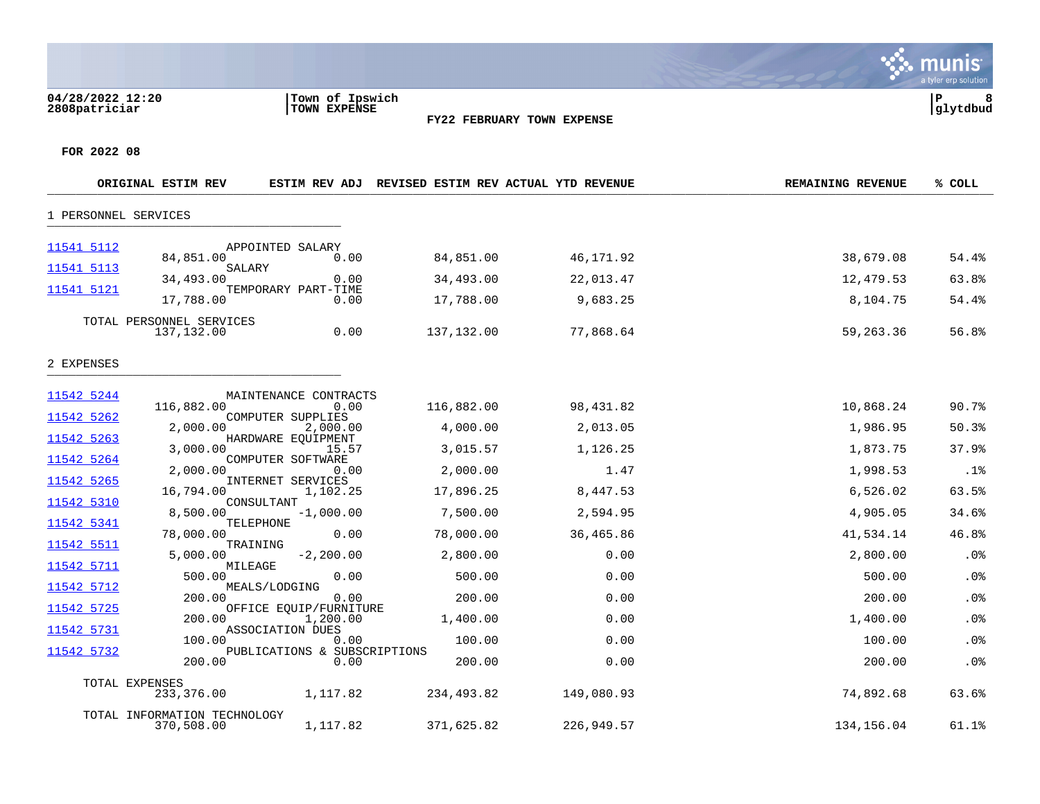### **04/28/2022 12:20 |Town of Ipswich |P 8 2808patriciar |TOWN EXPENSE |glytdbud**



a tyler erp solution

**∵∴** munis

|                          | ORIGINAL ESTIM REV                         |                                                        | ESTIM REV ADJ REVISED ESTIM REV ACTUAL YTD REVENUE |            | <b>REMAINING REVENUE</b> | % COLL |
|--------------------------|--------------------------------------------|--------------------------------------------------------|----------------------------------------------------|------------|--------------------------|--------|
| 1 PERSONNEL SERVICES     |                                            |                                                        |                                                    |            |                          |        |
| 11541 5112               | 84,851.00                                  | APPOINTED SALARY<br>0.00                               | 84,851.00                                          | 46,171.92  | 38,679.08                | 54.4%  |
| 11541 5113               | SALARY<br>34,493.00                        | 0.00                                                   | 34,493.00                                          | 22,013.47  | 12,479.53                | 63.8%  |
| 11541 5121               | 17,788.00                                  | TEMPORARY PART-TIME<br>0.00                            | 17,788.00                                          | 9,683.25   | 8,104.75                 | 54.4%  |
|                          | TOTAL PERSONNEL SERVICES<br>137,132.00     | 0.00                                                   | 137,132.00                                         | 77,868.64  | 59,263.36                | 56.8%  |
| 2 EXPENSES               |                                            |                                                        |                                                    |            |                          |        |
| 11542 5244               | 116,882.00                                 | MAINTENANCE CONTRACTS<br>0.00                          | 116,882.00                                         | 98,431.82  | 10,868.24                | 90.7%  |
| 11542 5262               | 2,000.00                                   | COMPUTER SUPPLIES<br>2,000.00                          | 4,000.00                                           | 2,013.05   | 1,986.95                 | 50.3%  |
| 11542 5263               | 3,000.00                                   | HARDWARE EOUIPMENT<br>15.57                            | 3,015.57                                           | 1,126.25   | 1,873.75                 | 37.9%  |
| 11542 5264               | 2,000.00                                   | COMPUTER SOFTWARE<br>0.00                              | 2,000.00                                           | 1.47       | 1,998.53                 | .1%    |
| 11542 5265               | 16,794.00                                  | INTERNET SERVICES<br>1,102.25                          | 17,896.25                                          | 8,447.53   | 6,526.02                 | 63.5%  |
| 11542 5310               | 8,500.00                                   | CONSULTANT<br>$-1,000.00$                              | 7,500.00                                           | 2,594.95   | 4,905.05                 | 34.6%  |
| 11542 5341               | 78,000.00                                  | TELEPHONE<br>0.00                                      | 78,000.00                                          | 36,465.86  | 41,534.14                | 46.8%  |
| 11542 5511<br>11542 5711 | 5,000.00                                   | TRAINING<br>$-2, 200.00$                               | 2,800.00                                           | 0.00       | 2,800.00                 | .0%    |
| 11542 5712               | 500.00                                     | MILEAGE<br>0.00                                        | 500.00                                             | 0.00       | 500.00                   | .0%    |
| 11542 5725               | 200.00                                     | MEALS/LODGING<br>0.00                                  | 200.00                                             | 0.00       | 200.00                   | .0%    |
| 11542 5731               | 200.00                                     | OFFICE EQUIP/FURNITURE<br>1,200.00<br>ASSOCIATION DUES | 1,400.00                                           | 0.00       | 1,400.00                 | .0%    |
|                          | 100.00                                     | 0.00                                                   | 100.00                                             | 0.00       | 100.00                   | .0%    |
| 11542 5732               | 200.00                                     | PUBLICATIONS & SUBSCRIPTIONS<br>0.00                   | 200.00                                             | 0.00       | 200.00                   | .0%    |
|                          | TOTAL EXPENSES<br>233,376.00               | 1,117.82                                               | 234,493.82                                         | 149,080.93 | 74,892.68                | 63.6%  |
|                          | TOTAL INFORMATION TECHNOLOGY<br>370,508.00 | 1,117.82                                               | 371,625.82                                         | 226,949.57 | 134,156.04               | 61.1%  |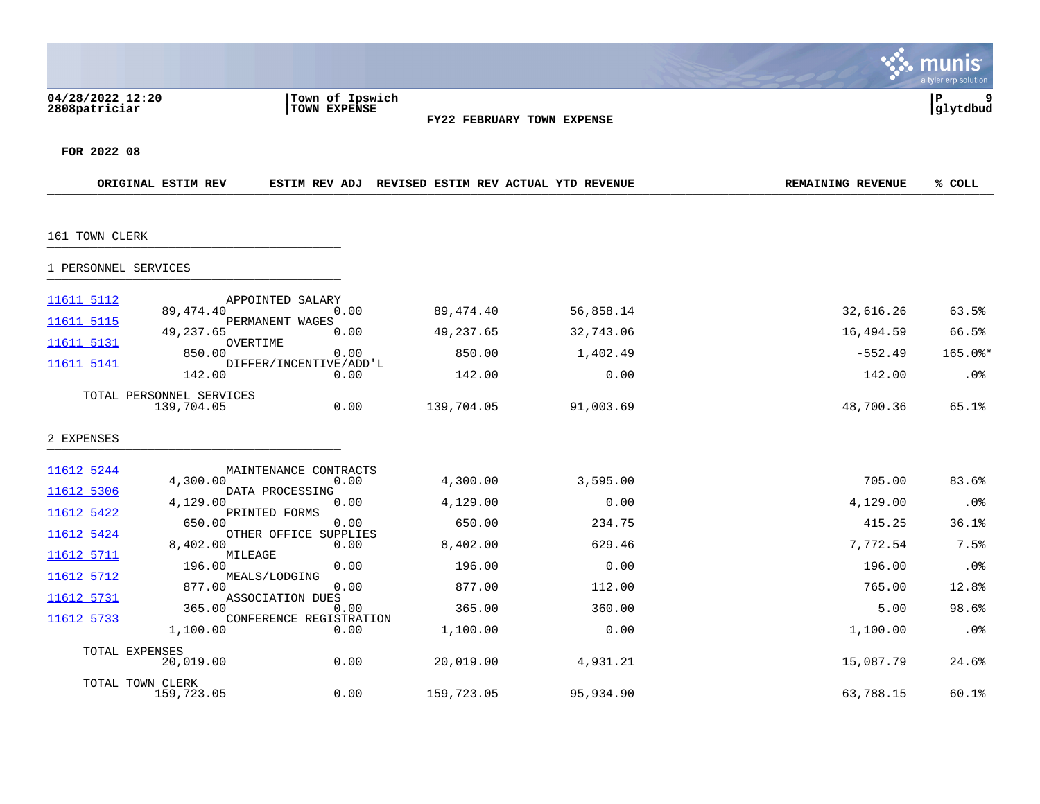|                                   |                                        |                                                |                                      |           |                          | a tyler erp solution |
|-----------------------------------|----------------------------------------|------------------------------------------------|--------------------------------------|-----------|--------------------------|----------------------|
| 04/28/2022 12:20<br>2808patriciar |                                        | Town of Ipswich<br>TOWN EXPENSE                | FY22 FEBRUARY TOWN EXPENSE           |           |                          | 9<br>l P<br>glytdbud |
| FOR 2022 08                       |                                        |                                                |                                      |           |                          |                      |
|                                   | ORIGINAL ESTIM REV                     | ESTIM REV ADJ                                  | REVISED ESTIM REV ACTUAL YTD REVENUE |           | <b>REMAINING REVENUE</b> | % COLL               |
| 161 TOWN CLERK                    |                                        |                                                |                                      |           |                          |                      |
| 1 PERSONNEL SERVICES              |                                        |                                                |                                      |           |                          |                      |
| 11611 5112                        | 89,474.40                              | APPOINTED SALARY<br>0.00                       | 89, 474. 40                          | 56,858.14 | 32,616.26                | 63.5%                |
| 11611 5115                        | 49,237.65                              | PERMANENT WAGES<br>0.00                        | 49,237.65                            | 32,743.06 | 16,494.59                | 66.5%                |
| 11611 5131                        | 850.00                                 | OVERTIME<br>0.00                               | 850.00                               | 1,402.49  | $-552.49$                | $165.0$ *            |
| 11611 5141                        | 142.00                                 | DIFFER/INCENTIVE/ADD'L<br>0.00                 | 142.00                               | 0.00      | 142.00                   | .0%                  |
|                                   | TOTAL PERSONNEL SERVICES<br>139,704.05 | 0.00                                           | 139,704.05                           | 91,003.69 | 48,700.36                | 65.1%                |
| 2 EXPENSES                        |                                        |                                                |                                      |           |                          |                      |
| 11612 5244                        | 4,300.00                               | MAINTENANCE CONTRACTS<br>0.00                  | 4,300.00                             | 3,595.00  | 705.00                   | 83.6%                |
| 11612 5306                        | 4,129.00                               | DATA PROCESSING<br>0.00                        | 4,129.00                             | 0.00      | 4,129.00                 | .0%                  |
| 11612 5422<br>11612 5424          | 650.00                                 | PRINTED FORMS<br>0.00<br>OTHER OFFICE SUPPLIES | 650.00                               | 234.75    | 415.25                   | 36.1%                |
| 11612 5711                        | 8,402.00                               | 0.00<br>MILEAGE                                | 8,402.00                             | 629.46    | 7,772.54                 | 7.5%                 |
| 11612 5712                        | 196.00                                 | 0.00<br>MEALS/LODGING                          | 196.00                               | 0.00      | 196.00                   | .0%                  |
| 11612 5731                        | 877.00                                 | 0.00<br>ASSOCIATION DUES                       | 877.00                               | 112.00    | 765.00                   | 12.8%                |
| 11612 5733                        | 365.00                                 | 0.00<br>CONFERENCE REGISTRATION                | 365.00                               | 360.00    | 5.00                     | 98.6%                |
|                                   | 1,100.00                               | 0.00                                           | 1,100.00                             | 0.00      | 1,100.00                 | $.0\%$               |
| TOTAL EXPENSES                    | 20,019.00                              | 0.00                                           | 20,019.00                            | 4,931.21  | 15,087.79                | 24.6%                |
|                                   | TOTAL TOWN CLERK<br>159,723.05         | 0.00                                           | 159,723.05                           | 95,934.90 | 63,788.15                | 60.1%                |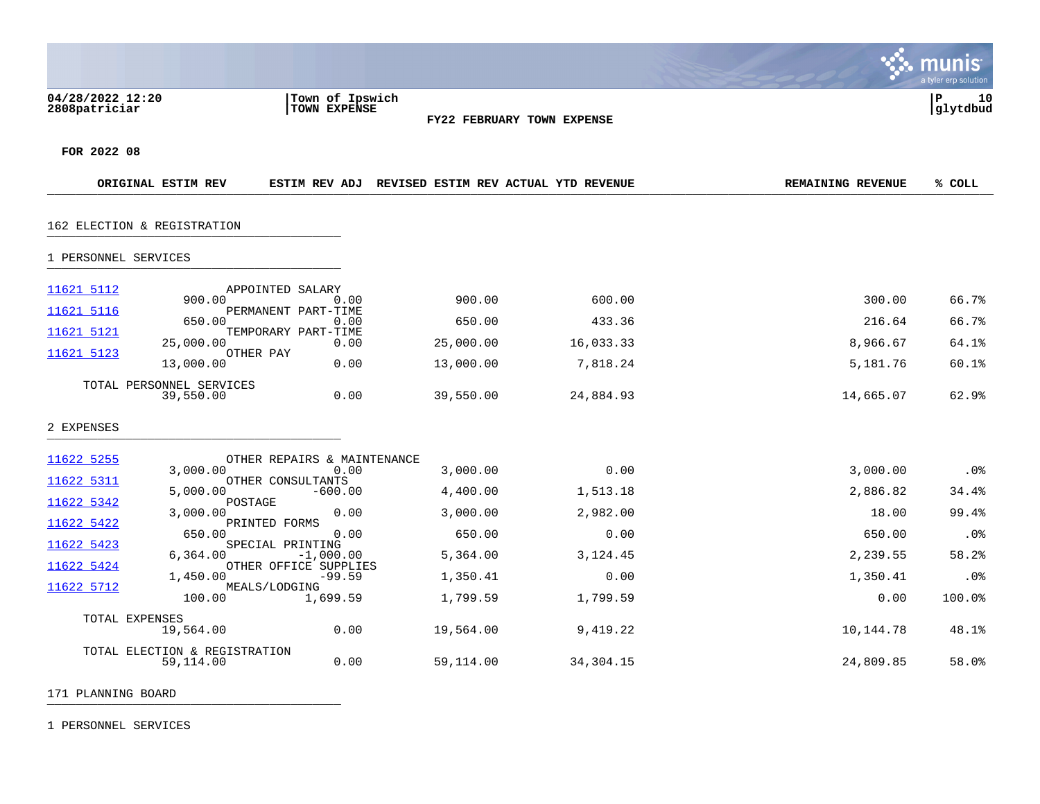|                                            |                                                 |                                                    |           |                          | INIS<br>mu<br>a tyler erp solution |
|--------------------------------------------|-------------------------------------------------|----------------------------------------------------|-----------|--------------------------|------------------------------------|
| 04/28/2022 12:20<br>2808patriciar          | Town of Ipswich<br>TOWN EXPENSE                 | FY22 FEBRUARY TOWN EXPENSE                         |           |                          | ∣P<br>10<br>glytdbud               |
| FOR 2022 08                                |                                                 |                                                    |           |                          |                                    |
| ORIGINAL ESTIM REV                         |                                                 | ESTIM REV ADJ REVISED ESTIM REV ACTUAL YTD REVENUE |           | <b>REMAINING REVENUE</b> | % COLL                             |
| 162 ELECTION & REGISTRATION                |                                                 |                                                    |           |                          |                                    |
| 1 PERSONNEL SERVICES                       |                                                 |                                                    |           |                          |                                    |
| 11621 5112<br>900.00<br>11621 5116         | APPOINTED SALARY<br>0.00<br>PERMANENT PART-TIME | 900.00                                             | 600.00    | 300.00                   | 66.7%                              |
| 650.00                                     | 0.00                                            | 650.00                                             | 433.36    | 216.64                   | 66.7%                              |
| 11621 5121<br>25,000.00                    | TEMPORARY PART-TIME<br>0.00                     | 25,000.00                                          | 16,033.33 | 8,966.67                 | 64.1%                              |
| 11621 5123<br>OTHER PAY<br>13,000.00       | 0.00                                            | 13,000.00                                          | 7,818.24  | 5,181.76                 | 60.1%                              |
| TOTAL PERSONNEL SERVICES<br>39,550.00      | 0.00                                            | 39,550.00                                          | 24,884.93 | 14,665.07                | 62.9%                              |
| 2 EXPENSES                                 |                                                 |                                                    |           |                          |                                    |
| 11622 5255                                 | OTHER REPAIRS & MAINTENANCE                     |                                                    |           |                          |                                    |
| 3,000.00<br>11622 5311                     | 0.00<br>OTHER CONSULTANTS                       | 3,000.00                                           | 0.00      | 3,000.00                 | .0%                                |
| 5,000.00<br>11622 5342<br>POSTAGE          | $-600.00$                                       | 4,400.00                                           | 1,513.18  | 2,886.82                 | 34.4%                              |
| 3,000.00<br>11622 5422                     | 0.00<br>PRINTED FORMS                           | 3,000.00                                           | 2,982.00  | 18.00                    | 99.4%                              |
| 650.00<br>11622 5423                       | 0.00<br>SPECIAL PRINTING                        | 650.00                                             | 0.00      | 650.00                   | .0%                                |
| 6,364.00<br>11622 5424                     | $-1,000.00$<br>OTHER OFFICE SUPPLIES            | 5,364.00                                           | 3,124.45  | 2,239.55                 | 58.2%                              |
| 1,450.00<br>11622 5712                     | $-99.59$<br>MEALS/LODGING                       | 1,350.41                                           | 0.00      | 1,350.41                 | .0%                                |
| 100.00                                     | 1,699.59                                        | 1,799.59                                           | 1,799.59  | 0.00                     | 100.0%                             |
| TOTAL EXPENSES<br>19,564.00                | 0.00                                            | 19,564.00                                          | 9,419.22  | 10,144.78                | 48.1%                              |
| TOTAL ELECTION & REGISTRATION<br>59,114.00 | 0.00                                            | 59,114.00                                          | 34,304.15 | 24,809.85                | 58.0%                              |
| 171 PLANNING BOARD                         |                                                 |                                                    |           |                          |                                    |

 $\bullet$ 

1 PERSONNEL SERVICES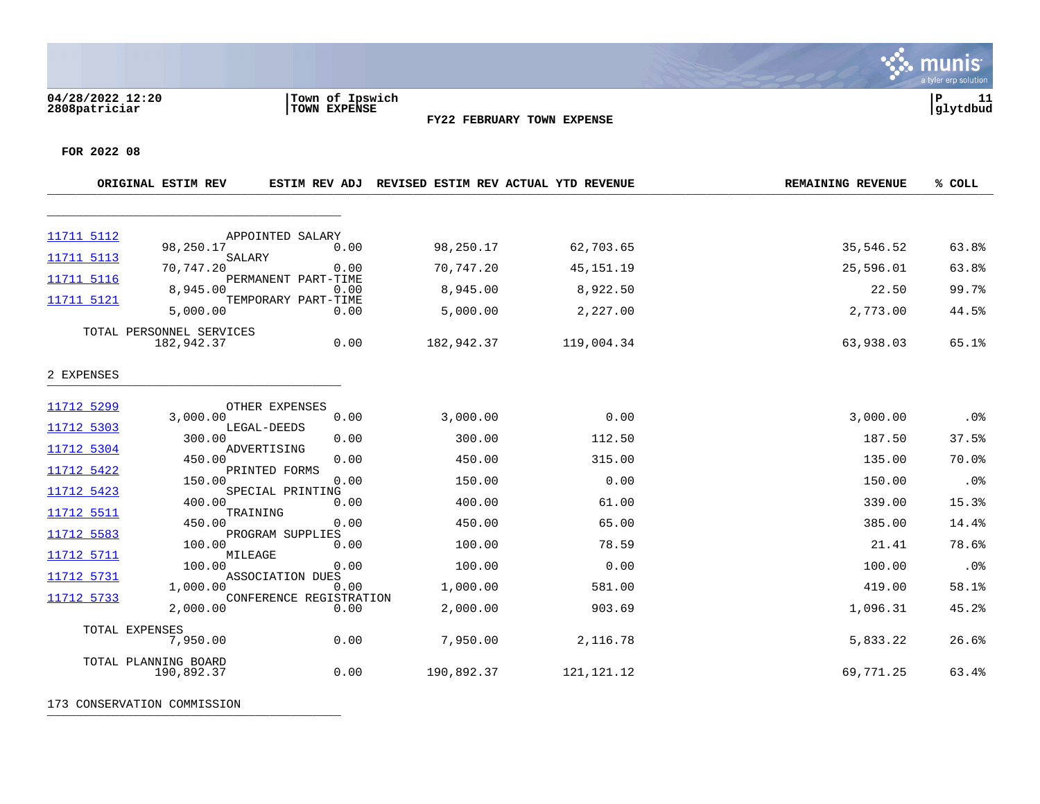**04/28/2022 12:20 |Town of Ipswich |P 11 2808patriciar |TOWN EXPENSE |glytdbud**



 $\ddot{\mathbf{w}}$  munis a tyler erp solution

**FOR 2022 08**

|            | ORIGINAL ESTIM REV                     | ESTIM REV ADJ                   |            | REVISED ESTIM REV ACTUAL YTD REVENUE | <b>REMAINING REVENUE</b> | % COLL |
|------------|----------------------------------------|---------------------------------|------------|--------------------------------------|--------------------------|--------|
|            |                                        |                                 |            |                                      |                          |        |
| 11711 5112 |                                        | APPOINTED SALARY                |            |                                      |                          |        |
| 11711 5113 | 98,250.17                              | 0.00<br>SALARY                  | 98,250.17  | 62,703.65                            | 35,546.52                | 63.8%  |
|            | 70,747.20                              | 0.00                            | 70,747.20  | 45, 151. 19                          | 25,596.01                | 63.8%  |
| 11711 5116 | 8,945.00                               | PERMANENT PART-TIME<br>0.00     | 8,945.00   | 8,922.50                             | 22.50                    | 99.7%  |
| 11711 5121 | 5,000.00                               | TEMPORARY PART-TIME<br>0.00     | 5,000.00   | 2,227.00                             | 2,773.00                 | 44.5%  |
|            | TOTAL PERSONNEL SERVICES<br>182,942.37 | 0.00                            | 182,942.37 | 119,004.34                           | 63,938.03                | 65.1%  |
| 2 EXPENSES |                                        |                                 |            |                                      |                          |        |
| 11712 5299 |                                        | OTHER EXPENSES                  |            |                                      |                          |        |
|            | 3,000.00                               | 0.00<br>LEGAL-DEEDS             | 3,000.00   | 0.00                                 | 3,000.00                 | .0%    |
| 11712 5303 | 300.00                                 | 0.00                            | 300.00     | 112.50                               | 187.50                   | 37.5%  |
| 11712 5304 | 450.00                                 | ADVERTISING<br>0.00             | 450.00     | 315.00                               | 135.00                   | 70.0%  |
| 11712 5422 | 150.00                                 | PRINTED FORMS<br>0.00           | 150.00     | 0.00                                 | 150.00                   | .0%    |
| 11712 5423 | 400.00                                 | SPECIAL PRINTING<br>0.00        | 400.00     | 61.00                                | 339.00                   | 15.3%  |
| 11712 5511 | 450.00                                 | TRAINING<br>0.00                | 450.00     | 65.00                                | 385.00                   | 14.4%  |
| 11712 5583 |                                        | PROGRAM SUPPLIES                |            |                                      |                          |        |
| 11712 5711 | 100.00                                 | 0.00<br>MILEAGE                 | 100.00     | 78.59                                | 21.41                    | 78.6%  |
| 11712 5731 | 100.00                                 | 0.00<br>ASSOCIATION DUES        | 100.00     | 0.00                                 | 100.00                   | .0%    |
| 11712 5733 | 1,000.00                               | 0.00<br>CONFERENCE REGISTRATION | 1,000.00   | 581.00                               | 419.00                   | 58.1%  |
|            | 2,000.00                               | 0.00                            | 2,000.00   | 903.69                               | 1,096.31                 | 45.2%  |
|            | TOTAL EXPENSES<br>7,950.00             | 0.00                            | 7,950.00   | 2,116.78                             | 5,833.22                 | 26.6%  |
|            | TOTAL PLANNING BOARD<br>190,892.37     | 0.00                            | 190,892.37 | 121, 121. 12                         | 69,771.25                | 63.4%  |

173 CONSERVATION COMMISSION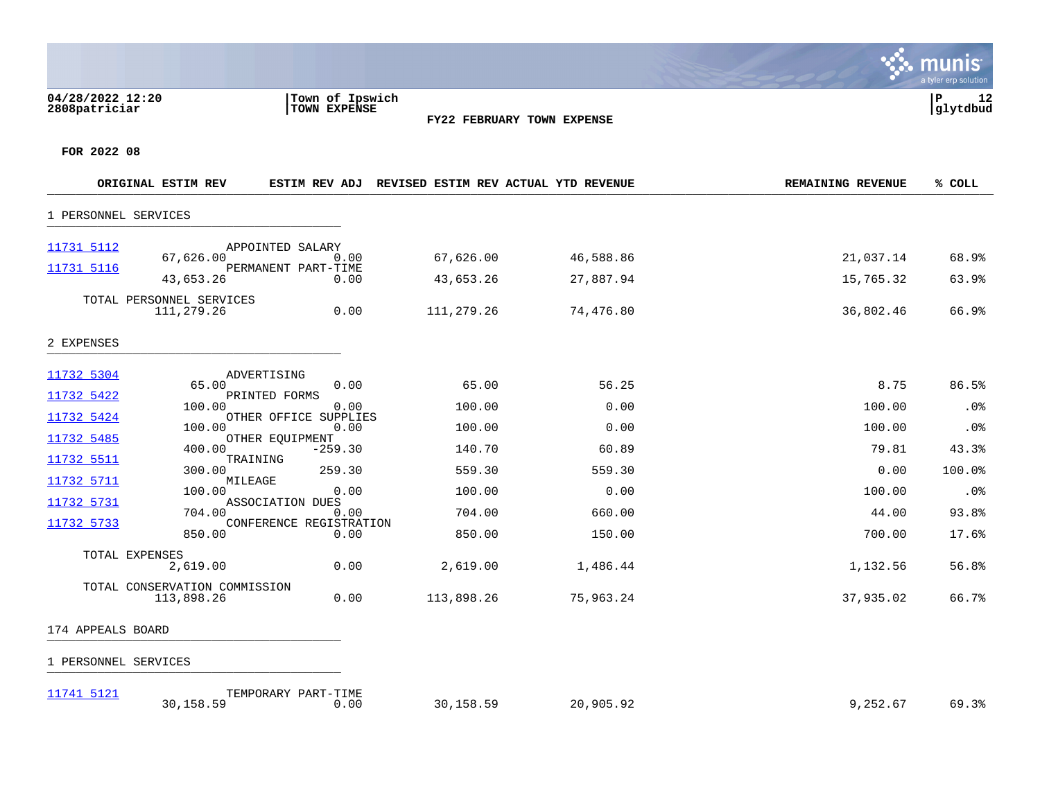## **04/28/2022 12:20 |Town of Ipswich |P 12 2808patriciar |TOWN EXPENSE |glytdbud**



**∵ munis** a tyler erp solution

**FOR 2022 08**

|                          | ORIGINAL ESTIM REV                          | <b>ESTIM REV ADJ</b>                            |            | REVISED ESTIM REV ACTUAL YTD REVENUE | <b>REMAINING REVENUE</b> | % COLL |
|--------------------------|---------------------------------------------|-------------------------------------------------|------------|--------------------------------------|--------------------------|--------|
| 1 PERSONNEL SERVICES     |                                             |                                                 |            |                                      |                          |        |
| 11731 5112<br>11731 5116 | 67,626.00                                   | APPOINTED SALARY<br>0.00<br>PERMANENT PART-TIME | 67,626.00  | 46,588.86                            | 21,037.14                | 68.9%  |
|                          | 43,653.26                                   | 0.00                                            | 43,653.26  | 27,887.94                            | 15,765.32                | 63.9%  |
|                          | TOTAL PERSONNEL SERVICES<br>111,279.26      | 0.00                                            | 111,279.26 | 74,476.80                            | 36,802.46                | 66.9%  |
| 2 EXPENSES               |                                             |                                                 |            |                                      |                          |        |
| 11732 5304               | 65.00                                       | ADVERTISING<br>0.00                             | 65.00      | 56.25                                | 8.75                     | 86.5%  |
| 11732 5422               |                                             | PRINTED FORMS                                   |            |                                      |                          |        |
| 11732 5424               | 100.00                                      | 0.00<br>OTHER OFFICE SUPPLIES                   | 100.00     | 0.00                                 | 100.00                   | .0%    |
|                          | 100.00                                      | 0.00                                            | 100.00     | 0.00                                 | 100.00                   | .0%    |
| 11732 5485               | 400.00                                      | OTHER EQUIPMENT<br>$-259.30$                    | 140.70     | 60.89                                | 79.81                    | 43.3%  |
| 11732 5511               | TRAINING<br>300.00                          | 259.30                                          | 559.30     | 559.30                               | 0.00                     | 100.0% |
| 11732 5711               | MILEAGE<br>100.00                           | 0.00                                            | 100.00     | 0.00                                 | 100.00                   | .0%    |
| 11732 5731               |                                             | ASSOCIATION DUES                                |            |                                      |                          |        |
| 11732 5733               | 704.00                                      | 0.00<br>CONFERENCE REGISTRATION                 | 704.00     | 660.00                               | 44.00                    | 93.8%  |
|                          | 850.00                                      | 0.00                                            | 850.00     | 150.00                               | 700.00                   | 17.6%  |
|                          | TOTAL EXPENSES<br>2,619.00                  | 0.00                                            | 2,619.00   | 1,486.44                             | 1,132.56                 | 56.8%  |
|                          | TOTAL CONSERVATION COMMISSION<br>113,898.26 | 0.00                                            | 113,898.26 | 75,963.24                            | 37,935.02                | 66.7%  |

# 174 APPEALS BOARD \_\_\_\_\_\_\_\_\_\_\_\_\_\_\_\_\_\_\_\_\_\_\_\_\_\_\_\_\_\_\_\_\_\_\_\_\_\_\_\_\_

| $11741$ 512 <sup>*</sup><br>--- | TEMPORARY PART-T | -TIME |        |           |                                      |          |
|---------------------------------|------------------|-------|--------|-----------|--------------------------------------|----------|
|                                 | 11,158.5.        | 0.00  | 158.52 | 20,905.92 | 250<br>'n<br>, 202.0<br>$\mathbf{r}$ | . د . 69 |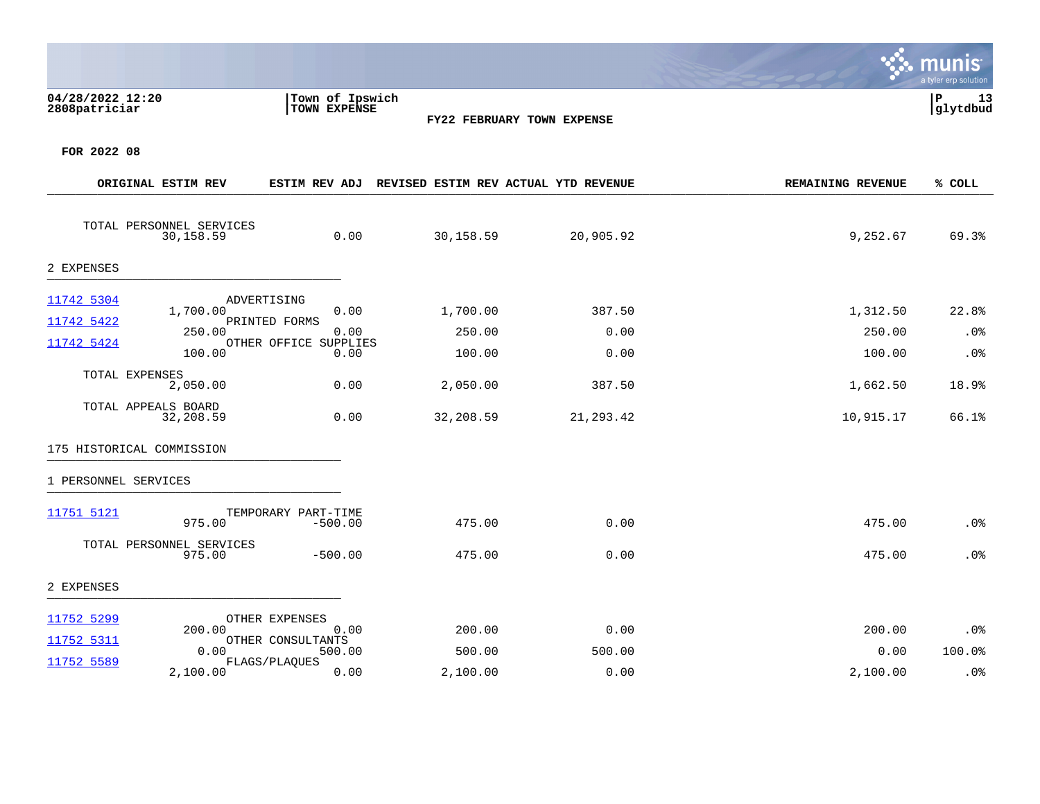| 04/28/2022 12:20<br>2808patriciar     | Town of Ipswich<br>TOWN EXPENSE | <b>FY22 FEBRUARY TOWN EXPENSE</b>    |           |                          | a tyler erp solution<br>ΙP<br>13<br>glytdbud |
|---------------------------------------|---------------------------------|--------------------------------------|-----------|--------------------------|----------------------------------------------|
| FOR 2022 08<br>ORIGINAL ESTIM REV     | <b>ESTIM REV ADJ</b>            | REVISED ESTIM REV ACTUAL YTD REVENUE |           | <b>REMAINING REVENUE</b> | % COLL                                       |
|                                       |                                 |                                      |           |                          |                                              |
| TOTAL PERSONNEL SERVICES<br>30,158.59 | 0.00                            | 30,158.59                            | 20,905.92 | 9,252.67                 | 69.3%                                        |

 $\mathcal{L}$ 

### 2 EXPENSES \_\_\_\_\_\_\_\_\_\_\_\_\_\_\_\_\_\_\_\_\_\_\_\_\_\_\_\_\_\_\_\_\_\_\_\_\_\_\_\_\_

| 11742 5304 | ADVERTISING         |                       |           |           |           |        |
|------------|---------------------|-----------------------|-----------|-----------|-----------|--------|
|            | 1,700.00            | 0.00                  | 1,700.00  | 387.50    | 1,312.50  | 22.8%  |
| 11742 5422 |                     | PRINTED FORMS         |           |           |           |        |
|            | 250.00              | 0.00                  | 250.00    | 0.00      | 250.00    | $.0\%$ |
| 11742 5424 |                     | OTHER OFFICE SUPPLIES |           |           |           |        |
|            |                     |                       |           |           |           |        |
|            | 100.00              | 0.00                  | 100.00    | 0.00      | 100.00    | $.0\%$ |
|            |                     |                       |           |           |           |        |
|            | TOTAL EXPENSES      |                       |           |           |           |        |
|            | 2,050.00            | 0.00                  | 2,050.00  | 387.50    | 1,662.50  | 18.9%  |
|            |                     |                       |           |           |           |        |
|            | TOTAL APPEALS BOARD |                       |           |           |           |        |
|            |                     |                       |           |           |           |        |
|            | 32,208.59           | 0.00                  | 32,208.59 | 21,293.42 | 10,915.17 | 66.1%  |

# 175 HISTORICAL COMMISSION \_\_\_\_\_\_\_\_\_\_\_\_\_\_\_\_\_\_\_\_\_\_\_\_\_\_\_\_\_\_\_\_\_\_\_\_\_\_\_\_\_

| 11751 5121 | 975.00                       | TEMPORARY PART-TIME<br>$-500.00$ | 475.00   | 0.00   | 475.00   | .0%    |
|------------|------------------------------|----------------------------------|----------|--------|----------|--------|
| TOTAL      | PERSONNEL SERVICES<br>975.00 | $-500.00$                        | 475.00   | 0.00   | 475.00   | .0%    |
| 2 EXPENSES |                              |                                  |          |        |          |        |
| 11752 5299 | OTHER EXPENSES               |                                  |          |        |          |        |
| 11752 5311 | 200.00                       | 0.00<br>OTHER CONSULTANTS        | 200.00   | 0.00   | 200.00   | $.0\%$ |
|            | 0.00                         | 500.00                           | 500.00   | 500.00 | 0.00     | 100.0% |
| 11752 5589 | FLAGS/PLAQUES                |                                  |          |        |          |        |
|            | 2,100.00                     | 0.00                             | 2,100.00 | 0.00   | 2,100.00 | .0%    |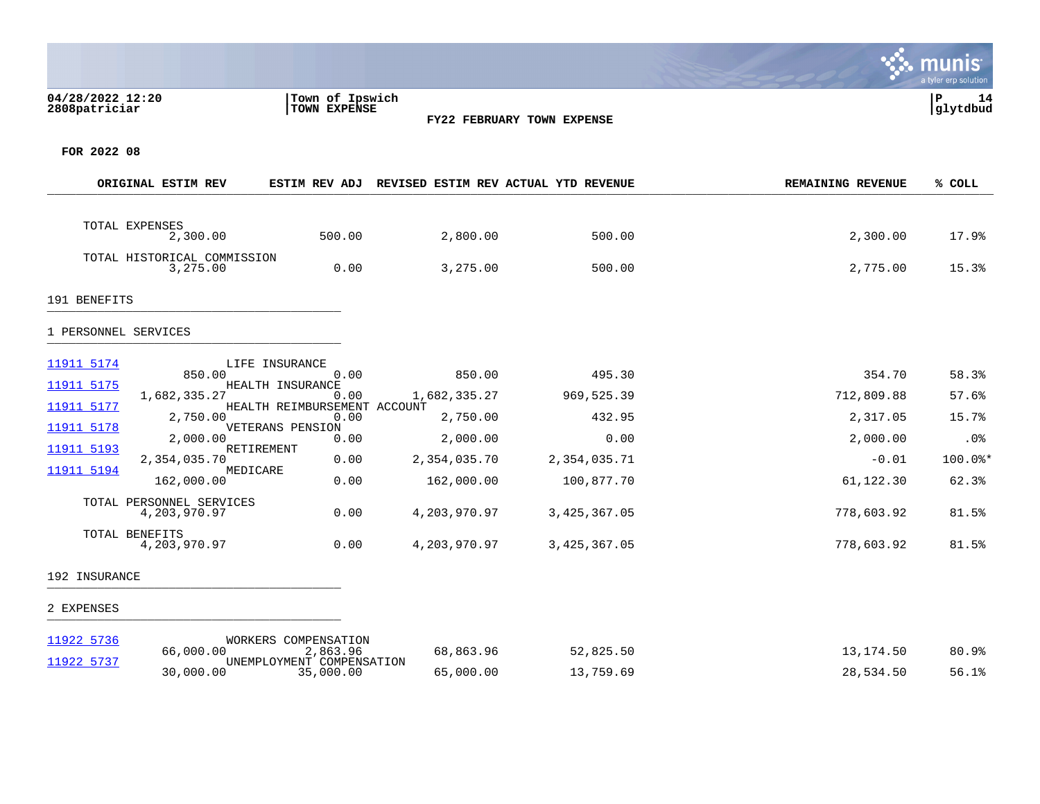## **04/28/2022 12:20 |Town of Ipswich |P 14 2808patriciar |TOWN EXPENSE |glytdbud**



**∵∴** munis a tyler erp solution

**FOR 2022 08**

|                      | ORIGINAL ESTIM REV                       | <b>ESTIM REV ADJ</b>                 | REVISED ESTIM REV ACTUAL YTD REVENUE |              | <b>REMAINING REVENUE</b> | % COLL    |
|----------------------|------------------------------------------|--------------------------------------|--------------------------------------|--------------|--------------------------|-----------|
|                      | TOTAL EXPENSES                           |                                      |                                      |              |                          |           |
|                      | 2,300.00                                 | 500.00                               | 2,800.00                             | 500.00       | 2,300.00                 | 17.9%     |
|                      | TOTAL HISTORICAL COMMISSION<br>3,275.00  | 0.00                                 | 3,275.00                             | 500.00       | 2,775.00                 | 15.3%     |
| 191 BENEFITS         |                                          |                                      |                                      |              |                          |           |
| 1 PERSONNEL SERVICES |                                          |                                      |                                      |              |                          |           |
| 11911 5174           | 850.00                                   | LIFE INSURANCE<br>0.00               | 850.00                               | 495.30       | 354.70                   | 58.3%     |
| 11911 5175           |                                          | HEALTH INSURANCE                     |                                      |              |                          |           |
| 11911 5177           | 1,682,335.27                             | 0.00<br>HEALTH REIMBURSEMENT ACCOUNT | 1,682,335.27                         | 969,525.39   | 712,809.88               | 57.6%     |
|                      | 2,750.00                                 | 0.00                                 | 2,750.00                             | 432.95       | 2,317.05                 | 15.7%     |
| 11911 5178           | 2,000.00                                 | VETERANS PENSION<br>0.00             | 2,000.00                             | 0.00         | 2,000.00                 | .0%       |
| 11911 5193           | RETIREMENT<br>2,354,035.70               | 0.00                                 | 2,354,035.70                         | 2,354,035.71 | $-0.01$                  | $100.0$ * |
| 11911 5194           | MEDICARE<br>162,000.00                   | 0.00                                 | 162,000.00                           | 100,877.70   | 61,122.30                | 62.3%     |
|                      |                                          |                                      |                                      |              |                          |           |
|                      | TOTAL PERSONNEL SERVICES<br>4,203,970.97 | 0.00                                 | 4,203,970.97                         | 3,425,367.05 | 778,603.92               | 81.5%     |
|                      | TOTAL BENEFITS<br>4,203,970.97           | 0.00                                 | 4,203,970.97                         | 3,425,367.05 | 778,603.92               | 81.5%     |
| 192 INSURANCE        |                                          |                                      |                                      |              |                          |           |

### 2 EXPENSES \_\_\_\_\_\_\_\_\_\_\_\_\_\_\_\_\_\_\_\_\_\_\_\_\_\_\_\_\_\_\_\_\_\_\_\_\_\_\_\_\_

| 11922 5736 |           | WORKERS COMPENSATION      |           |           |           |       |
|------------|-----------|---------------------------|-----------|-----------|-----------|-------|
|            | 66,000.00 | 2,863.96                  | 68,863.96 | 52,825.50 | 13,174.50 | 80.9% |
| 11922 5737 |           | UNEMPLOYMENT COMPENSATION |           |           |           |       |
|            | 30,000.00 | 35,000.00                 | 65,000.00 | 13,759.69 | 28,534.50 | 56.1% |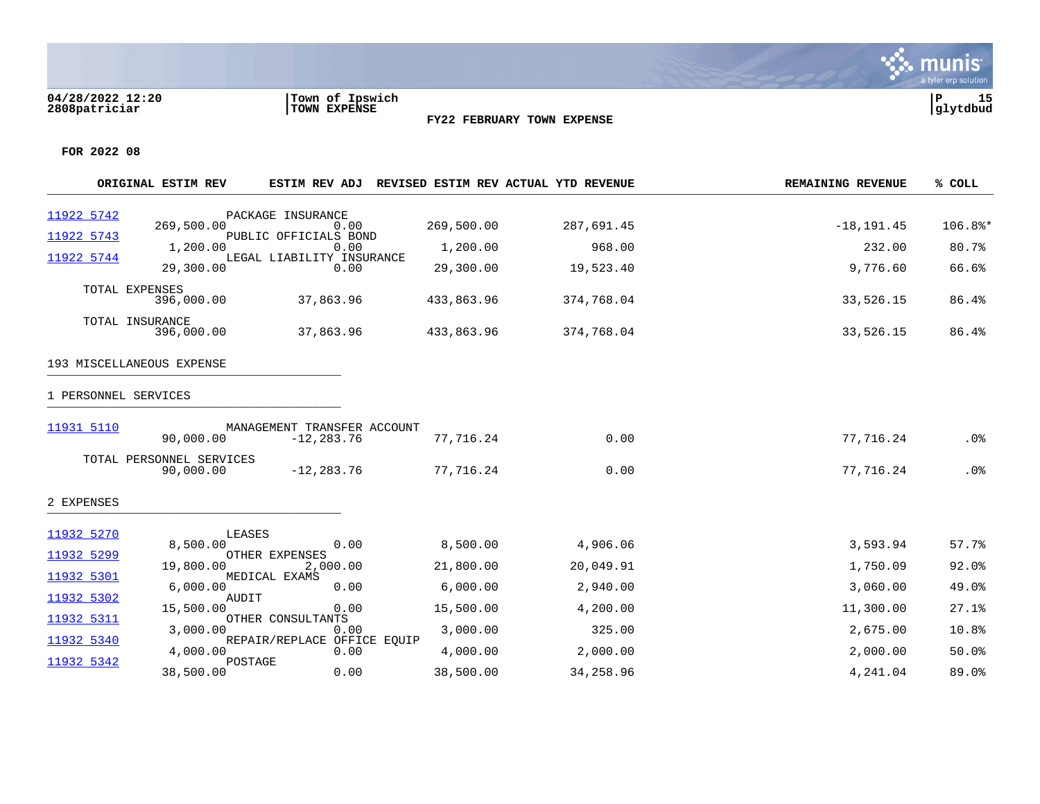### **04/28/2022 12:20 |Town of Ipswich |P 15 2808patriciar |TOWN EXPENSE |glytdbud**



**FY22 FEBRUARY TOWN EXPENSE**

| 11922 5742<br>PACKAGE INSURANCE<br>269,500.00<br>269,500.00<br>0.00<br>287,691.45<br>11922 5743<br>PUBLIC OFFICIALS BOND<br>1,200.00<br>968.00<br>1,200.00<br>0.00<br>11922 5744<br>LEGAL LIABILITY INSURANCE<br>29,300.00<br>29,300.00<br>0.00<br>19,523.40<br>TOTAL EXPENSES | $-18, 191.45$<br>232.00<br>9,776.60 | 106.8%*<br>80.7% |
|--------------------------------------------------------------------------------------------------------------------------------------------------------------------------------------------------------------------------------------------------------------------------------|-------------------------------------|------------------|
|                                                                                                                                                                                                                                                                                |                                     |                  |
|                                                                                                                                                                                                                                                                                |                                     |                  |
|                                                                                                                                                                                                                                                                                |                                     | 66.6%            |
| 37,863.96<br>396,000.00<br>433,863.96<br>374,768.04                                                                                                                                                                                                                            | 33,526.15                           | 86.4%            |
| TOTAL INSURANCE<br>37,863.96<br>433,863.96<br>396,000.00<br>374,768.04                                                                                                                                                                                                         | 33,526.15                           | 86.4%            |
| 193 MISCELLANEOUS EXPENSE                                                                                                                                                                                                                                                      |                                     |                  |
| 1 PERSONNEL SERVICES                                                                                                                                                                                                                                                           |                                     |                  |
| 11931 5110<br>MANAGEMENT TRANSFER ACCOUNT<br>0.00<br>90,000.00<br>$-12, 283.76$<br>77,716.24                                                                                                                                                                                   | 77,716.24                           | $.0\%$           |
| TOTAL PERSONNEL SERVICES<br>$-12, 283.76$<br>77,716.24<br>0.00<br>90,000.00                                                                                                                                                                                                    | 77,716.24                           | $.0\%$           |
| 2 EXPENSES                                                                                                                                                                                                                                                                     |                                     |                  |
| 11932 5270<br>LEASES                                                                                                                                                                                                                                                           |                                     |                  |
| 8,500.00<br>4,906.06<br>8,500.00<br>0.00<br>11932 5299<br>OTHER EXPENSES                                                                                                                                                                                                       | 3,593.94                            | 57.7%            |
| 19,800.00<br>2,000.00<br>21,800.00<br>20,049.91<br>11932 5301<br>MEDICAL EXAMS                                                                                                                                                                                                 | 1,750.09                            | $92.0$ $%$       |
| 6,000.00<br>6,000.00<br>2,940.00<br>0.00<br>11932 5302<br>AUDIT                                                                                                                                                                                                                | 3,060.00                            | 49.0%            |
| 15,500.00<br>0.00<br>15,500.00<br>4,200.00                                                                                                                                                                                                                                     | 11,300.00                           | 27.1%            |
| 11932 5311<br>OTHER CONSULTANTS<br>3,000.00<br>3,000.00<br>0.00<br>325.00                                                                                                                                                                                                      | 2,675.00                            | 10.8%            |
| 11932 5340<br>REPAIR/REPLACE OFFICE EQUIP<br>4,000.00<br>4,000.00<br>2,000.00<br>0.00                                                                                                                                                                                          | 2,000.00                            | 50.0%            |
| 11932 5342<br>POSTAGE<br>38,500.00<br>0.00<br>38,500.00<br>34,258.96                                                                                                                                                                                                           | 4,241.04                            | 89.0%            |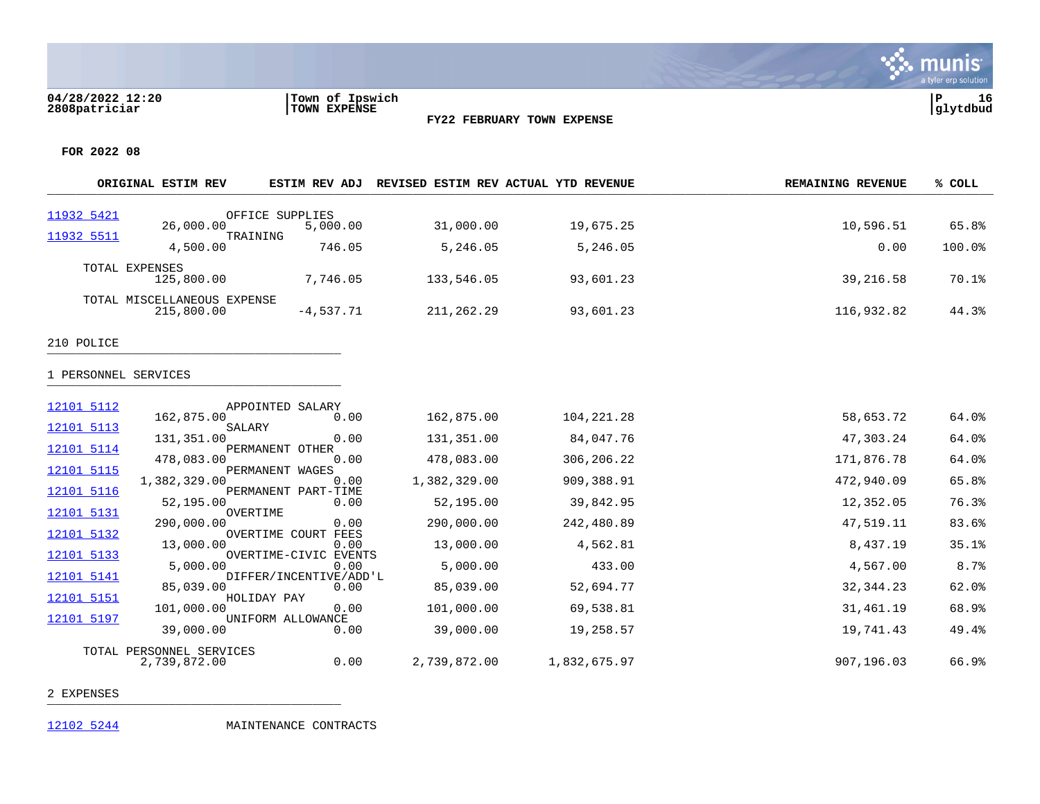

**FOR 2022 08**

|                      | ORIGINAL ESTIM REV                        |                                | ESTIM REV ADJ REVISED ESTIM REV ACTUAL YTD REVENUE |              | <b>REMAINING REVENUE</b> | % COLL |
|----------------------|-------------------------------------------|--------------------------------|----------------------------------------------------|--------------|--------------------------|--------|
| 11932 5421           |                                           | OFFICE SUPPLIES                |                                                    |              |                          |        |
| 11932 5511           | 26,000.00<br>TRAINING                     | 5,000.00                       | 31,000.00                                          | 19,675.25    | 10,596.51                | 65.8%  |
|                      | 4,500.00                                  | 746.05                         | 5,246.05                                           | 5,246.05     | 0.00                     | 100.0% |
|                      | TOTAL EXPENSES<br>125,800.00              | 7,746.05                       | 133,546.05                                         | 93,601.23    | 39,216.58                | 70.1%  |
|                      | TOTAL MISCELLANEOUS EXPENSE<br>215,800.00 | $-4,537.71$                    | 211,262.29                                         | 93,601.23    | 116,932.82               | 44.3%  |
| 210 POLICE           |                                           |                                |                                                    |              |                          |        |
| 1 PERSONNEL SERVICES |                                           |                                |                                                    |              |                          |        |
| 12101 5112           | 162,875.00                                | APPOINTED SALARY<br>0.00       | 162,875.00                                         | 104, 221. 28 | 58,653.72                | 64.0%  |
| 12101 5113           | SALARY                                    |                                |                                                    |              |                          |        |
| 12101 5114           | 131,351.00                                | 0.00<br>PERMANENT OTHER        | 131,351.00                                         | 84,047.76    | 47,303.24                | 64.0%  |
| 12101 5115           | 478,083.00                                | 0.00                           | 478,083.00                                         | 306,206.22   | 171,876.78               | 64.0%  |
|                      | 1,382,329.00                              | PERMANENT WAGES<br>0.00        | 1,382,329.00                                       | 909,388.91   | 472,940.09               | 65.8%  |
| 12101 5116           | 52,195.00                                 | PERMANENT PART-TIME<br>0.00    | 52,195.00                                          | 39,842.95    | 12,352.05                | 76.3%  |
| 12101 5131           | OVERTIME<br>290,000.00                    | 0.00                           | 290,000.00                                         | 242,480.89   | 47,519.11                | 83.6%  |
| 12101 5132           | 13,000.00                                 | OVERTIME COURT FEES<br>0.00    | 13,000.00                                          | 4,562.81     | 8,437.19                 | 35.1%  |
| 12101 5133           | 5,000.00                                  | OVERTIME-CIVIC EVENTS<br>0.00  | 5,000.00                                           | 433.00       | 4,567.00                 | 8.7%   |
| 12101 5141           | 85,039.00                                 | DIFFER/INCENTIVE/ADD'L<br>0.00 | 85,039.00                                          | 52,694.77    | 32, 344. 23              | 62.0%  |
| 12101 5151           | 101,000.00                                | HOLIDAY PAY<br>0.00            | 101,000.00                                         | 69,538.81    | 31,461.19                | 68.9%  |
| 12101 5197           | 39,000.00                                 | UNIFORM ALLOWANCE<br>0.00      | 39,000.00                                          | 19,258.57    | 19,741.43                | 49.4%  |
|                      | TOTAL PERSONNEL SERVICES                  |                                |                                                    |              |                          |        |
|                      | 2,739,872.00                              | 0.00                           | 2,739,872.00                                       | 1,832,675.97 | 907,196.03               | 66.9%  |

2 EXPENSES \_\_\_\_\_\_\_\_\_\_\_\_\_\_\_\_\_\_\_\_\_\_\_\_\_\_\_\_\_\_\_\_\_\_\_\_\_\_\_\_\_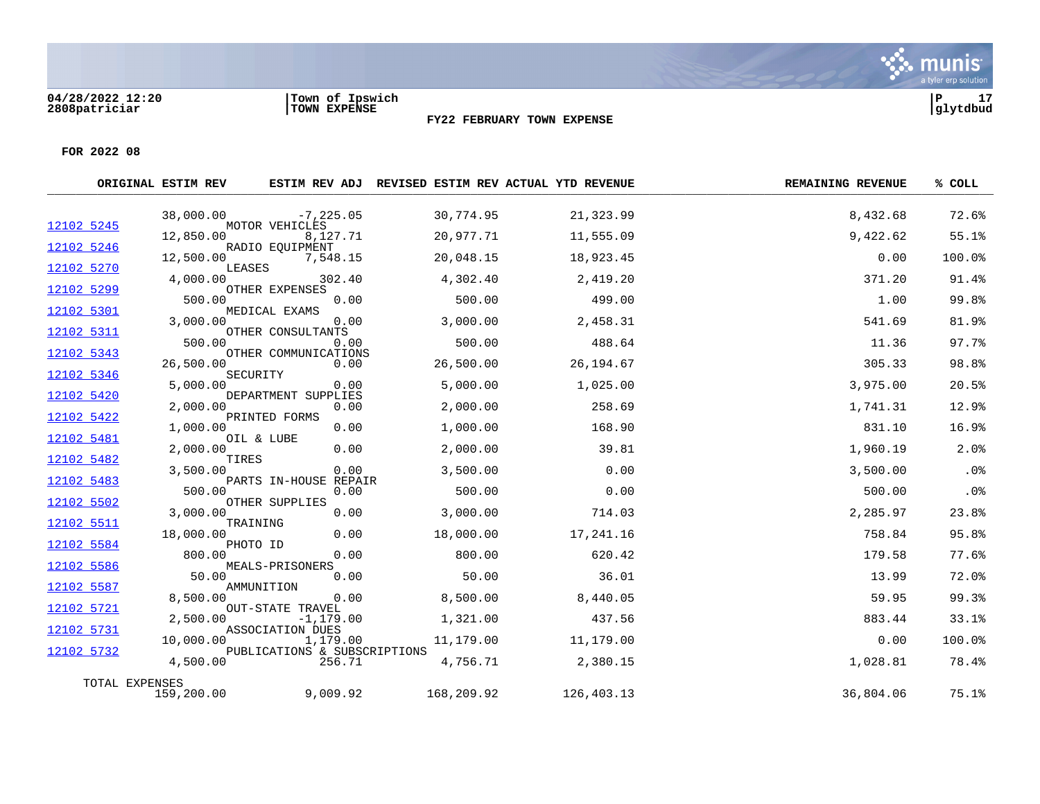|            | ORIGINAL ESTIM REV |                                         | ESTIM REV ADJ REVISED ESTIM REV ACTUAL YTD REVENUE |            | <b>REMAINING REVENUE</b> | % COLL |
|------------|--------------------|-----------------------------------------|----------------------------------------------------|------------|--------------------------|--------|
|            | 38,000.00          | $-7, 225.05$                            | 30,774.95                                          | 21,323.99  | 8,432.68                 | 72.6%  |
| 12102 5245 | 12,850.00          | MOTOR VEHICLES<br>8,127.71              | 20,977.71                                          | 11,555.09  | 9,422.62                 | 55.1%  |
| 12102 5246 | 12,500.00          | RADIO EQUIPMENT<br>7,548.15             | 20,048.15                                          | 18,923.45  | 0.00                     | 100.0% |
| 12102 5270 | 4,000.00           | LEASES<br>302.40                        | 4,302.40                                           | 2,419.20   | 371.20                   | 91.4%  |
| 12102 5299 | 500.00             | OTHER EXPENSES<br>0.00                  | 500.00                                             | 499.00     | 1.00                     | 99.8%  |
| 12102 5301 | 3,000.00           | MEDICAL EXAMS<br>0.00                   | 3,000.00                                           | 2,458.31   | 541.69                   | 81.9%  |
| 12102 5311 | 500.00             | OTHER CONSULTANTS<br>0.00               | 500.00                                             | 488.64     | 11.36                    | 97.7%  |
| 12102 5343 | 26,500.00          | OTHER COMMUNICATIONS<br>0.00            | 26,500.00                                          | 26, 194.67 | 305.33                   | 98.8%  |
| 12102 5346 | 5,000.00           | SECURITY<br>0.00                        | 5,000.00                                           | 1,025.00   | 3,975.00                 | 20.5%  |
| 12102 5420 | 2,000.00           | DEPARTMENT SUPPLIES<br>0.00             | 2,000.00                                           | 258.69     | 1,741.31                 | 12.9%  |
| 12102 5422 | 1,000.00           | PRINTED FORMS<br>0.00                   | 1,000.00                                           | 168.90     | 831.10                   | 16.9%  |
| 12102 5481 | 2,000.00           | OIL & LUBE<br>0.00                      | 2,000.00                                           | 39.81      | 1,960.19                 | 2.0%   |
| 12102 5482 | TIRES<br>3,500.00  | 0.00                                    | 3,500.00                                           | 0.00       | 3,500.00                 | .0%    |
| 12102 5483 | 500.00             | PARTS IN-HOUSE REPAIR<br>0.00           | 500.00                                             | 0.00       | 500.00                   | .0%    |
| 12102 5502 | 3,000.00           | OTHER SUPPLIES<br>0.00                  | 3,000.00                                           | 714.03     | 2,285.97                 | 23.8%  |
| 12102 5511 | 18,000.00          | TRAINING<br>0.00                        | 18,000.00                                          | 17,241.16  | 758.84                   | 95.8%  |
| 12102 5584 | 800.00             | PHOTO ID<br>0.00                        | 800.00                                             | 620.42     | 179.58                   | 77.6%  |
| 12102 5586 | 50.00              | MEALS-PRISONERS<br>0.00                 | 50.00                                              | 36.01      | 13.99                    | 72.0%  |
| 12102 5587 | 8,500.00           | AMMUNITION<br>0.00                      | 8,500.00                                           | 8,440.05   | 59.95                    | 99.3%  |
| 12102 5721 | 2,500.00           | <b>OUT-STATE TRAVEL</b><br>$-1, 179.00$ | 1,321.00                                           | 437.56     | 883.44                   | 33.1%  |
| 12102 5731 | 10,000.00          | ASSOCIATION DUES<br>1,179.00            | 11,179.00                                          | 11,179.00  | 0.00                     | 100.0% |
| 12102 5732 | 4,500.00           | PUBLICATIONS & SUBSCRIPTIONS<br>256.71  | 4,756.71                                           | 2,380.15   | 1,028.81                 | 78.4%  |
|            | TOTAL EXPENSES     |                                         |                                                    |            |                          |        |
|            | 159,200.00         | 9,009.92                                | 168,209.92                                         | 126,403.13 | 36,804.06                | 75.1%  |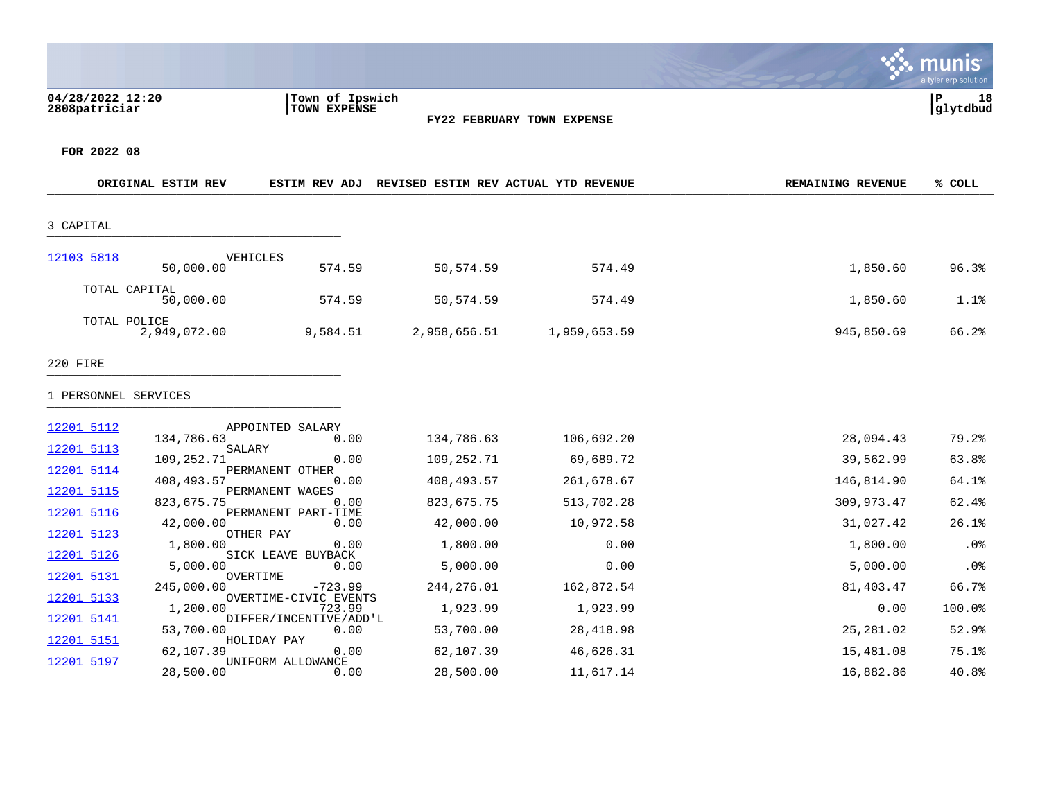nıs mıl tyler erp solutior **04/28/2022 12:20 |Town of Ipswich |P 18 2808patriciar |TOWN EXPENSE |glytdbud FY22 FEBRUARY TOWN EXPENSE FOR 2022 08 ORIGINAL ESTIM REV ESTIM REV ADJ REVISED ESTIM REV ACTUAL YTD REVENUE REMAINING REVENUE % COLL** \_\_\_\_\_\_\_\_\_\_\_\_\_\_\_\_\_\_\_\_\_\_\_\_\_\_\_\_\_\_\_\_\_\_\_\_\_\_\_\_\_\_\_\_\_\_\_\_\_\_\_\_\_\_\_\_\_\_\_\_\_\_\_\_\_\_\_\_\_\_\_\_\_\_\_\_\_\_\_\_\_\_\_\_\_\_\_\_\_\_\_\_\_\_\_\_\_\_\_\_\_\_\_\_\_\_\_\_\_\_\_\_\_\_\_\_\_\_\_\_\_\_\_\_\_\_\_\_\_\_\_\_ 3 CAPITAL \_\_\_\_\_\_\_\_\_\_\_\_\_\_\_\_\_\_\_\_\_\_\_\_\_\_\_\_\_\_\_\_\_\_\_\_\_\_\_\_\_ [12103 5818](https://yvwlndash063.tylertech.com/sites/mu2808/Live/_layouts/15/DashboardMunisV6.3/PassThru.aspx?-E=XmaWFZ%2BRKcphma/eDLCi6J0Bb%2BQu5AkXOj5l5cfuM0qGUSURgYTIZPSW4%2Bl9nXqY&) **VEHICLES**<br>50,000.00 50,000.00 574.59 50,574.59 574.49 1,850.60 96.3% TOTAL CAPITAL 50,000.00 574.59 50,574.59 574.49 1,850.60 1.1% TOTAL POLICE<br>2,949,072.00

2,949,072.00 9,584.51 2,958,656.51 1,959,653.59 945,850.69 66.2%

#### 220 FIRE \_\_\_\_\_\_\_\_\_\_\_\_\_\_\_\_\_\_\_\_\_\_\_\_\_\_\_\_\_\_\_\_\_\_\_\_\_\_\_\_\_

| <u>12201 5112</u> |                        | APPOINTED SALARY                 |             |            |            |        |
|-------------------|------------------------|----------------------------------|-------------|------------|------------|--------|
|                   | 134,786.63             | 0.00                             | 134,786.63  | 106,692.20 | 28,094.43  | 79.2%  |
| 12201 5113        | SALARY<br>109,252.71   | 0.00                             | 109,252.71  | 69,689.72  | 39,562.99  | 63.8%  |
| 12201 5114        |                        | PERMANENT OTHER                  |             |            |            |        |
|                   | 408,493.57             | 0.00                             | 408,493.57  | 261,678.67 | 146,814.90 | 64.1%  |
| 12201 5115        | 823,675.75             | PERMANENT WAGES<br>0.00          | 823,675.75  | 513,702.28 | 309,973.47 | 62.4%  |
| 12201 5116        |                        | PERMANENT PART-TIME              |             |            |            |        |
| 12201 5123        | 42,000.00<br>OTHER PAY | 0.00                             | 42,000.00   | 10,972.58  | 31,027.42  | 26.1%  |
|                   | 1,800.00               | 0.00                             | 1,800.00    | 0.00       | 1,800.00   | .0%    |
| 12201 5126        |                        | SICK LEAVE BUYBACK               |             |            |            |        |
| 12201 5131        | 5,000.00<br>OVERTIME   | 0.00                             | 5,000.00    | 0.00       | 5,000.00   | .0%    |
|                   | 245,000.00             | $-723.99$                        | 244, 276.01 | 162,872.54 | 81,403.47  | 66.7%  |
| 12201 5133        |                        | OVERTIME-CIVIC EVENTS            |             |            |            |        |
| 12201 5141        | 1,200.00               | 723.99<br>DIFFER/INCENTIVE/ADD'L | 1,923.99    | 1,923.99   | 0.00       | 100.0% |
|                   | 53,700.00              | 0.00                             | 53,700.00   | 28,418.98  | 25,281.02  | 52.9%  |
| <u>12201 5151</u> |                        | HOLIDAY PAY<br>0.00              |             |            |            | 75.1%  |
| 12201 5197        | 62,107.39              | UNIFORM ALLOWANCE                | 62,107.39   | 46,626.31  | 15,481.08  |        |
|                   | 28,500.00              | 0.00                             | 28,500.00   | 11,617.14  | 16,882.86  | 40.8%  |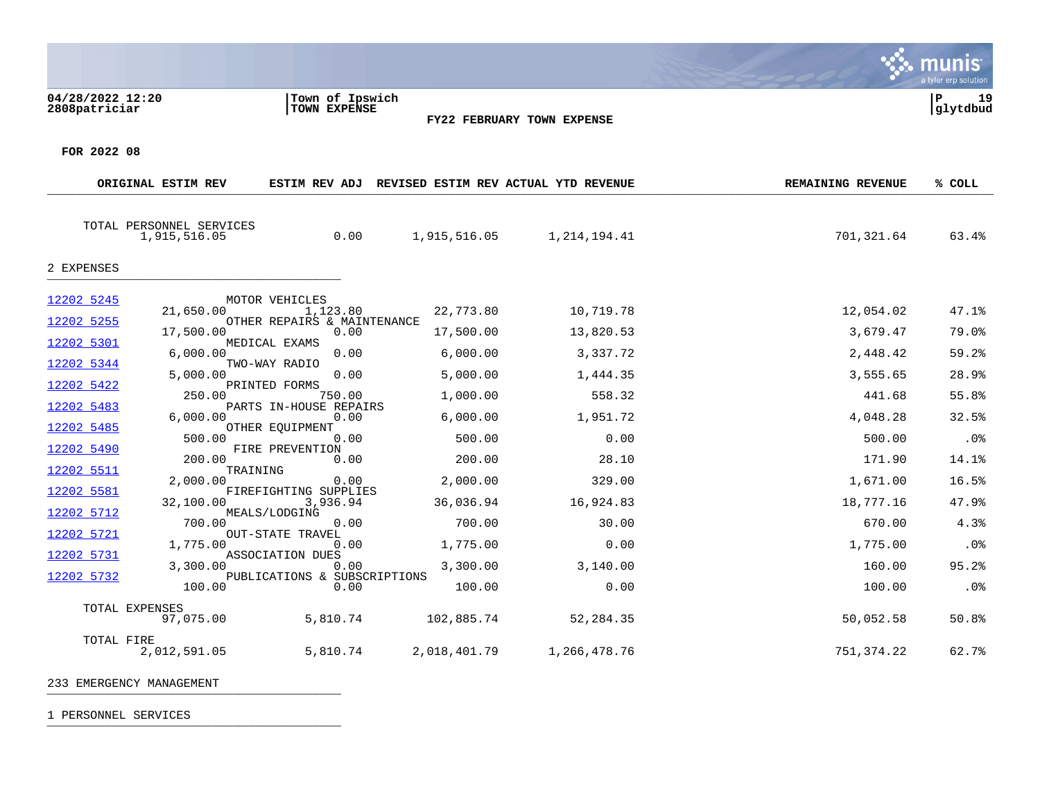| 04/28/2022 12:20<br>2808patriciar |                                          | Town of Ipswich<br>TOWN EXPENSE                           | <b>FY22 FEBRUARY TOWN EXPENSE</b>    |              |                          | a tyler erp solution<br>19<br>P<br> glytdbud |
|-----------------------------------|------------------------------------------|-----------------------------------------------------------|--------------------------------------|--------------|--------------------------|----------------------------------------------|
| FOR 2022 08                       |                                          |                                                           |                                      |              |                          |                                              |
|                                   | ORIGINAL ESTIM REV                       | ESTIM REV ADJ                                             | REVISED ESTIM REV ACTUAL YTD REVENUE |              | <b>REMAINING REVENUE</b> | % COLL                                       |
|                                   | TOTAL PERSONNEL SERVICES<br>1,915,516.05 | 0.00                                                      | 1,915,516.05                         | 1,214,194.41 | 701,321.64               | 63.4%                                        |
| 2 EXPENSES                        |                                          |                                                           |                                      |              |                          |                                              |
| 12202 5245<br>12202 5255          | 21,650.00                                | MOTOR VEHICLES<br>1,123.80<br>OTHER REPAIRS & MAINTENANCE | 22,773.80                            | 10,719.78    | 12,054.02                | 47.1%                                        |

 $\mathcal{L}$  munis

17,500.00 0.00 17,500.00 13,820.53 3,679.47 79.0%

6,000.00 0.00 6,000.00 3,337.72 2,448.42 59.2%

5,000.00 0.00 5,000.00 1,444.35 3,555.65 28.9%

250.00 750.00 1,000.00 558.32 441.68 55.8%

6,000.00 0.00 6,000.00 1,951.72 4,048.28 32.5%

500.00 0.00 500.00 0.00 500.00 .0%

200.00 0.00 200.00 28.10 171.90 14.1%

2,000.00 0.00 2,000.00 329.00 1,671.00 16.5%

32,100.00 3,936.94 36,036.94 16,924.83 18,777.16 47.9%

700.00 0.00 700.00 30.00 670.00 4.3%

1,775.00 0.00 1,775.00 0.00 1,775.00 .0%

3,300.00 0.00 3,300.00 3,140.00 160.00 95.2%

100.00 0.00 100.00 0.00 100.00 .0%

97,075.00 5,810.74 102,885.74 52,284.35 50,052.58 50.8%

2,012,591.05 5,810.74 2,018,401.79 1,266,478.76 751,374.22 62.7%

# 1 PERSONNEL SERVICES \_\_\_\_\_\_\_\_\_\_\_\_\_\_\_\_\_\_\_\_\_\_\_\_\_\_\_\_\_\_\_\_\_\_\_\_\_\_\_\_\_

TOTAL EXPENSES<br>97.075.00

TOTAL FIRE<br>2,012,591.05

[12202 5301](https://yvwlndash063.tylertech.com/sites/mu2808/Live/_layouts/15/DashboardMunisV6.3/PassThru.aspx?-E=82ybAly2Dr2qvr5utYpnyL7s6I%2BOhw/CtjXVeTGzJm4dYn5nfQ6ZMGcOj8OQFb7m&) MEDICAL EXAMS<br>6,000.00

[12202 5344](https://yvwlndash063.tylertech.com/sites/mu2808/Live/_layouts/15/DashboardMunisV6.3/PassThru.aspx?-E=2KLcGk5VzytEouENTEDr%2BECF3odqALdOVTRCjF8iJWLKAc1alF%2Bu3YzCHsFndUdB&) TWO-WAY RADIO<br>5.000.00

[12202 5511](https://yvwlndash063.tylertech.com/sites/mu2808/Live/_layouts/15/DashboardMunisV6.3/PassThru.aspx?-E=cH7JLvGgqXflLS82GOcSC6t9eibh9BseJX5Vu0B2AajbT77ksTVi9p6Js4EaBbXi&) TRAINING<br>2,000.00

[12202 5712](https://yvwlndash063.tylertech.com/sites/mu2808/Live/_layouts/15/DashboardMunisV6.3/PassThru.aspx?-E=1wstOauGlB/xdtJFc%2BmtskcPQ9nwUMYiJ8EWaHKcEqWeycLsUsCEED9oFhNxQkAZ&) MEALS/LODGING

[12202 5422](https://yvwlndash063.tylertech.com/sites/mu2808/Live/_layouts/15/DashboardMunisV6.3/PassThru.aspx?-E=8EeG3gLv2h1XpEbL564dYTn95NClU%2BdQ6it5tfM9ECKmmFTg/j8gNXcrqt9MPTJo&) **PRINTED FORMS**<br>250.00 750.00

[12202 5485](https://yvwlndash063.tylertech.com/sites/mu2808/Live/_layouts/15/DashboardMunisV6.3/PassThru.aspx?-E=n5nDFtns8LmlB61p20rgTAHLrpJIboV72pOKXQ3WEYIKcL8qm3qDiqaXkr/TP2gh&) OTHER EQUIPMENT 500.00

[12202 5490](https://yvwlndash063.tylertech.com/sites/mu2808/Live/_layouts/15/DashboardMunisV6.3/PassThru.aspx?-E=XRWPPeLwGMD8Yvlk8RXohu1GdGQ/h4l4pWIUaVJkcUJfUkbTq04jlKeaTey58foM&) FIRE PREVENTION 200.00

[12202 5581](https://yvwlndash063.tylertech.com/sites/mu2808/Live/_layouts/15/DashboardMunisV6.3/PassThru.aspx?-E=4e9myEvnbI%2BT2JYHHU/m9YGceFfJ0/jHgtla4LpVyQyzHtCMDlj13Pg8Y1k46x97&) FIREFIGHTING SUPPLIES<br>32,100.00 3,936.94

[12202 5721](https://yvwlndash063.tylertech.com/sites/mu2808/Live/_layouts/15/DashboardMunisV6.3/PassThru.aspx?-E=ftDi%2B%2Bre1d/o8RuxXq06%2B0CpRFB2xSQDLi/1FQ01LjNchQ5ckPpsdHlB7tEOZQgK&) OUT-STATE TRAVEL<br>1,775.00 0.00

[12202 5731](https://yvwlndash063.tylertech.com/sites/mu2808/Live/_layouts/15/DashboardMunisV6.3/PassThru.aspx?-E=unz2ij/UwXCDQ2pdVjpQ0krqOfL77gpR6YnSHLJe%2B9jrnLl2Vt6G0N2%2BumxFa5PM&) ASSOCIATION DUES<br>3,300.00 0.00

233 EMERGENCY MANAGEMENT \_\_\_\_\_\_\_\_\_\_\_\_\_\_\_\_\_\_\_\_\_\_\_\_\_\_\_\_\_\_\_\_\_\_\_\_\_\_\_\_\_

[12202 5732](https://yvwlndash063.tylertech.com/sites/mu2808/Live/_layouts/15/DashboardMunisV6.3/PassThru.aspx?-E=4HLaCumWwUhEcC2VT5MFSfbwNPLIMLfXhphtw3TvAQgNWdHL1snOjR6Z9TyOj9CC&) PUBLICATIONS & SUBSCRIPTIONS<br>100.00 0.00

[12202 5483](https://yvwlndash063.tylertech.com/sites/mu2808/Live/_layouts/15/DashboardMunisV6.3/PassThru.aspx?-E=fVP2PsSfpuqBWbS4AEXxh44b/qo1LbSFlIxYeZgDSLO4R18Va/GV5XAV1a0Qky1P&) PARTS IN-HOUSE REPAIRS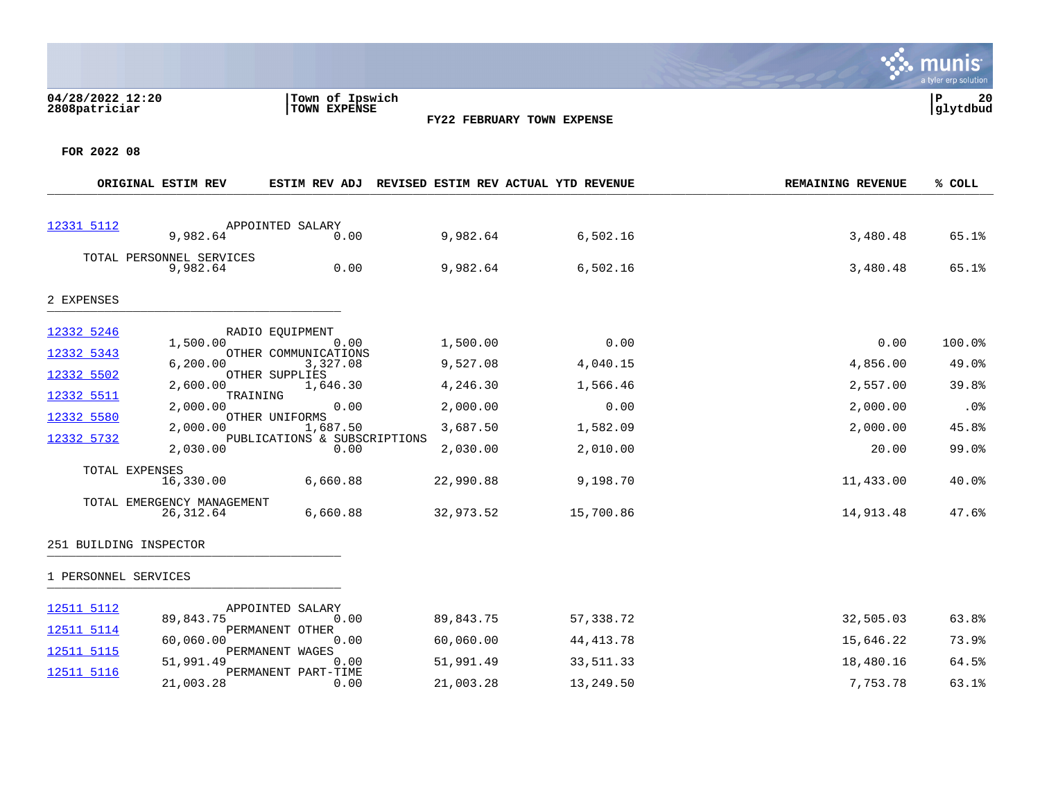

|                                                                                  | ORIGINAL ESTIM REV                                                                                                                                           |                                                                                                                                                                                                 | ESTIM REV ADJ REVISED ESTIM REV ACTUAL YTD REVENUE                                             |                                                                                       | <b>REMAINING REVENUE</b>                                                                | % COLL                                                              |
|----------------------------------------------------------------------------------|--------------------------------------------------------------------------------------------------------------------------------------------------------------|-------------------------------------------------------------------------------------------------------------------------------------------------------------------------------------------------|------------------------------------------------------------------------------------------------|---------------------------------------------------------------------------------------|-----------------------------------------------------------------------------------------|---------------------------------------------------------------------|
| 12331 5112                                                                       | 9,982.64                                                                                                                                                     | APPOINTED SALARY<br>0.00                                                                                                                                                                        | 9,982.64                                                                                       | 6,502.16                                                                              | 3,480.48                                                                                | 65.1%                                                               |
|                                                                                  | TOTAL PERSONNEL SERVICES<br>9,982.64                                                                                                                         | 0.00                                                                                                                                                                                            | 9,982.64                                                                                       | 6,502.16                                                                              | 3,480.48                                                                                | 65.1%                                                               |
| 2 EXPENSES                                                                       |                                                                                                                                                              |                                                                                                                                                                                                 |                                                                                                |                                                                                       |                                                                                         |                                                                     |
| 12332 5246<br>12332 5343<br>12332 5502<br>12332 5511<br>12332 5580<br>12332 5732 | 1,500.00<br>6, 200.00<br>2,600.00<br>TRAINING<br>2,000.00<br>2,000.00<br>2,030.00<br>TOTAL EXPENSES<br>16,330.00<br>TOTAL EMERGENCY MANAGEMENT<br>26, 312.64 | RADIO EQUIPMENT<br>0.00<br>OTHER COMMUNICATIONS<br>3,327.08<br>OTHER SUPPLIES<br>1,646.30<br>0.00<br>OTHER UNIFORMS<br>1,687.50<br>PUBLICATIONS & SUBSCRIPTIONS<br>0.00<br>6,660.88<br>6,660.88 | 1,500.00<br>9,527.08<br>4,246.30<br>2,000.00<br>3,687.50<br>2,030.00<br>22,990.88<br>32,973.52 | 0.00<br>4,040.15<br>1,566.46<br>0.00<br>1,582.09<br>2,010.00<br>9,198.70<br>15,700.86 | 0.00<br>4,856.00<br>2,557.00<br>2,000.00<br>2,000.00<br>20.00<br>11,433.00<br>14,913.48 | 100.0%<br>49.0%<br>39.8%<br>.0%<br>45.8%<br>99.0%<br>40.0%<br>47.6% |
| 1 PERSONNEL SERVICES                                                             | 251 BUILDING INSPECTOR                                                                                                                                       |                                                                                                                                                                                                 |                                                                                                |                                                                                       |                                                                                         |                                                                     |
|                                                                                  |                                                                                                                                                              |                                                                                                                                                                                                 |                                                                                                |                                                                                       |                                                                                         |                                                                     |
| 12511 5112<br>12511 5114<br>12511 5115<br>12511 5116                             | 89,843.75<br>60,060.00<br>51,991.49<br>21,003.28                                                                                                             | APPOINTED SALARY<br>0.00<br>PERMANENT OTHER<br>0.00<br>PERMANENT WAGES<br>0.00<br>PERMANENT PART-TIME<br>0.00                                                                                   | 89,843.75<br>60,060.00<br>51,991.49<br>21,003.28                                               | 57,338.72<br>44, 413. 78<br>33,511.33<br>13,249.50                                    | 32,505.03<br>15,646.22<br>18,480.16<br>7,753.78                                         | 63.8%<br>73.9%<br>64.5%<br>63.1%                                    |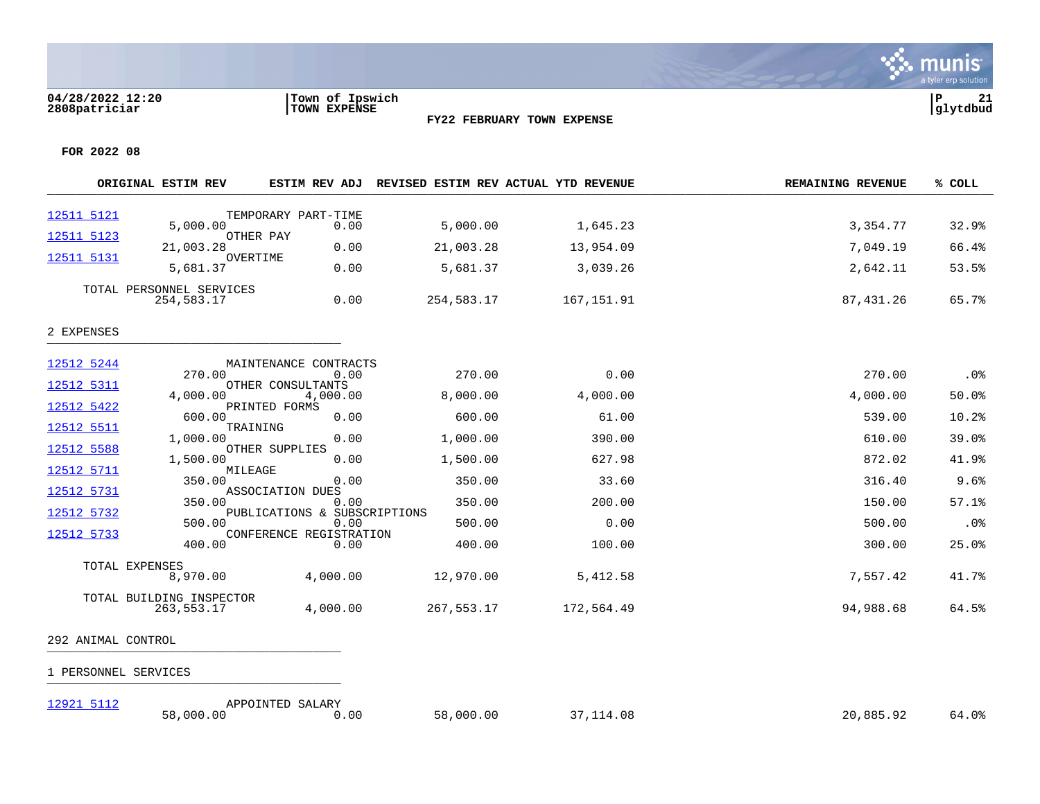

**FOR 2022 08**

|                          | ORIGINAL ESTIM REV                     | ESTIM REV ADJ                        | REVISED ESTIM REV ACTUAL YTD REVENUE |            | <b>REMAINING REVENUE</b> | % COLL |
|--------------------------|----------------------------------------|--------------------------------------|--------------------------------------|------------|--------------------------|--------|
| 12511 5121               |                                        | TEMPORARY PART-TIME                  |                                      |            |                          |        |
| 12511 5123               | 5,000.00<br>OTHER PAY                  | 0.00                                 | 5,000.00                             | 1,645.23   | 3,354.77                 | 32.9%  |
| 12511 5131               | 21,003.28<br>OVERTIME                  | 0.00                                 | 21,003.28                            | 13,954.09  | 7,049.19                 | 66.4%  |
|                          | 5,681.37                               | 0.00                                 | 5,681.37                             | 3,039.26   | 2,642.11                 | 53.5%  |
|                          | TOTAL PERSONNEL SERVICES<br>254,583.17 | 0.00                                 | 254,583.17                           | 167,151.91 | 87,431.26                | 65.7%  |
| 2 EXPENSES               |                                        |                                      |                                      |            |                          |        |
| 12512 5244               |                                        | MAINTENANCE CONTRACTS                |                                      |            |                          |        |
| 12512 5311               | 270.00                                 | 0.00<br>OTHER CONSULTANTS            | 270.00                               | 0.00       | 270.00                   | .0%    |
| 12512 5422               | 4,000.00                               | 4,000.00<br>PRINTED FORMS            | 8,000.00                             | 4,000.00   | 4,000.00                 | 50.0%  |
|                          | 600.00                                 | 0.00                                 | 600.00                               | 61.00      | 539.00                   | 10.2%  |
| 12512 5511<br>12512 5588 | TRAINING<br>1,000.00                   | 0.00<br>OTHER SUPPLIES               | 1,000.00                             | 390.00     | 610.00                   | 39.0%  |
|                          | 1,500.00                               | 0.00                                 | 1,500.00                             | 627.98     | 872.02                   | 41.9%  |
| 12512 5711               | MILEAGE<br>350.00                      | 0.00                                 | 350.00                               | 33.60      | 316.40                   | 9.6%   |
| 12512 5731               | 350.00                                 | ASSOCIATION DUES<br>0.00             | 350.00                               | 200.00     | 150.00                   | 57.1%  |
| 12512 5732               | 500.00                                 | PUBLICATIONS & SUBSCRIPTIONS<br>0.00 | 500.00                               | 0.00       | 500.00                   | .0%    |
| 12512 5733               | 400.00                                 | CONFERENCE REGISTRATION<br>0.00      | 400.00                               | 100.00     | 300.00                   | 25.0%  |
|                          | TOTAL EXPENSES<br>8,970.00             | 4,000.00                             | 12,970.00                            | 5,412.58   | 7,557.42                 | 41.7%  |
|                          | TOTAL BUILDING INSPECTOR<br>263,553.17 | 4,000.00                             | 267,553.17                           | 172,564.49 | 94,988.68                | 64.5%  |

292 ANIMAL CONTROL \_\_\_\_\_\_\_\_\_\_\_\_\_\_\_\_\_\_\_\_\_\_\_\_\_\_\_\_\_\_\_\_\_\_\_\_\_\_\_\_\_

1 PERSONNEL SERVICES \_\_\_\_\_\_\_\_\_\_\_\_\_\_\_\_\_\_\_\_\_\_\_\_\_\_\_\_\_\_\_\_\_\_\_\_\_\_\_\_\_

[12921 5112](https://yvwlndash063.tylertech.com/sites/mu2808/Live/_layouts/15/DashboardMunisV6.3/PassThru.aspx?-E=wYkjIeYFiGp5wtySfullzC6o6Dy/XDkX4Of8GR4JQo4xMsr00RMfwxhk5PHcaRbG&) <br>58,000.00 APPOINTED SALARY<br>0.00 00

58,000.00 0.00 58,000.00 37,114.08 20,885.92 64.0%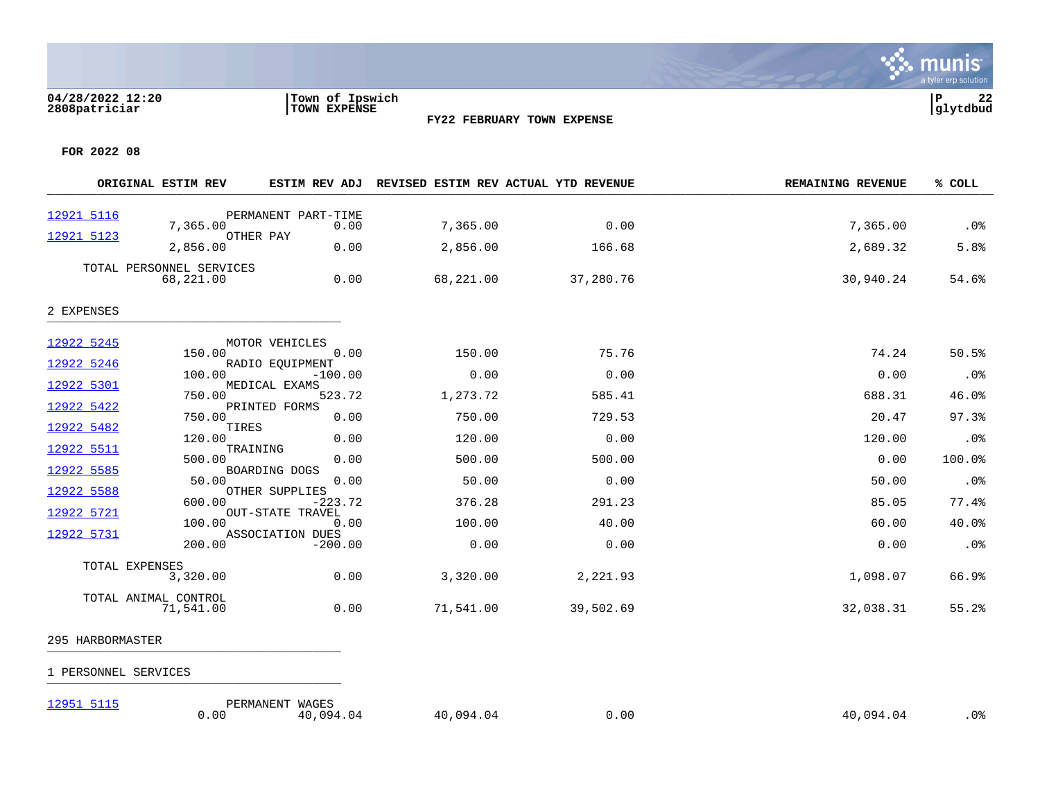

**FOR 2022 08**

|            | ORIGINAL ESTIM REV                    | ESTIM REV ADJ                        |           | REVISED ESTIM REV ACTUAL YTD REVENUE | <b>REMAINING REVENUE</b> | % COLL |
|------------|---------------------------------------|--------------------------------------|-----------|--------------------------------------|--------------------------|--------|
| 12921 5116 |                                       | PERMANENT PART-TIME                  |           |                                      |                          |        |
|            | 7,365.00                              | 0.00<br>OTHER PAY                    | 7,365.00  | 0.00                                 | 7,365.00                 | .0%    |
| 12921 5123 | 2,856.00                              | 0.00                                 | 2,856.00  | 166.68                               | 2,689.32                 | 5.8%   |
|            | TOTAL PERSONNEL SERVICES<br>68,221.00 | 0.00                                 | 68,221.00 | 37,280.76                            | 30,940.24                | 54.6%  |
| 2 EXPENSES |                                       |                                      |           |                                      |                          |        |
| 12922 5245 |                                       | MOTOR VEHICLES                       |           |                                      |                          |        |
| 12922 5246 | 150.00                                | 0.00<br>RADIO EQUIPMENT              | 150.00    | 75.76                                | 74.24                    | 50.5%  |
|            | 100.00                                | $-100.00$                            | 0.00      | 0.00                                 | 0.00                     | .0%    |
| 12922 5301 | 750.00                                | MEDICAL EXAMS<br>523.72              | 1,273.72  | 585.41                               | 688.31                   | 46.0%  |
| 12922 5422 | 750.00                                | PRINTED FORMS<br>0.00                | 750.00    | 729.53                               | 20.47                    | 97.3%  |
| 12922 5482 | TIRES<br>120.00                       | 0.00                                 | 120.00    | 0.00                                 | 120.00                   | .0%    |
| 12922 5511 | TRAINING<br>500.00                    | 0.00                                 | 500.00    | 500.00                               | 0.00                     | 100.0% |
| 12922 5585 | 50.00                                 | BOARDING DOGS<br>0.00                | 50.00     | 0.00                                 | 50.00                    | .0%    |
| 12922 5588 |                                       | OTHER SUPPLIES                       |           |                                      |                          |        |
| 12922 5721 | 600.00                                | $-223.72$<br><b>OUT-STATE TRAVEL</b> | 376.28    | 291.23                               | 85.05                    | 77.4%  |
| 12922 5731 | 100.00                                | 0.00<br>ASSOCIATION DUES             | 100.00    | 40.00                                | 60.00                    | 40.0%  |
|            | 200.00                                | $-200.00$                            | 0.00      | 0.00                                 | 0.00                     | .0%    |
|            | TOTAL EXPENSES<br>3,320.00            | 0.00                                 | 3,320.00  | 2,221.93                             | 1,098.07                 | 66.9%  |
|            | TOTAL ANIMAL CONTROL<br>71,541.00     | 0.00                                 | 71,541.00 | 39,502.69                            | 32,038.31                | 55.2%  |

- 295 HARBORMASTER 233 IIANDONMASI ER
- 1 PERSONNEL SERVICES \_\_\_\_\_\_\_\_\_\_\_\_\_\_\_\_\_\_\_\_\_\_\_\_\_\_\_\_\_\_\_\_\_\_\_\_\_\_\_\_\_
- 

[12951 5115](https://yvwlndash063.tylertech.com/sites/mu2808/Live/_layouts/15/DashboardMunisV6.3/PassThru.aspx?-E=6EAHI%2BAoIqJ3QL8n70fXkpAzCKc9ARRyOyuiohJpcHcFQj9egZf4aneldvrQKyw5&) PERMANENT WAGES  $0.00$   $40,094.04$   $40,094.04$   $40,094.04$   $40,094.04$   $40,094.04$   $40,094.04$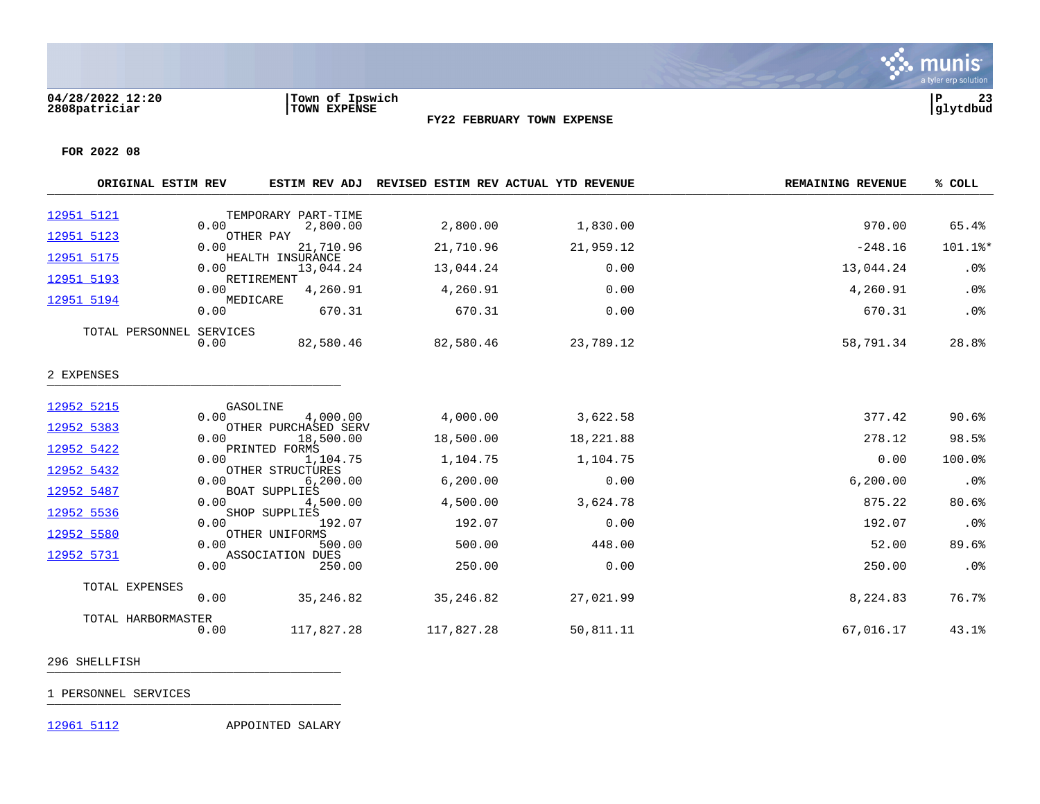

**FOR 2022 08**

|                          | ORIGINAL ESTIM REV       |                  |                                               | ESTIM REV ADJ REVISED ESTIM REV ACTUAL YTD REVENUE |           | <b>REMAINING REVENUE</b> | % COLL  |
|--------------------------|--------------------------|------------------|-----------------------------------------------|----------------------------------------------------|-----------|--------------------------|---------|
| 12951 5121               |                          | 0.00             | TEMPORARY PART-TIME<br>2,800.00               | 2,800.00                                           | 1,830.00  | 970.00                   | 65.4%   |
| 12951 5123               |                          | 0.00             | OTHER PAY<br>21,710.96                        | 21,710.96                                          | 21,959.12 | $-248.16$                | 101.1%* |
| 12951 5175               |                          | 0.00             | HEALTH INSURANCE<br>13,044.24                 | 13,044.24                                          | 0.00      | 13,044.24                | .0%     |
| 12951 5193               |                          | 0.00<br>MEDICARE | RETIREMENT<br>4,260.91                        | 4,260.91                                           | 0.00      | 4,260.91                 | .0%     |
| 12951 5194               |                          | 0.00             | 670.31                                        | 670.31                                             | 0.00      | 670.31                   | .0%     |
|                          | TOTAL PERSONNEL SERVICES | 0.00             | 82,580.46                                     | 82,580.46                                          | 23,789.12 | 58,791.34                | 28.8%   |
| 2 EXPENSES               |                          |                  |                                               |                                                    |           |                          |         |
| 12952 5215               |                          | GASOLINE         |                                               |                                                    |           |                          |         |
| 12952 5383               |                          | 0.00             | 4,000.00<br>OTHER PURCHASED SERV              | 4,000.00                                           | 3,622.58  | 377.42                   | 90.6%   |
|                          |                          | 0.00             | 18,500.00                                     | 18,500.00                                          | 18,221.88 | 278.12                   | 98.5%   |
| 12952 5422<br>12952 5432 |                          | 0.00             | PRINTED FORMS<br>1,104.75<br>OTHER STRUCTURES | 1,104.75                                           | 1,104.75  | 0.00                     | 100.0%  |
|                          |                          | 0.00             | 6, 200.00                                     | 6, 200.00                                          | 0.00      | 6, 200.00                | .0%     |
| 12952 5487               |                          | 0.00             | <b>BOAT SUPPLIES</b><br>4,500.00              | 4,500.00                                           | 3,624.78  | 875.22                   | 80.6%   |
| 12952 5536               |                          | 0.00             | SHOP SUPPLIES<br>192.07                       | 192.07                                             | 0.00      | 192.07                   | .0%     |
| 12952 5580               |                          | 0.00             | OTHER UNIFORMS<br>500.00                      | 500.00                                             | 448.00    | 52.00                    | 89.6%   |
| 12952 5731               |                          | 0.00             | ASSOCIATION DUES<br>250.00                    | 250.00                                             | 0.00      | 250.00                   | .0%     |
|                          |                          |                  |                                               |                                                    |           |                          |         |
|                          | TOTAL EXPENSES           | 0.00             | 35,246.82                                     | 35,246.82                                          | 27,021.99 | 8,224.83                 | 76.7%   |
|                          | TOTAL HARBORMASTER       | 0.00             | 117,827.28                                    | 117,827.28                                         | 50,811.11 | 67,016.17                | 43.1%   |

296 SHELLFISH \_\_\_\_\_\_\_\_\_\_\_\_\_\_\_\_\_\_\_\_\_\_\_\_\_\_\_\_\_\_\_\_\_\_\_\_\_\_\_\_\_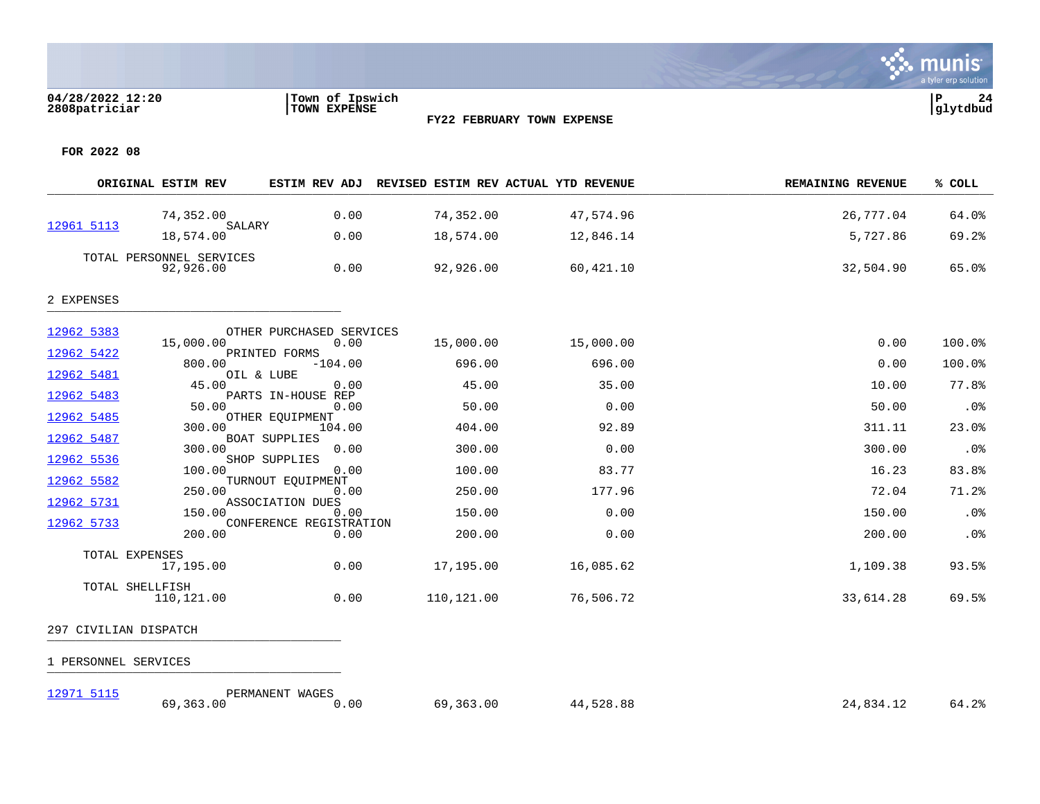

**FOR 2022 08**

|                          | ORIGINAL ESTIM REV                    | ESTIM REV ADJ                   | REVISED ESTIM REV ACTUAL YTD REVENUE |           | <b>REMAINING REVENUE</b> | % COLL |
|--------------------------|---------------------------------------|---------------------------------|--------------------------------------|-----------|--------------------------|--------|
|                          | 74,352.00                             | 0.00                            | 74,352.00                            | 47,574.96 | 26,777.04                | 64.0%  |
| 12961 5113               | SALARY<br>18,574.00                   | 0.00                            | 18,574.00                            | 12,846.14 | 5,727.86                 | 69.2%  |
|                          | TOTAL PERSONNEL SERVICES<br>92,926.00 | 0.00                            | 92,926.00                            | 60,421.10 | 32,504.90                | 65.0%  |
| 2 EXPENSES               |                                       |                                 |                                      |           |                          |        |
| 12962 5383               |                                       | OTHER PURCHASED SERVICES        |                                      |           |                          |        |
| 12962 5422               | 15,000.00                             | 0.00<br>PRINTED FORMS           | 15,000.00                            | 15,000.00 | 0.00                     | 100.0% |
|                          | 800.00                                | $-104.00$                       | 696.00                               | 696.00    | 0.00                     | 100.0% |
| 12962 5481<br>12962 5483 | OIL & LUBE<br>45.00                   | 0.00<br>PARTS IN-HOUSE REP      | 45.00                                | 35.00     | 10.00                    | 77.8%  |
| 12962 5485               | 50.00                                 | 0.00<br>OTHER EQUIPMENT         | 50.00                                | 0.00      | 50.00                    | .0%    |
|                          | 300.00                                | 104.00                          | 404.00                               | 92.89     | 311.11                   | 23.0%  |
| 12962 5487               | 300.00                                | <b>BOAT SUPPLIES</b><br>0.00    | 300.00                               | 0.00      | 300.00                   | .0%    |
| 12962 5536               | 100.00                                | SHOP SUPPLIES<br>0.00           | 100.00                               | 83.77     | 16.23                    | 83.8%  |
| 12962 5582               | 250.00                                | TURNOUT EQUIPMENT<br>0.00       | 250.00                               | 177.96    | 72.04                    | 71.2%  |
| 12962 5731               |                                       | ASSOCIATION DUES                |                                      |           |                          |        |
| 12962 5733               | 150.00                                | 0.00<br>CONFERENCE REGISTRATION | 150.00                               | 0.00      | 150.00                   | .0%    |
|                          | 200.00                                | 0.00                            | 200.00                               | 0.00      | 200.00                   | .0%    |
|                          | TOTAL EXPENSES<br>17,195.00           | 0.00                            | 17,195.00                            | 16,085.62 | 1,109.38                 | 93.5%  |
|                          | TOTAL SHELLFISH<br>110,121.00         | 0.00                            | 110,121.00                           | 76,506.72 | 33,614.28                | 69.5%  |

# 297 CIVILIAN DISPATCH \_\_\_\_\_\_\_\_\_\_\_\_\_\_\_\_\_\_\_\_\_\_\_\_\_\_\_\_\_\_\_\_\_\_\_\_\_\_\_\_\_

1 PERSONNEL SERVICES \_\_\_\_\_\_\_\_\_\_\_\_\_\_\_\_\_\_\_\_\_\_\_\_\_\_\_\_\_\_\_\_\_\_\_\_\_\_\_\_\_

[12971 5115](https://yvwlndash063.tylertech.com/sites/mu2808/Live/_layouts/15/DashboardMunisV6.3/PassThru.aspx?-E=Pwz7Hd5ubIVw6eTDVSNzSaf1PMgS3sKdwJ8b1jdSgggGKhmnrNNGlHpGc7GfkYGE&) PERMANENT WAGES

69,363.00 0.00 69,363.00 44,528.88 24,834.12 64.2%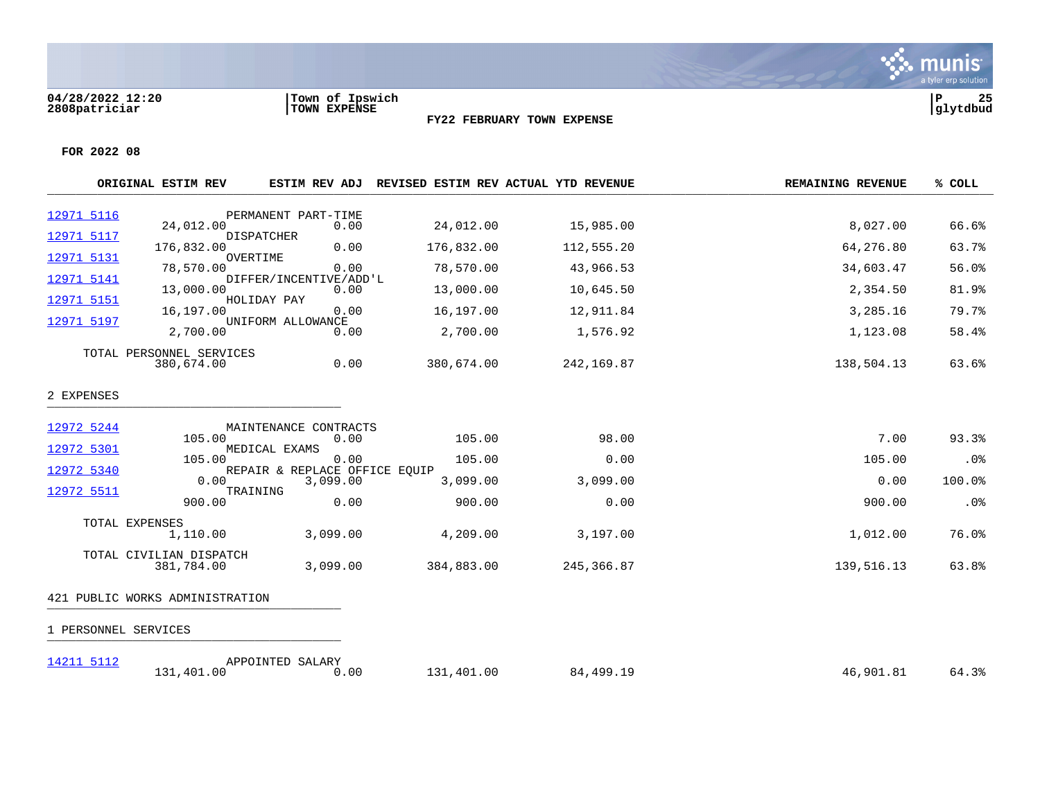

**FOR 2022 08**

|            | ORIGINAL ESTIM REV                     | ESTIM REV ADJ                         |            | REVISED ESTIM REV ACTUAL YTD REVENUE | <b>REMAINING REVENUE</b> | % COLL |
|------------|----------------------------------------|---------------------------------------|------------|--------------------------------------|--------------------------|--------|
| 12971 5116 |                                        | PERMANENT PART-TIME                   |            |                                      |                          |        |
| 12971 5117 | 24,012.00                              | 0.00<br><b>DISPATCHER</b>             | 24,012.00  | 15,985.00                            | 8,027.00                 | 66.6%  |
| 12971 5131 | 176,832.00                             | 0.00<br>OVERTIME                      | 176,832.00 | 112,555.20                           | 64,276.80                | 63.7%  |
| 12971 5141 | 78,570.00                              | 0.00<br>DIFFER/INCENTIVE/ADD'L        | 78,570.00  | 43,966.53                            | 34,603.47                | 56.0%  |
| 12971 5151 | 13,000.00                              | 0.00<br>HOLIDAY PAY                   | 13,000.00  | 10,645.50                            | 2,354.50                 | 81.9%  |
| 12971 5197 | 16,197.00                              | 0.00<br>UNIFORM ALLOWANCE             | 16,197.00  | 12,911.84                            | 3,285.16                 | 79.7%  |
|            | 2,700.00                               | 0.00                                  | 2,700.00   | 1,576.92                             | 1,123.08                 | 58.4%  |
|            | TOTAL PERSONNEL SERVICES<br>380,674.00 | 0.00                                  | 380,674.00 | 242,169.87                           | 138,504.13               | 63.6%  |
| 2 EXPENSES |                                        |                                       |            |                                      |                          |        |
| 12972 5244 |                                        | MAINTENANCE CONTRACTS                 |            |                                      |                          |        |
| 12972 5301 | 105.00                                 | 0.00<br>MEDICAL EXAMS                 | 105.00     | 98.00                                | 7.00                     | 93.3%  |
| 12972 5340 | 105.00                                 | 0.00<br>REPAIR & REPLACE OFFICE EQUIP | 105.00     | 0.00                                 | 105.00                   | .0%    |
| 12972 5511 | 0.00                                   | 3,099.00<br>TRAINING                  | 3,099.00   | 3,099.00                             | 0.00                     | 100.0% |
|            | 900.00                                 | 0.00                                  | 900.00     | 0.00                                 | 900.00                   | .0%    |
|            | TOTAL EXPENSES<br>1,110.00             | 3,099.00                              | 4,209.00   | 3,197.00                             | 1,012.00                 | 76.0%  |
|            | TOTAL CIVILIAN DISPATCH<br>381,784.00  | 3,099.00                              | 384,883.00 | 245,366.87                           | 139,516.13               | 63.8%  |
|            | 421 PUBLIC WORKS ADMINISTRATION        |                                       |            |                                      |                          |        |
|            | 1 PERSONNEL SERVICES                   |                                       |            |                                      |                          |        |
| 14211 5112 | 131,401.00                             | APPOINTED SALARY<br>0.00              | 131,401.00 | 84,499.19                            | 46,901.81                | 64.3%  |

131,401.00 0.00 131,401.00 84,499.19 46,901.81 64.3%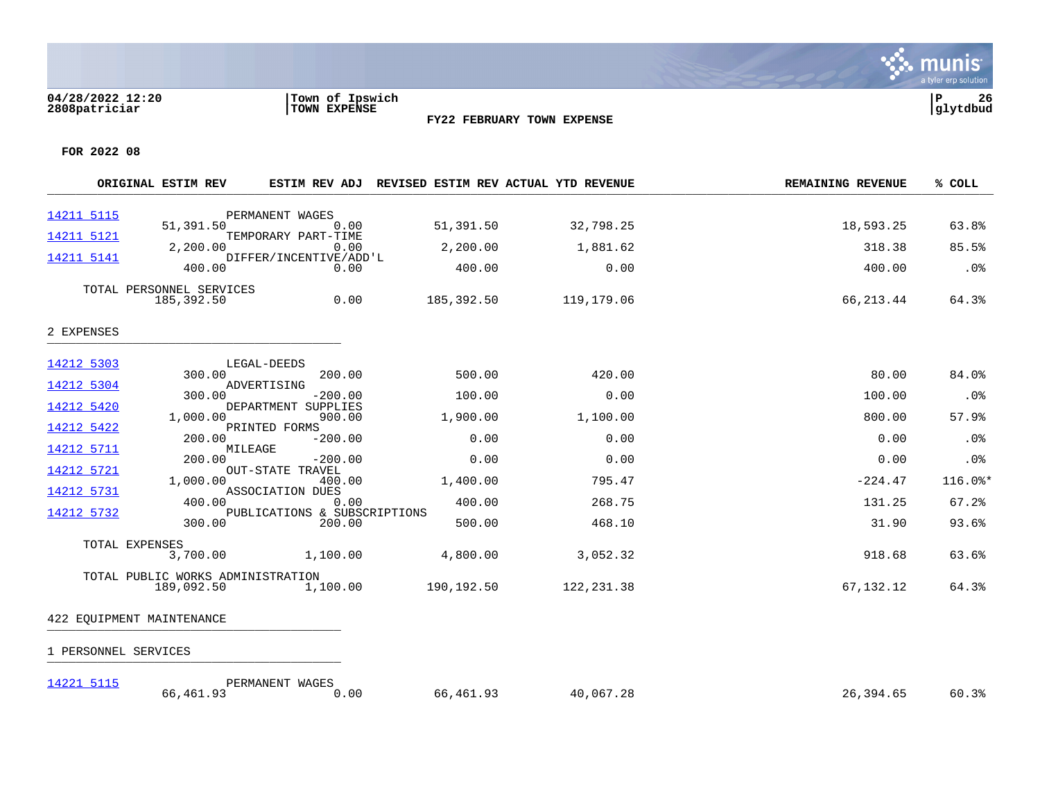### **04/28/2022 12:20 |Town of Ipswich |P 26 2808patriciar |TOWN EXPENSE |glytdbud**



**FY22 FEBRUARY TOWN EXPENSE**

**FOR 2022 08**

|            | ORIGINAL ESTIM REV                     | ESTIM REV ADJ                        |            | REVISED ESTIM REV ACTUAL YTD REVENUE | <b>REMAINING REVENUE</b> | % COLL  |
|------------|----------------------------------------|--------------------------------------|------------|--------------------------------------|--------------------------|---------|
| 14211 5115 |                                        | PERMANENT WAGES                      |            |                                      |                          |         |
| 14211 5121 | 51,391.50                              | 0.00<br>TEMPORARY PART-TIME          | 51,391.50  | 32,798.25                            | 18,593.25                | 63.8%   |
|            | 2,200.00                               | 0.00                                 | 2,200.00   | 1,881.62                             | 318.38                   | 85.5%   |
| 14211 5141 | 400.00                                 | DIFFER/INCENTIVE/ADD'L<br>0.00       | 400.00     | 0.00                                 | 400.00                   | .0%     |
|            | TOTAL PERSONNEL SERVICES<br>185,392.50 | 0.00                                 | 185,392.50 | 119,179.06                           | 66, 213.44               | 64.3%   |
| 2 EXPENSES |                                        |                                      |            |                                      |                          |         |
| 14212 5303 |                                        | LEGAL-DEEDS                          |            |                                      |                          |         |
| 14212 5304 | 300.00                                 | 200.00<br>ADVERTISING                | 500.00     | 420.00                               | 80.00                    | 84.0%   |
|            | 300.00                                 | $-200.00$                            | 100.00     | 0.00                                 | 100.00                   | .0%     |
| 14212 5420 | 1,000.00                               | DEPARTMENT SUPPLIES<br>900.00        | 1,900.00   | 1,100.00                             | 800.00                   | 57.9%   |
| 14212 5422 | 200.00                                 | PRINTED FORMS<br>$-200.00$           | 0.00       | 0.00                                 | 0.00                     | .0%     |
| 14212 5711 | 200.00                                 | MILEAGE<br>$-200.00$                 | 0.00       | 0.00                                 | 0.00                     | .0%     |
| 14212 5721 | 1,000.00                               | <b>OUT-STATE TRAVEL</b><br>400.00    | 1,400.00   | 795.47                               | $-224.47$                | 116.0%* |
| 14212 5731 |                                        | ASSOCIATION DUES                     |            |                                      |                          |         |
| 14212 5732 | 400.00                                 | 0.00<br>PUBLICATIONS & SUBSCRIPTIONS | 400.00     | 268.75                               | 131.25                   | 67.2%   |
|            | 300.00                                 | 200.00                               | 500.00     | 468.10                               | 31.90                    | 93.6%   |
|            | TOTAL EXPENSES                         |                                      |            |                                      |                          |         |
|            | 3,700.00                               | 1,100.00                             | 4,800.00   | 3,052.32                             | 918.68                   | 63.6%   |
|            | TOTAL PUBLIC WORKS ADMINISTRATION      |                                      |            |                                      |                          |         |
|            | 189,092.50                             | 1,100.00                             | 190,192.50 | 122, 231.38                          | 67,132.12                | 64.3%   |
|            | 422 EQUIPMENT MAINTENANCE              |                                      |            |                                      |                          |         |

| 14221 5115 | PERMANENT WAGES |                  |           |           |           |       |
|------------|-----------------|------------------|-----------|-----------|-----------|-------|
|            | 66,461.93       | $\sim$ 00 $\sim$ | 66,461.93 | 40,067.28 | 26,394.65 | 60.3% |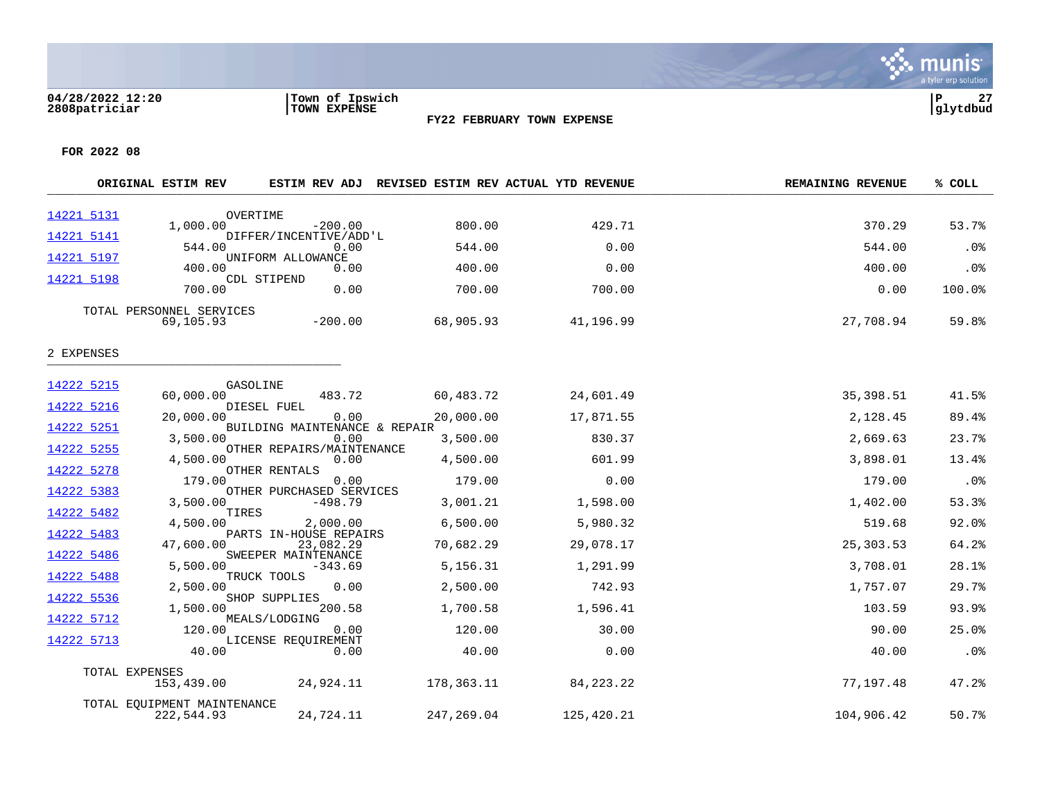### **04/28/2022 12:20 |Town of Ipswich |P 27 2808patriciar |TOWN EXPENSE |glytdbud**



**FY22 FEBRUARY TOWN EXPENSE**

|                          | ORIGINAL ESTIM REV                        |                                       | ESTIM REV ADJ REVISED ESTIM REV ACTUAL YTD REVENUE |             | <b>REMAINING REVENUE</b> | % COLL |
|--------------------------|-------------------------------------------|---------------------------------------|----------------------------------------------------|-------------|--------------------------|--------|
| 14221 5131               | OVERTIME<br>1,000.00                      | $-200.00$                             | 800.00                                             | 429.71      | 370.29                   | 53.7%  |
| 14221 5141               |                                           | DIFFER/INCENTIVE/ADD'L                |                                                    |             |                          |        |
| 14221 5197               | 544.00                                    | 0.00<br>UNIFORM ALLOWANCE             | 544.00                                             | 0.00        | 544.00                   | .0%    |
|                          | 400.00                                    | 0.00                                  | 400.00                                             | 0.00        | 400.00                   | .0%    |
| 14221 5198               | 700.00                                    | CDL STIPEND<br>0.00                   | 700.00                                             | 700.00      | 0.00                     | 100.0% |
|                          | TOTAL PERSONNEL SERVICES<br>69,105.93     | $-200.00$                             | 68,905.93                                          | 41,196.99   | 27,708.94                | 59.8%  |
| 2 EXPENSES               |                                           |                                       |                                                    |             |                          |        |
| 14222 5215               | GASOLINE                                  |                                       |                                                    |             |                          |        |
| 14222 5216               | 60,000.00                                 | 483.72<br>DIESEL FUEL                 | 60,483.72                                          | 24,601.49   | 35,398.51                | 41.5%  |
| 14222 5251               | 20,000.00                                 | 0.00<br>BUILDING MAINTENANCE & REPAIR | 20,000.00                                          | 17,871.55   | 2,128.45                 | 89.4%  |
|                          | 3,500.00                                  | 0.00                                  | 3,500.00                                           | 830.37      | 2,669.63                 | 23.7%  |
| 14222 5255<br>14222 5278 | 4,500.00                                  | OTHER REPAIRS/MAINTENANCE<br>0.00     | 4,500.00                                           | 601.99      | 3,898.01                 | 13.4%  |
|                          | 179.00                                    | OTHER RENTALS<br>0.00                 | 179.00                                             | 0.00        | 179.00                   | .0%    |
| 14222 5383               | 3,500.00                                  | OTHER PURCHASED SERVICES<br>$-498.79$ | 3,001.21                                           | 1,598.00    | 1,402.00                 | 53.3%  |
| 14222 5482               | TIRES<br>4,500.00                         | 2,000.00                              | 6,500.00                                           | 5,980.32    | 519.68                   | 92.0%  |
| 14222 5483               | 47,600.00                                 | PARTS IN-HOUSE REPAIRS<br>23,082.29   | 70,682.29                                          | 29,078.17   | 25,303.53                | 64.2%  |
| 14222 5486               | 5,500.00                                  | SWEEPER MAINTENANCE<br>$-343.69$      | 5,156.31                                           | 1,291.99    | 3,708.01                 | 28.1%  |
| 14222 5488               |                                           | TRUCK TOOLS                           |                                                    |             |                          |        |
| 14222 5536               | 2,500.00                                  | 0.00<br>SHOP SUPPLIES                 | 2,500.00                                           | 742.93      | 1,757.07                 | 29.7%  |
| 14222 5712               | 1,500.00                                  | 200.58<br>MEALS/LODGING               | 1,700.58                                           | 1,596.41    | 103.59                   | 93.9%  |
| 14222 5713               | 120.00                                    | 0.00<br>LICENSE REOUIREMENT           | 120.00                                             | 30.00       | 90.00                    | 25.0%  |
|                          | 40.00                                     | 0.00                                  | 40.00                                              | 0.00        | 40.00                    | .0%    |
|                          | TOTAL EXPENSES                            |                                       |                                                    |             |                          |        |
|                          | 153,439.00                                | 24,924.11                             | 178,363.11                                         | 84, 223. 22 | 77,197.48                | 47.2%  |
|                          | TOTAL EQUIPMENT MAINTENANCE<br>222,544.93 | 24,724.11                             | 247,269.04                                         | 125,420.21  | 104,906.42               | 50.7%  |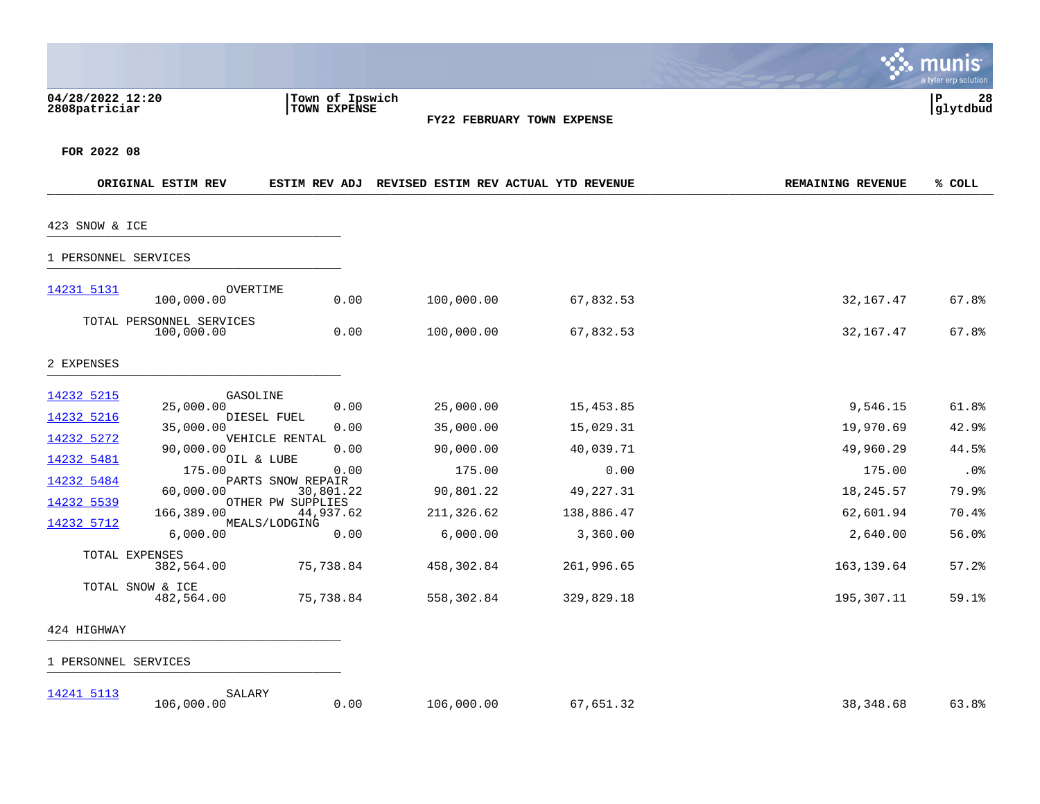|                                   |                                        |                                 |                                      |                            |                          | munis<br>a tyler erp solution |
|-----------------------------------|----------------------------------------|---------------------------------|--------------------------------------|----------------------------|--------------------------|-------------------------------|
| 04/28/2022 12:20<br>2808patriciar |                                        | Town of Ipswich<br>TOWN EXPENSE |                                      | FY22 FEBRUARY TOWN EXPENSE |                          | 28<br>∣₽<br>glytdbud          |
| FOR 2022 08                       |                                        |                                 |                                      |                            |                          |                               |
|                                   | ORIGINAL ESTIM REV                     | ESTIM REV ADJ                   | REVISED ESTIM REV ACTUAL YTD REVENUE |                            | <b>REMAINING REVENUE</b> | % COLL                        |
| 423 SNOW & ICE                    |                                        |                                 |                                      |                            |                          |                               |
| 1 PERSONNEL SERVICES              |                                        |                                 |                                      |                            |                          |                               |
| 14231 5131                        | OVERTIME<br>100,000.00                 | 0.00                            | 100,000.00                           | 67,832.53                  | 32,167.47                | 67.8%                         |
|                                   | TOTAL PERSONNEL SERVICES<br>100,000.00 | 0.00                            | 100,000.00                           | 67,832.53                  | 32, 167. 47              | 67.8%                         |
| 2 EXPENSES                        |                                        |                                 |                                      |                            |                          |                               |
| 14232 5215                        | GASOLINE<br>25,000.00                  | 0.00                            | 25,000.00                            | 15,453.85                  | 9,546.15                 | 61.8%                         |
| 14232 5216<br>14232 5272          | DIESEL FUEL<br>35,000.00               | 0.00<br>VEHICLE RENTAL          | 35,000.00                            | 15,029.31                  | 19,970.69                | 42.9%                         |
| 14232 5481                        | 90,000.00<br>OIL & LUBE                | 0.00                            | 90,000.00                            | 40,039.71                  | 49,960.29                | 44.5%                         |
| 14232 5484                        | 175.00                                 | 0.00<br>PARTS SNOW REPAIR       | 175.00                               | 0.00                       | 175.00                   | .0 <sub>8</sub>               |
| 14232 5539                        | 60,000.00                              | 30,801.22<br>OTHER PW SUPPLIES  | 90,801.22                            | 49, 227.31                 | 18,245.57                | 79.9%                         |
|                                   | 166,389.00                             | 44,937.62                       | 211,326.62                           | 138,886.47                 | 62,601.94                | 70.4%                         |
| 14232 5712                        | 6,000.00                               | MEALS/LODGING<br>0.00           | 6,000.00                             | 3,360.00                   | 2,640.00                 | 56.0%                         |
| TOTAL EXPENSES                    | 382,564.00                             | 75,738.84                       | 458,302.84                           | 261,996.65                 | 163, 139.64              | 57.2                          |
|                                   | TOTAL SNOW & ICE<br>482,564.00         | 75,738.84                       | 558,302.84                           | 329,829.18                 | 195,307.11               | 59.1%                         |
| 424 HIGHWAY                       |                                        |                                 |                                      |                            |                          |                               |
| 1 PERSONNEL SERVICES              |                                        |                                 |                                      |                            |                          |                               |

[14241 5113](https://yvwlndash063.tylertech.com/sites/mu2808/Live/_layouts/15/DashboardMunisV6.3/PassThru.aspx?-E=cb6kOZxyCQzjE7LKpBEzXO5/LnNNAW8Fb0Ut3rkgyib94HXcuBpvi7VmOHmXIg5N&) SALARY 106,000.00 0.00 106,000.00 67,651.32 38,348.68 63.8%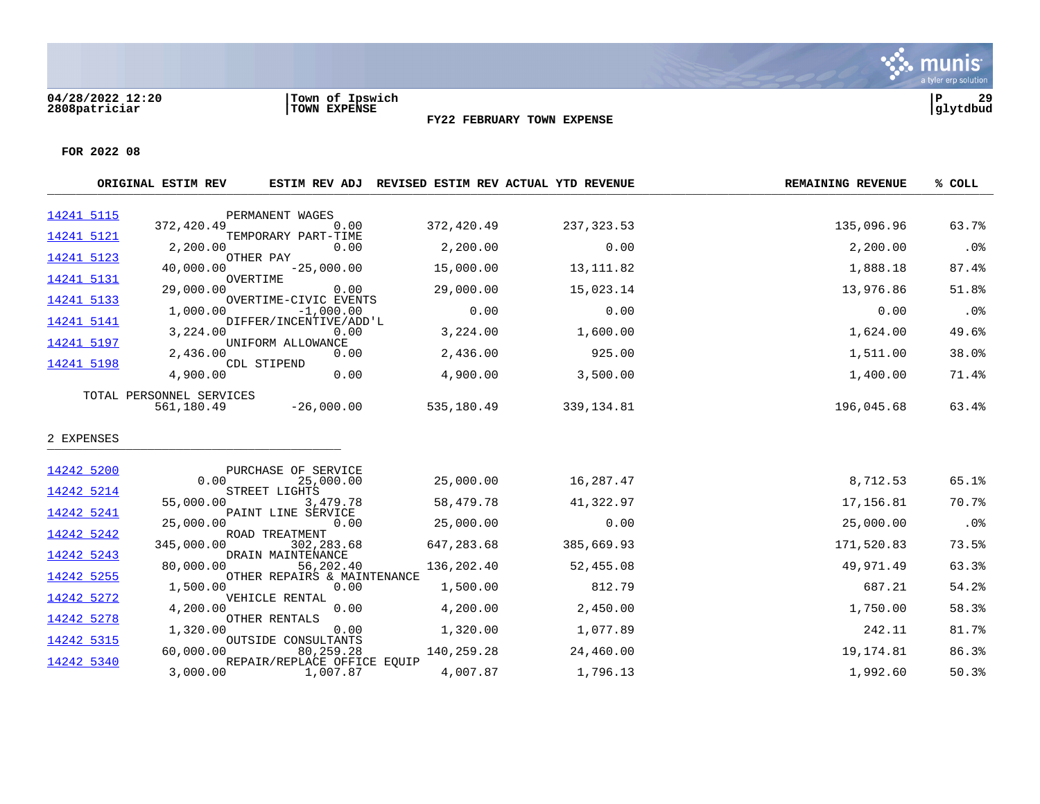

|            | ORIGINAL ESTIM REV       |                                          | ESTIM REV ADJ REVISED ESTIM REV ACTUAL YTD REVENUE |             | <b>REMAINING REVENUE</b> | % COLL |
|------------|--------------------------|------------------------------------------|----------------------------------------------------|-------------|--------------------------|--------|
| 14241 5115 |                          | PERMANENT WAGES                          |                                                    |             |                          |        |
| 14241 5121 | 372,420.49               | 0.00<br>TEMPORARY PART-TIME              | 372,420.49                                         | 237, 323.53 | 135,096.96               | 63.7%  |
|            | 2,200.00                 | 0.00                                     | 2,200.00                                           | 0.00        | 2,200.00                 | .0%    |
| 14241 5123 | 40,000.00                | OTHER PAY<br>$-25,000.00$                | 15,000.00                                          | 13, 111.82  | 1,888.18                 | 87.4%  |
| 14241 5131 | 29,000.00                | OVERTIME<br>0.00                         | 29,000.00                                          | 15,023.14   | 13,976.86                | 51.8%  |
| 14241 5133 | 1,000.00                 | OVERTIME-CIVIC EVENTS<br>$-1,000.00$     | 0.00                                               | 0.00        | 0.00                     | .0%    |
| 14241 5141 |                          | DIFFER/INCENTIVE/ADD'L                   |                                                    |             |                          |        |
| 14241 5197 | 3,224.00                 | 0.00<br>UNIFORM ALLOWANCE                | 3,224.00                                           | 1,600.00    | 1,624.00                 | 49.6%  |
| 14241 5198 | 2,436.00                 | 0.00<br>CDL STIPEND                      | 2,436.00                                           | 925.00      | 1,511.00                 | 38.0%  |
|            | 4,900.00                 | 0.00                                     | 4,900.00                                           | 3,500.00    | 1,400.00                 | 71.4%  |
|            | TOTAL PERSONNEL SERVICES |                                          |                                                    |             |                          |        |
|            | 561,180.49               | $-26,000.00$                             | 535,180.49                                         | 339,134.81  | 196,045.68               | 63.4%  |
| 2 EXPENSES |                          |                                          |                                                    |             |                          |        |
| 14242 5200 |                          | PURCHASE OF SERVICE                      |                                                    |             |                          |        |
|            | 0.00                     | 25,000.00                                | 25,000.00                                          | 16,287.47   | 8,712.53                 | 65.1%  |
| 14242 5214 | 55,000.00                | STREET LIGHTS<br>3,479.78                | 58,479.78                                          | 41,322.97   | 17,156.81                | 70.7%  |
| 14242 5241 | 25,000.00                | PAINT LINE SERVICE<br>0.00               | 25,000.00                                          | 0.00        | 25,000.00                | $.0\%$ |
| 14242 5242 |                          | ROAD TREATMENT                           |                                                    |             |                          |        |
| 14242 5243 | 345,000.00               | 302,283.68<br>DRAIN MAINTENANCE          | 647,283.68                                         | 385,669.93  | 171,520.83               | 73.5%  |
| 14242 5255 | 80,000.00                | 56,202.40<br>OTHER REPAIRS & MAINTENANCE | 136,202.40                                         | 52,455.08   | 49,971.49                | 63.3%  |
|            | 1,500.00                 | 0.00                                     | 1,500.00                                           | 812.79      | 687.21                   | 54.2%  |
| 14242 5272 | 4,200.00                 | VEHICLE RENTAL<br>0.00                   | 4,200.00                                           | 2,450.00    | 1,750.00                 | 58.3%  |
| 14242 5278 | 1,320.00                 | OTHER RENTALS<br>0.00                    | 1,320.00                                           | 1,077.89    | 242.11                   | 81.7%  |
| 14242 5315 |                          | OUTSIDE CONSULTANTS                      |                                                    |             |                          | 86.3%  |
| 14242 5340 | 60,000.00                | 80,259.28<br>REPAIR/REPLACE OFFICE EQUIP | 140,259.28                                         | 24,460.00   | 19,174.81                |        |
|            | 3,000.00                 | 1,007.87                                 | 4,007.87                                           | 1,796.13    | 1,992.60                 | 50.3%  |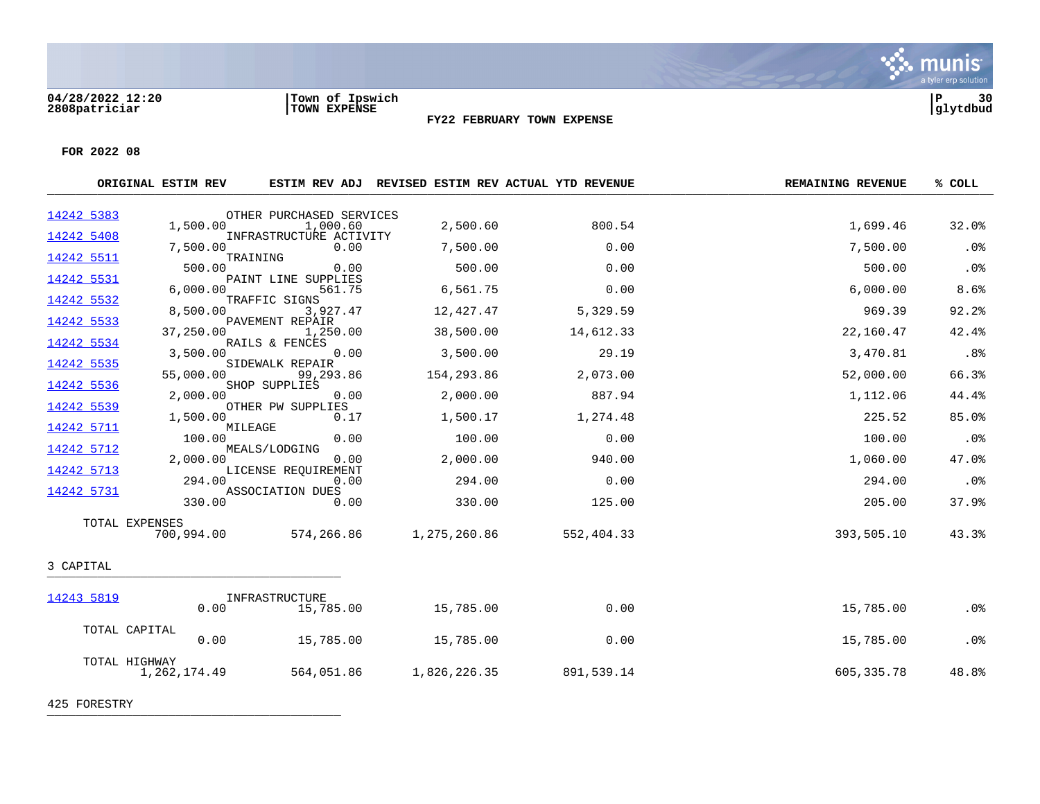

**FOR 2022 08**

|            | ORIGINAL ESTIM REV            |                                 |              | ESTIM REV ADJ REVISED ESTIM REV ACTUAL YTD REVENUE | <b>REMAINING REVENUE</b> | % COLL |
|------------|-------------------------------|---------------------------------|--------------|----------------------------------------------------|--------------------------|--------|
| 14242 5383 |                               | OTHER PURCHASED SERVICES        |              |                                                    |                          |        |
| 14242 5408 | 1,500.00                      | 1,000.60                        | 2,500.60     | 800.54                                             | 1,699.46                 | 32.0%  |
|            | 7,500.00                      | INFRASTRUCTURE ACTIVITY<br>0.00 | 7,500.00     | 0.00                                               | 7,500.00                 | .0%    |
| 14242 5511 | TRAINING<br>500.00            | 0.00                            | 500.00       | 0.00                                               | 500.00                   | .0%    |
| 14242 5531 | 6,000.00                      | PAINT LINE SUPPLIES<br>561.75   | 6,561.75     | 0.00                                               | 6,000.00                 | 8.6%   |
| 14242 5532 | 8,500.00                      | TRAFFIC SIGNS<br>3,927.47       | 12,427.47    | 5,329.59                                           | 969.39                   | 92.2%  |
| 14242 5533 | 37,250.00                     | PAVEMENT REPAIR<br>1,250.00     | 38,500.00    | 14,612.33                                          | 22,160.47                | 42.4%  |
| 14242 5534 | 3,500.00                      | RAILS & FENCES<br>0.00          | 3,500.00     | 29.19                                              | 3,470.81                 | .8%    |
| 14242 5535 | 55,000.00                     | SIDEWALK REPAIR<br>99,293.86    | 154,293.86   | 2,073.00                                           | 52,000.00                | 66.3%  |
| 14242 5536 | 2,000.00                      | SHOP SUPPLIES<br>0.00           | 2,000.00     | 887.94                                             | 1,112.06                 | 44.4%  |
| 14242 5539 | 1,500.00                      | OTHER PW SUPPLIES<br>0.17       | 1,500.17     | 1,274.48                                           | 225.52                   | 85.0%  |
| 14242 5711 | MILEAGE<br>100.00             | 0.00                            | 100.00       | 0.00                                               | 100.00                   | .0%    |
| 14242 5712 | 2,000.00                      | MEALS/LODGING<br>0.00           | 2,000.00     | 940.00                                             | 1,060.00                 | 47.0%  |
| 14242 5713 | 294.00                        | LICENSE REOUIREMENT<br>0.00     | 294.00       | 0.00                                               | 294.00                   | .0%    |
| 14242 5731 | 330.00                        | ASSOCIATION DUES<br>0.00        | 330.00       | 125.00                                             | 205.00                   | 37.9%  |
|            | TOTAL EXPENSES                |                                 |              |                                                    |                          |        |
|            | 700,994.00                    | 574,266.86                      | 1,275,260.86 | 552,404.33                                         | 393,505.10               | 43.3%  |
| 3 CAPITAL  |                               |                                 |              |                                                    |                          |        |
| 14243 5819 |                               | INFRASTRUCTURE                  |              |                                                    |                          |        |
|            | 0.00                          | 15,785.00                       | 15,785.00    | 0.00                                               | 15,785.00                | .0%    |
|            | TOTAL CAPITAL<br>0.00         | 15,785.00                       | 15,785.00    | 0.00                                               | 15,785.00                | .0%    |
|            | TOTAL HIGHWAY<br>1,262,174.49 | 564,051.86                      | 1,826,226.35 | 891,539.14                                         | 605, 335. 78             | 48.8%  |

425 FORESTRY \_\_\_\_\_\_\_\_\_\_\_\_\_\_\_\_\_\_\_\_\_\_\_\_\_\_\_\_\_\_\_\_\_\_\_\_\_\_\_\_\_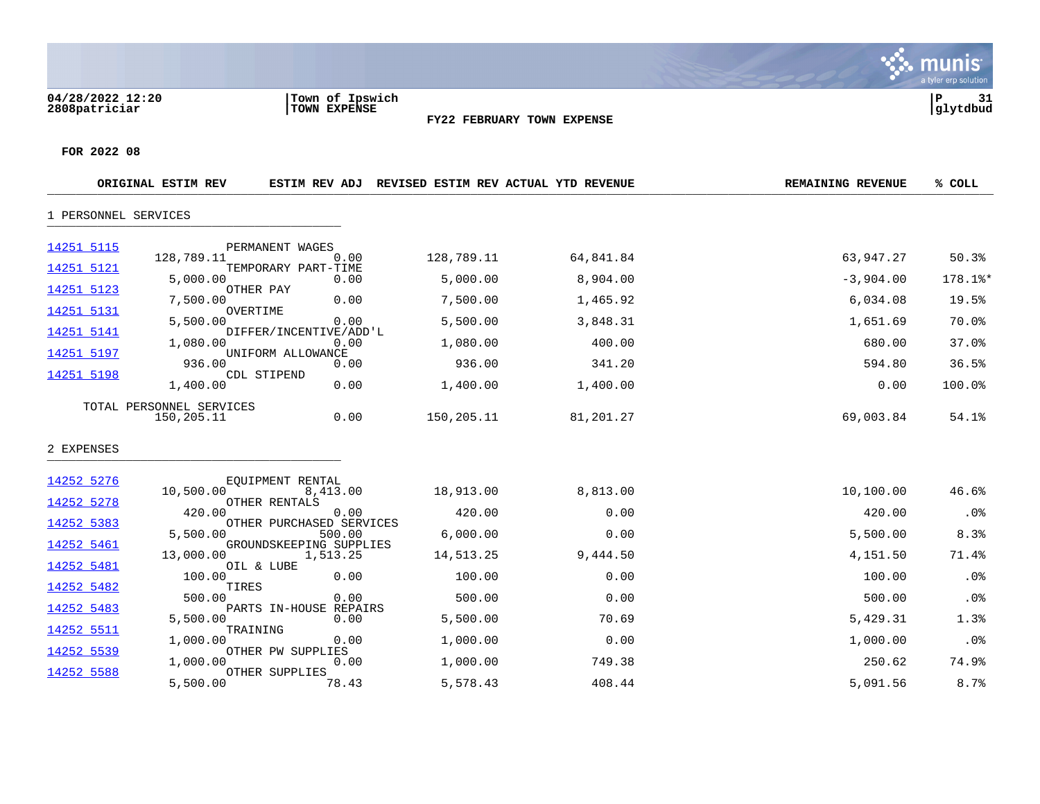**04/28/2022 12:20 |Town of Ipswich |P 31 2808patriciar |TOWN EXPENSE |glytdbud**



|                      | ORIGINAL ESTIM REV                     | <b>ESTIM REV ADJ</b>                | REVISED ESTIM REV ACTUAL YTD REVENUE |           | <b>REMAINING REVENUE</b> | % COLL  |
|----------------------|----------------------------------------|-------------------------------------|--------------------------------------|-----------|--------------------------|---------|
| 1 PERSONNEL SERVICES |                                        |                                     |                                      |           |                          |         |
| 14251 5115           | 128,789.11                             | PERMANENT WAGES<br>0.00             | 128,789.11                           | 64,841.84 | 63,947.27                | 50.3%   |
| 14251 5121           | 5,000.00                               | TEMPORARY PART-TIME<br>0.00         | 5,000.00                             | 8,904.00  | $-3,904.00$              | 178.1%* |
| 14251 5123           | 7,500.00                               | OTHER PAY<br>0.00                   | 7,500.00                             | 1,465.92  | 6,034.08                 | 19.5%   |
| 14251 5131           | 5,500.00                               | OVERTIME<br>0.00                    | 5,500.00                             | 3,848.31  | 1,651.69                 | 70.0%   |
| 14251 5141           | 1,080.00                               | DIFFER/INCENTIVE/ADD'L<br>0.00      | 1,080.00                             | 400.00    | 680.00                   | 37.0%   |
| 14251 5197           | 936.00                                 | UNIFORM ALLOWANCE<br>0.00           | 936.00                               | 341.20    | 594.80                   | 36.5%   |
| 14251 5198           | 1,400.00                               | CDL STIPEND<br>0.00                 | 1,400.00                             | 1,400.00  | 0.00                     | 100.0%  |
|                      | TOTAL PERSONNEL SERVICES<br>150,205.11 | 0.00                                | 150,205.11                           | 81,201.27 | 69,003.84                | 54.1%   |
| 2 EXPENSES           |                                        |                                     |                                      |           |                          |         |
| 14252 5276           | 10,500.00                              | EOUIPMENT RENTAL<br>8,413.00        | 18,913.00                            | 8,813.00  | 10,100.00                | 46.6%   |
| 14252 5278           | 420.00                                 | OTHER RENTALS<br>0.00               | 420.00                               | 0.00      | 420.00                   | .0%     |
| 14252 5383           | 5,500.00                               | OTHER PURCHASED SERVICES<br>500.00  | 6,000.00                             | 0.00      | 5,500.00                 | 8.3%    |
| 14252 5461           | 13,000.00                              | GROUNDSKEEPING SUPPLIES<br>1,513.25 | 14,513.25                            | 9,444.50  | 4,151.50                 | 71.4%   |
| 14252 5481           | 100.00                                 | OIL & LUBE<br>0.00                  | 100.00                               | 0.00      | 100.00                   | .0%     |
| 14252 5482           | TIRES<br>500.00                        | 0.00                                | 500.00                               | 0.00      | 500.00                   | .0%     |
| 14252 5483           | 5,500.00                               | PARTS IN-HOUSE REPAIRS<br>0.00      | 5,500.00                             | 70.69     | 5,429.31                 | 1.3%    |
| 14252 5511           | 1,000.00                               | TRAINING<br>0.00                    | 1,000.00                             | 0.00      | 1,000.00                 | .0%     |
| 14252 5539           | 1,000.00                               | OTHER PW SUPPLIES<br>0.00           | 1,000.00                             | 749.38    | 250.62                   | 74.9%   |
| 14252 5588           | 5,500.00                               | OTHER SUPPLIES<br>78.43             | 5,578.43                             | 408.44    | 5,091.56                 | 8.7%    |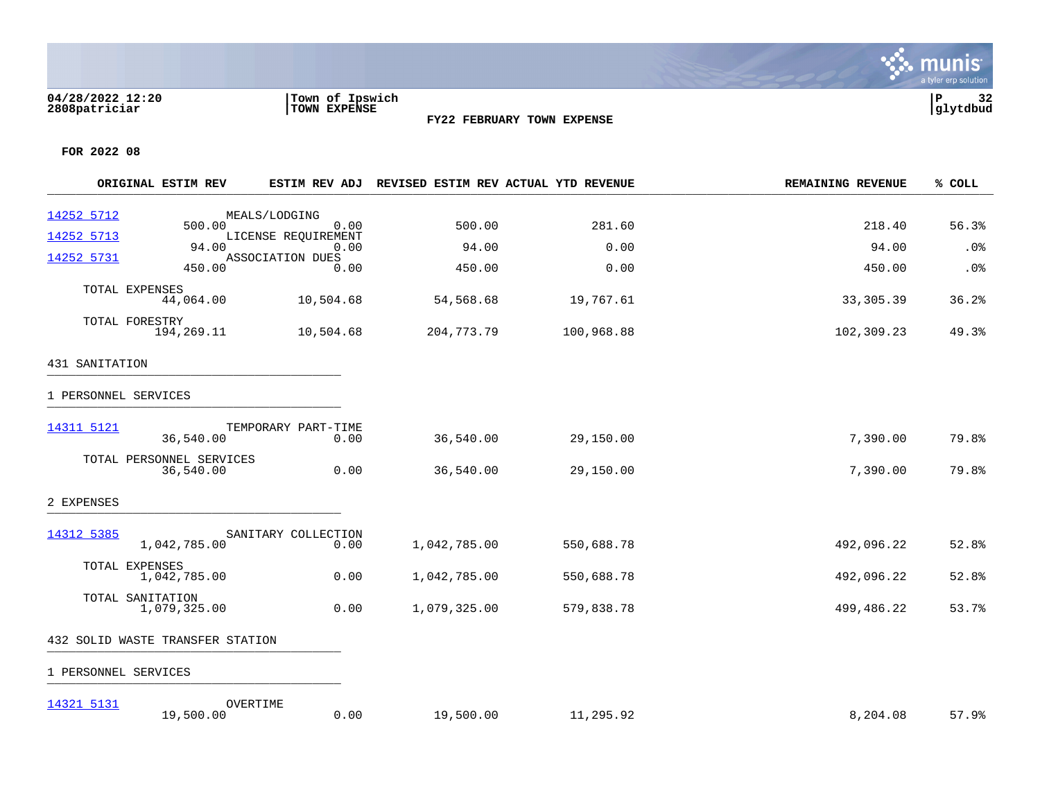### **04/28/2022 12:20 |Town of Ipswich |P 32 2808patriciar |TOWN EXPENSE |glytdbud**



a tyler erp solution

**∵∴** munis

|                      | ORIGINAL ESTIM REV                    |                             | ESTIM REV ADJ REVISED ESTIM REV ACTUAL YTD REVENUE |            | <b>REMAINING REVENUE</b> | % COLL |
|----------------------|---------------------------------------|-----------------------------|----------------------------------------------------|------------|--------------------------|--------|
| 14252 5712           | 500.00                                | MEALS/LODGING<br>0.00       | 500.00                                             | 281.60     | 218.40                   | 56.3%  |
| 14252 5713           |                                       | LICENSE REQUIREMENT         |                                                    |            |                          |        |
| 14252 5731           | 94.00                                 | 0.00<br>ASSOCIATION DUES    | 94.00                                              | 0.00       | 94.00                    | .0%    |
|                      | 450.00                                | 0.00                        | 450.00                                             | 0.00       | 450.00                   | .0%    |
| TOTAL EXPENSES       | 44,064.00                             | 10,504.68                   | 54,568.68                                          | 19,767.61  | 33,305.39                | 36.2%  |
| TOTAL FORESTRY       | 194,269.11                            | 10,504.68                   | 204,773.79                                         | 100,968.88 | 102,309.23               | 49.3%  |
| 431 SANITATION       |                                       |                             |                                                    |            |                          |        |
| 1 PERSONNEL SERVICES |                                       |                             |                                                    |            |                          |        |
| 14311 5121           | 36,540.00                             | TEMPORARY PART-TIME<br>0.00 | 36,540.00                                          | 29,150.00  | 7,390.00                 | 79.8%  |
|                      | TOTAL PERSONNEL SERVICES<br>36,540.00 | 0.00                        | 36,540.00                                          | 29,150.00  | 7,390.00                 | 79.8%  |
| 2 EXPENSES           |                                       |                             |                                                    |            |                          |        |
| 14312 5385           | 1,042,785.00                          | SANITARY COLLECTION<br>0.00 | 1,042,785.00                                       | 550,688.78 | 492,096.22               | 52.8%  |
|                      |                                       |                             |                                                    |            |                          |        |
| TOTAL EXPENSES       | 1,042,785.00                          | 0.00                        | 1,042,785.00                                       | 550,688.78 | 492,096.22               | 52.8%  |
| TOTAL SANITATION     | 1,079,325.00                          | 0.00                        | 1,079,325.00                                       | 579,838.78 | 499,486.22               | 53.7%  |
|                      | 432 SOLID WASTE TRANSFER STATION      |                             |                                                    |            |                          |        |
| 1 PERSONNEL SERVICES |                                       |                             |                                                    |            |                          |        |
| 14321 5131           | 19,500.00                             | OVERTIME<br>0.00            | 19,500.00                                          | 11,295.92  | 8,204.08                 | 57.9%  |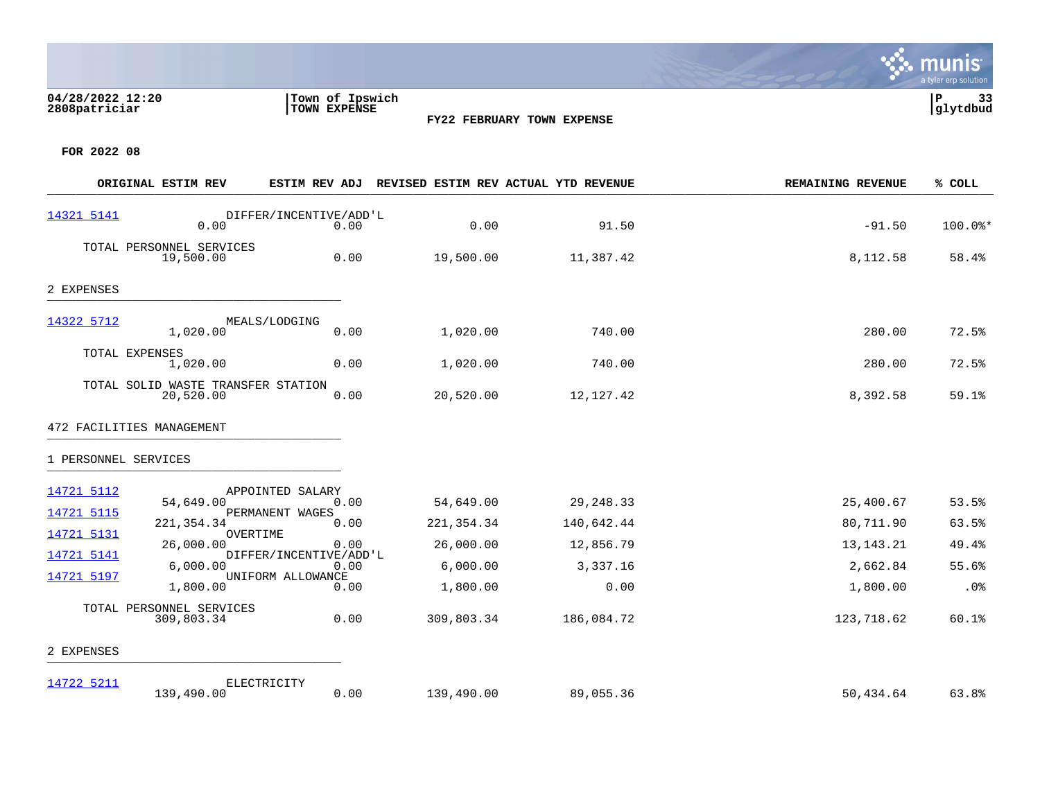## **04/28/2022 12:20 |Town of Ipswich |P 33 2808patriciar |TOWN EXPENSE |glytdbud**

**FY22 FEBRUARY TOWN EXPENSE**

Sive munis

a tyler erp solution

|                      | ORIGINAL ESTIM REV                              | <b>ESTIM REV ADJ</b>           |            | REVISED ESTIM REV ACTUAL YTD REVENUE | <b>REMAINING REVENUE</b> | % COLL    |
|----------------------|-------------------------------------------------|--------------------------------|------------|--------------------------------------|--------------------------|-----------|
| 14321 5141           | 0.00                                            | DIFFER/INCENTIVE/ADD'L<br>0.00 | 0.00       | 91.50                                | $-91.50$                 | $100.0$ * |
|                      | TOTAL PERSONNEL SERVICES<br>19,500.00           | 0.00                           | 19,500.00  | 11,387.42                            | 8,112.58                 | 58.4%     |
| 2 EXPENSES           |                                                 |                                |            |                                      |                          |           |
| 14322 5712           | 1,020.00                                        | MEALS/LODGING<br>0.00          | 1,020.00   | 740.00                               | 280.00                   | 72.5%     |
| TOTAL EXPENSES       | 1,020.00                                        | 0.00                           | 1,020.00   | 740.00                               | 280.00                   | 72.5%     |
|                      | TOTAL SOLID WASTE TRANSFER STATION<br>20,520.00 | 0.00                           | 20,520.00  | 12,127.42                            | 8,392.58                 | 59.1%     |
|                      | 472 FACILITIES MANAGEMENT                       |                                |            |                                      |                          |           |
| 1 PERSONNEL SERVICES |                                                 |                                |            |                                      |                          |           |
| 14721 5112           | 54,649.00                                       | APPOINTED SALARY<br>0.00       | 54,649.00  | 29, 248.33                           | 25,400.67                | 53.5%     |
| 14721 5115           | 221, 354. 34                                    | PERMANENT WAGES<br>0.00        | 221,354.34 | 140,642.44                           | 80,711.90                | 63.5%     |
| 14721 5131           | OVERTIME<br>26,000.00                           | 0.00                           | 26,000.00  | 12,856.79                            | 13, 143. 21              | 49.4%     |
| 14721 5141           | 6,000.00                                        | DIFFER/INCENTIVE/ADD'L<br>0.00 | 6,000.00   | 3,337.16                             | 2,662.84                 | 55.6%     |
| 14721 5197           | 1,800.00                                        | UNIFORM ALLOWANCE<br>0.00      | 1,800.00   | 0.00                                 | 1,800.00                 | .0%       |
|                      | TOTAL PERSONNEL SERVICES                        |                                |            |                                      |                          |           |
|                      | 309,803.34                                      | 0.00                           | 309,803.34 | 186,084.72                           | 123,718.62               | 60.1%     |
| 2 EXPENSES           |                                                 |                                |            |                                      |                          |           |
| 14722 5211           | 139,490.00                                      | ELECTRICITY<br>0.00            | 139,490.00 | 89,055.36                            | 50,434.64                | 63.8%     |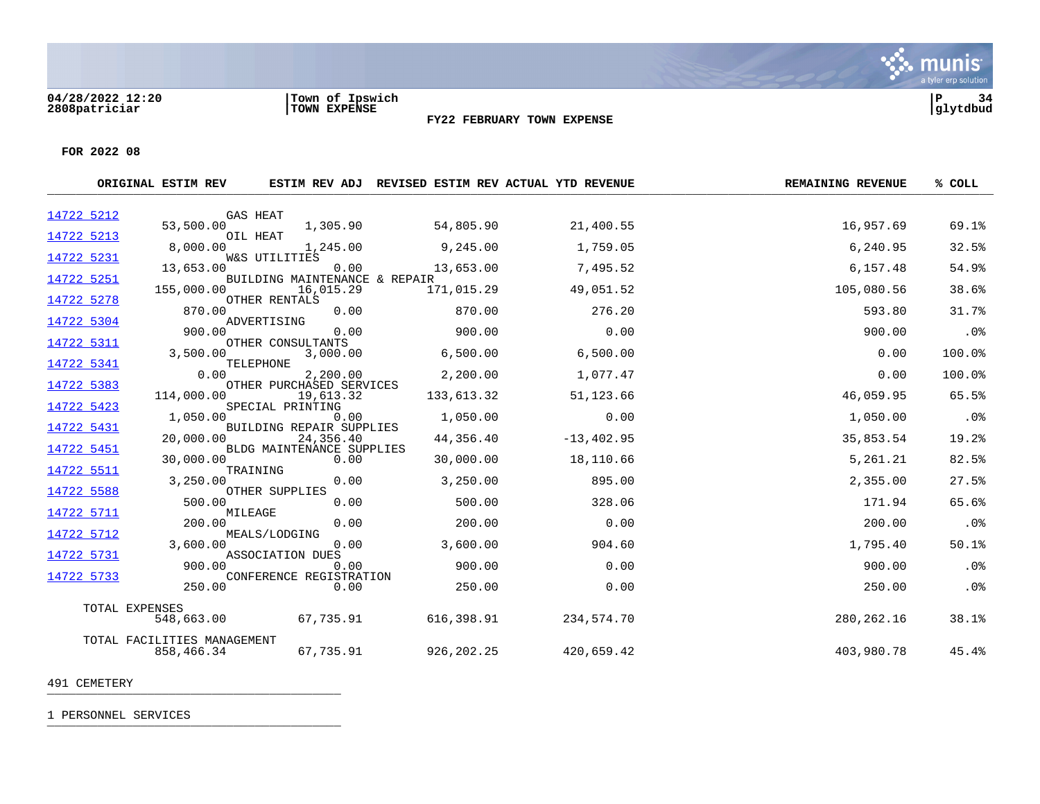

**FOR 2022 08**

|            | ORIGINAL ESTIM REV                        |                                        |              | ESTIM REV ADJ REVISED ESTIM REV ACTUAL YTD REVENUE | <b>REMAINING REVENUE</b> | % COLL |
|------------|-------------------------------------------|----------------------------------------|--------------|----------------------------------------------------|--------------------------|--------|
| 14722 5212 |                                           | <b>GAS HEAT</b>                        |              |                                                    |                          |        |
| 14722 5213 | 53,500.00                                 | 1,305.90<br>OIL HEAT                   | 54,805.90    | 21,400.55                                          | 16,957.69                | 69.1%  |
| 14722 5231 | 8,000.00                                  | 1,245.00<br>W&S UTILITIES              | 9,245.00     | 1,759.05                                           | 6,240.95                 | 32.5%  |
| 14722 5251 | 13,653.00                                 | 0.00<br>BUILDING MAINTENANCE & REPAIR  | 13,653.00    | 7,495.52                                           | 6,157.48                 | 54.9%  |
| 14722 5278 | 155,000.00                                | 16,015.29<br>OTHER RENTALS             | 171,015.29   | 49,051.52                                          | 105,080.56               | 38.6%  |
| 14722 5304 | 870.00                                    | 0.00<br>ADVERTISING                    | 870.00       | 276.20                                             | 593.80                   | 31.7%  |
| 14722 5311 | 900.00                                    | 0.00<br>OTHER CONSULTANTS              | 900.00       | 0.00                                               | 900.00                   | .0%    |
| 14722 5341 | 3,500.00                                  | 3,000.00<br>TELEPHONE                  | 6,500.00     | 6,500.00                                           | 0.00                     | 100.0% |
| 14722 5383 | 0.00                                      | 2,200.00<br>OTHER PURCHASED SERVICES   | 2,200.00     | 1,077.47                                           | 0.00                     | 100.0% |
| 14722 5423 | 114,000.00                                | 19,613.32<br>SPECIAL PRINTING          | 133,613.32   | 51, 123.66                                         | 46,059.95                | 65.5%  |
| 14722 5431 | 1,050.00                                  | 0.00<br>BUILDING REPAIR SUPPLIES       | 1,050.00     | 0.00                                               | 1,050.00                 | .0%    |
| 14722 5451 | 20,000.00                                 | 24,356.40<br>BLDG MAINTENANCE SUPPLIES | 44,356.40    | $-13, 402.95$                                      | 35,853.54                | 19.2%  |
| 14722 5511 | 30,000.00                                 | 0.00<br>TRAINING                       | 30,000.00    | 18,110.66                                          | 5,261.21                 | 82.5%  |
| 14722 5588 | 3,250,00                                  | 0.00<br>OTHER SUPPLIES                 | 3,250.00     | 895.00                                             | 2,355.00                 | 27.5%  |
| 14722 5711 | 500.00                                    | 0.00<br>MILEAGE                        | 500.00       | 328.06                                             | 171.94                   | 65.6%  |
| 14722 5712 | 200.00                                    | 0.00<br>MEALS/LODGING                  | 200.00       | 0.00                                               | 200.00                   | .0%    |
| 14722 5731 | 3,600.00                                  | 0.00<br>ASSOCIATION DUES               | 3,600.00     | 904.60                                             | 1,795.40                 | 50.1%  |
| 14722 5733 | 900.00                                    | 0.00<br>CONFERENCE REGISTRATION        | 900.00       | 0.00                                               | 900.00                   | $.0\%$ |
|            | 250.00                                    | 0.00                                   | 250.00       | 0.00                                               | 250.00                   | .0%    |
|            | TOTAL EXPENSES<br>548,663.00              | 67,735.91                              | 616,398.91   | 234,574.70                                         | 280, 262. 16             | 38.1%  |
|            | TOTAL FACILITIES MANAGEMENT<br>858,466.34 | 67,735.91                              | 926, 202. 25 | 420,659.42                                         | 403,980.78               | 45.4%  |

491 CEMETERY \_\_\_\_\_\_\_\_\_\_\_\_\_\_\_\_\_\_\_\_\_\_\_\_\_\_\_\_\_\_\_\_\_\_\_\_\_\_\_\_\_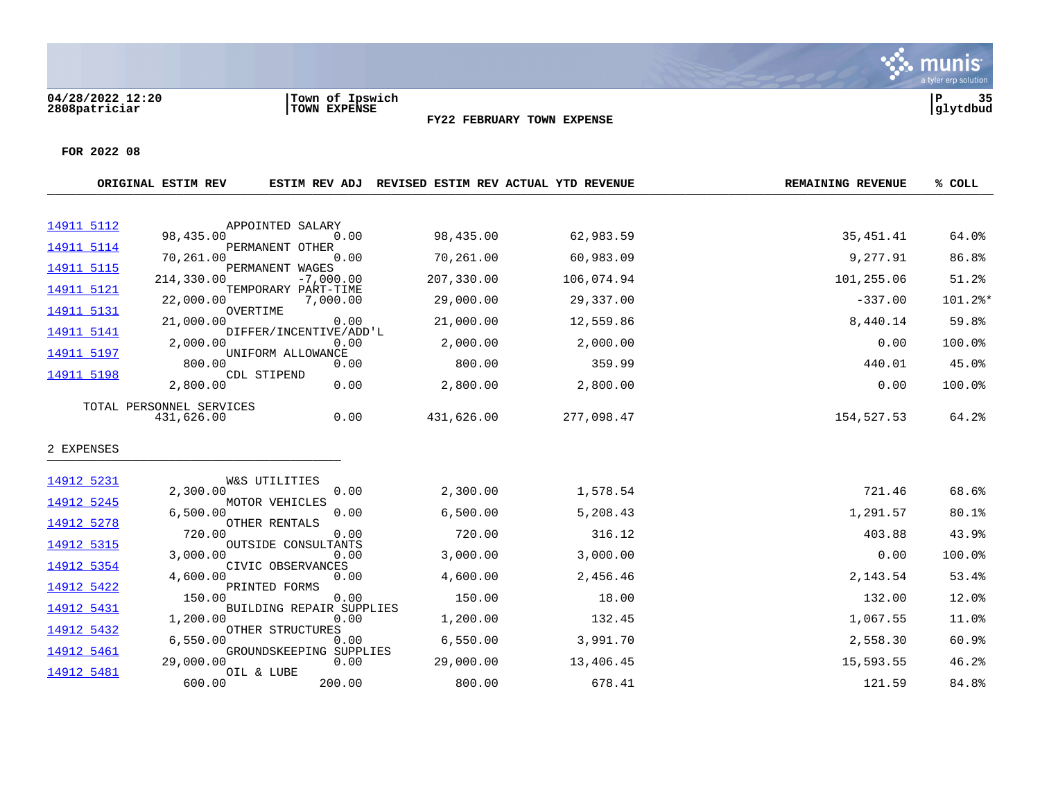**04/28/2022 12:20 |Town of Ipswich |P 35 2808patriciar |TOWN EXPENSE |glytdbud**



**FY22 FEBRUARY TOWN EXPENSE**

|            | ORIGINAL ESTIM REV       | ESTIM REV ADJ                   |            | REVISED ESTIM REV ACTUAL YTD REVENUE | <b>REMAINING REVENUE</b> | % COLL  |
|------------|--------------------------|---------------------------------|------------|--------------------------------------|--------------------------|---------|
| 14911 5112 |                          | APPOINTED SALARY                |            |                                      |                          |         |
|            | 98,435.00                | 0.00                            | 98,435.00  | 62,983.59                            | 35, 451. 41              | 64.0%   |
| 14911 5114 | 70,261.00                | PERMANENT OTHER<br>0.00         | 70,261.00  | 60,983.09                            | 9,277.91                 | 86.8%   |
| 14911 5115 | 214,330.00               | PERMANENT WAGES<br>$-7,000.00$  | 207,330.00 | 106,074.94                           | 101,255.06               | 51.2%   |
| 14911 5121 | 22,000.00                | TEMPORARY PART-TIME<br>7,000.00 | 29,000.00  | 29,337.00                            | $-337.00$                | 101.2%* |
| 14911 5131 | 21,000.00                | OVERTIME<br>0.00                | 21,000.00  | 12,559.86                            | 8,440.14                 | 59.8%   |
| 14911 5141 | 2,000.00                 | DIFFER/INCENTIVE/ADD'L<br>0.00  | 2,000.00   | 2,000.00                             | 0.00                     | 100.0%  |
| 14911 5197 | 800.00                   | UNIFORM ALLOWANCE<br>0.00       | 800.00     | 359.99                               | 440.01                   | 45.0%   |
| 14911 5198 | 2,800.00                 | CDL STIPEND<br>0.00             | 2,800.00   | 2,800.00                             | 0.00                     | 100.0%  |
|            | TOTAL PERSONNEL SERVICES |                                 |            |                                      |                          |         |
|            | 431,626.00               | 0.00                            | 431,626.00 | 277,098.47                           | 154,527.53               | 64.2%   |
| 2 EXPENSES |                          |                                 |            |                                      |                          |         |
| 14912 5231 |                          | W&S UTILITIES                   |            |                                      |                          |         |
| 14912 5245 | 2,300.00                 | 0.00<br>MOTOR VEHICLES          | 2,300.00   | 1,578.54                             | 721.46                   | 68.6%   |
|            | 6,500.00                 | 0.00                            | 6,500.00   | 5,208.43                             | 1,291.57                 | 80.1%   |
| 14912 5278 | 720.00                   | OTHER RENTALS<br>0.00           | 720.00     | 316.12                               | 403.88                   | 43.9%   |
| 14912 5315 | 3,000.00                 | OUTSIDE CONSULTANTS<br>0.00     | 3,000.00   | 3,000.00                             | 0.00                     | 100.0%  |
| 14912 5354 | 4,600.00                 | CIVIC OBSERVANCES<br>0.00       | 4,600.00   | 2,456.46                             | 2,143.54                 | 53.4%   |
| 14912 5422 | 150.00                   | PRINTED FORMS<br>0.00           | 150.00     | 18.00                                | 132.00                   | 12.0%   |
| 14912 5431 |                          | BUILDING REPAIR SUPPLIES        |            |                                      |                          |         |
| 14912 5432 | 1,200.00                 | 0.00<br>OTHER STRUCTURES        | 1,200.00   | 132.45                               | 1,067.55                 | 11.0%   |
| 14912 5461 | 6.550.00                 | 0.00<br>GROUNDSKEEPING SUPPLIES | 6,550.00   | 3,991.70                             | 2,558.30                 | 60.9%   |
|            | 29,000.00                | 0.00                            | 29,000.00  | 13,406.45                            | 15,593.55                | 46.2%   |
| 14912 5481 | 600.00                   | OIL & LUBE<br>200.00            | 800.00     | 678.41                               | 121.59                   | 84.8%   |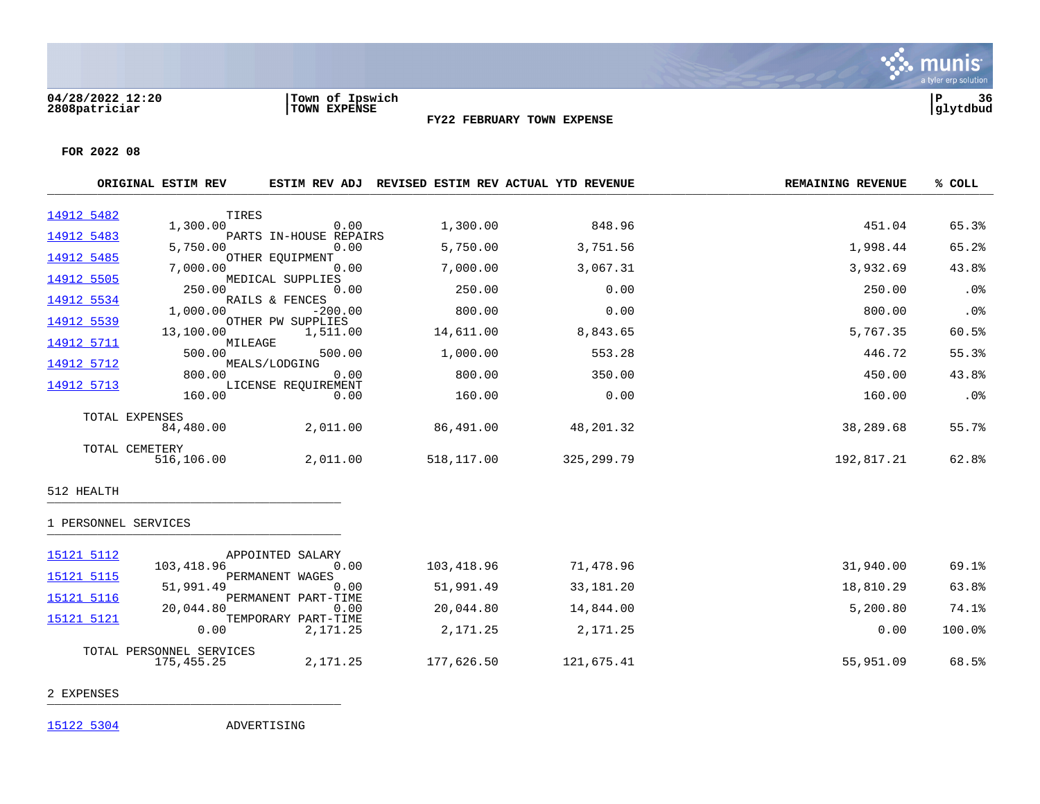

**FOR 2022 08**

|            | ORIGINAL ESTIM REV | <b>ESTIM REV ADJ</b>    |            | REVISED ESTIM REV ACTUAL YTD REVENUE | <b>REMAINING REVENUE</b> | % COLL |
|------------|--------------------|-------------------------|------------|--------------------------------------|--------------------------|--------|
|            |                    |                         |            |                                      |                          |        |
| 14912 5482 | TIRES              |                         |            |                                      |                          |        |
|            | 1,300.00           | 0.00                    | 1,300.00   | 848.96                               | 451.04                   | 65.3%  |
| 14912 5483 |                    | PARTS IN-HOUSE REPAIRS  |            |                                      |                          |        |
|            | 5,750.00           | 0.00                    | 5,750.00   | 3,751.56                             | 1,998.44                 | 65.2%  |
| 14912 5485 | 7,000.00           | OTHER EQUIPMENT<br>0.00 | 7,000.00   | 3,067.31                             | 3,932.69                 | 43.8%  |
| 14912 5505 |                    | MEDICAL SUPPLIES        |            |                                      |                          |        |
|            | 250.00             | 0.00                    | 250.00     | 0.00                                 | 250.00                   | .0%    |
| 14912 5534 |                    | RAILS & FENCES          |            |                                      |                          |        |
|            | 1,000.00           | $-200.00$               | 800.00     | 0.00                                 | 800.00                   | $.0\%$ |
| 14912 5539 |                    | OTHER PW SUPPLIES       |            |                                      |                          |        |
|            |                    | 13,100.00 1,511.00      | 14,611.00  | 8,843.65                             | 5,767.35                 | 60.5%  |
| 14912 5711 |                    | MILEAGE                 |            |                                      |                          |        |
|            | 500.00             | 500.00                  | 1,000.00   | 553.28                               | 446.72                   | 55.3%  |
| 14912 5712 |                    | MEALS/LODGING           |            |                                      |                          |        |
|            | 800.00             | 0.00                    | 800.00     | 350.00                               | 450.00                   | 43.8%  |
| 14912 5713 |                    | LICENSE REQUIREMENT     |            |                                      |                          |        |
|            | 160.00             | 0.00                    | 160.00     | 0.00                                 | 160.00                   | $.0\%$ |
|            | TOTAL EXPENSES     |                         |            |                                      |                          |        |
|            | 84,480.00          | 2,011.00                | 86,491.00  | 48,201.32                            | 38,289.68                | 55.7%  |
|            |                    |                         |            |                                      |                          |        |
|            | TOTAL CEMETERY     |                         |            |                                      |                          |        |
|            | 516,106.00         | 2,011.00                | 518,117.00 | 325,299.79                           | 192,817.21               | 62.8%  |
|            |                    |                         |            |                                      |                          |        |
|            |                    |                         |            |                                      |                          |        |

**FY22 FEBRUARY TOWN EXPENSE**

### 512 HEALTH \_\_\_\_\_\_\_\_\_\_\_\_\_\_\_\_\_\_\_\_\_\_\_\_\_\_\_\_\_\_\_\_\_\_\_\_\_\_\_\_\_

# 1 PERSONNEL SERVICES \_\_\_\_\_\_\_\_\_\_\_\_\_\_\_\_\_\_\_\_\_\_\_\_\_\_\_\_\_\_\_\_\_\_\_\_\_\_\_\_\_

| 15121 5112 |                          | APPOINTED SALARY    |            |            |           |           |
|------------|--------------------------|---------------------|------------|------------|-----------|-----------|
|            | 103,418.96               | 0.00                | 103,418.96 | 71,478.96  | 31,940.00 | 69.1%     |
| 15121 5115 |                          | PERMANENT WAGES     |            |            |           |           |
|            | 51,991.49                | 0.00                | 51,991.49  | 33,181.20  | 18,810.29 | 63.8%     |
| 15121 5116 |                          | PERMANENT PART-TIME |            |            |           |           |
|            | 20,044.80                | 0.00                | 20,044.80  | 14,844.00  | 5,200.80  | 74.1%     |
| 15121 5121 |                          | TEMPORARY PART-TIME |            |            |           |           |
|            | 0.00                     | 2,171.25            | 2,171.25   | 2,171.25   | 0.00      | $100.0$ % |
|            |                          |                     |            |            |           |           |
|            | TOTAL PERSONNEL SERVICES |                     |            |            |           |           |
|            | 175,455.25               | 2,171.25            | 177,626.50 | 121,675.41 | 55,951.09 | 68.5%     |
|            |                          |                     |            |            |           |           |

2 EXPENSES \_\_\_\_\_\_\_\_\_\_\_\_\_\_\_\_\_\_\_\_\_\_\_\_\_\_\_\_\_\_\_\_\_\_\_\_\_\_\_\_\_

[15122 5304](https://yvwlndash063.tylertech.com/sites/mu2808/Live/_layouts/15/DashboardMunisV6.3/PassThru.aspx?-E=9y2MhPRGDuN9v9cuFEwE407NA1gzNs/sPik6YHdZFh6jOI4He5NT5/YtoAXoYJhL&) ADVERTISING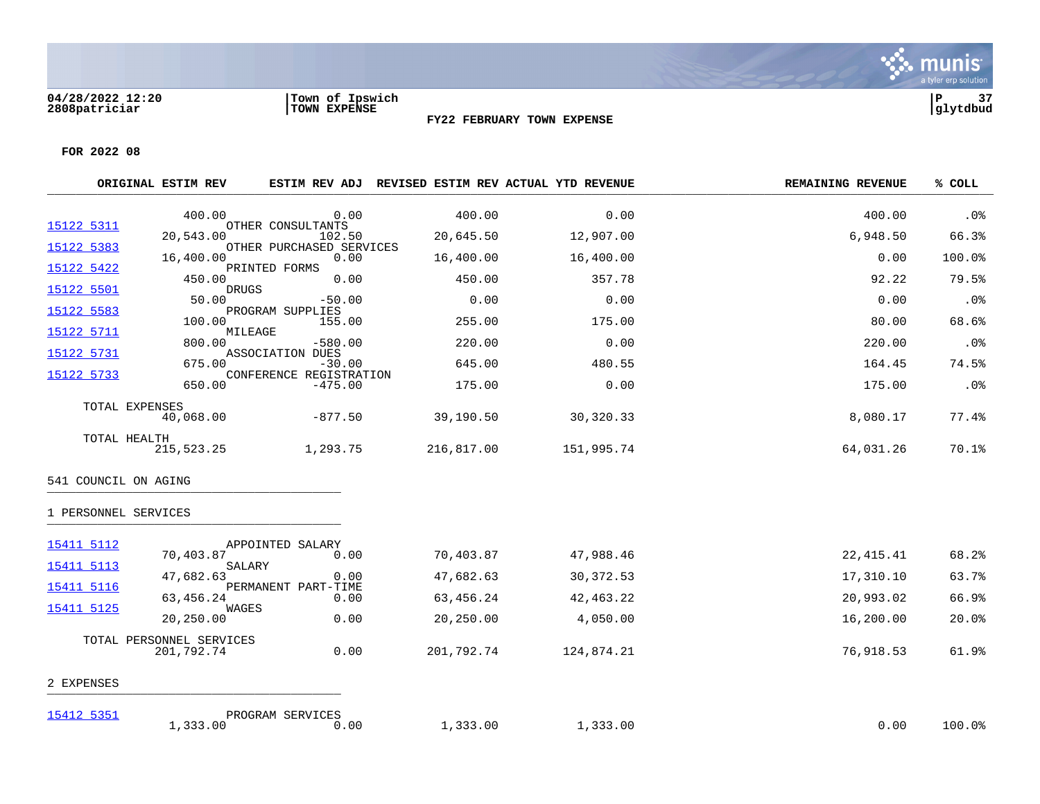

**FOR 2022 08**

|            | ORIGINAL ESTIM REV | <b>ESTIM REV ADJ</b>         |            | REVISED ESTIM REV ACTUAL YTD REVENUE | <b>REMAINING REVENUE</b> | % COLL   |
|------------|--------------------|------------------------------|------------|--------------------------------------|--------------------------|----------|
|            |                    |                              |            |                                      |                          |          |
| 15122 5311 | 400.00             | 0.00<br>OTHER CONSULTANTS    | 400.00     | 0.00                                 | 400.00                   | $.0\%$   |
|            | 20,543.00          | 102.50                       | 20,645.50  | 12,907.00                            | 6,948.50                 | 66.3%    |
| 15122 5383 |                    | OTHER PURCHASED SERVICES     |            |                                      |                          |          |
|            | 16,400.00          | 0.00                         | 16,400.00  | 16,400.00                            | 0.00                     | 100.0%   |
| 15122 5422 | 450.00             | PRINTED FORMS<br>0.00        | 450.00     | 357.78                               | 92.22                    | 79.5%    |
| 15122 5501 | DRUGS              |                              |            |                                      |                          |          |
|            | 50.00              | $-50.00$                     | 0.00       | 0.00                                 | 0.00                     | $.0\%$   |
| 15122 5583 |                    | PROGRAM SUPPLIES             |            |                                      |                          |          |
|            | 100.00             | 155.00                       | 255.00     | 175.00                               | 80.00                    | 68.6%    |
| 15122 5711 | MILEAGE            |                              |            |                                      |                          |          |
|            | 800.00             | $-580.00$                    | 220.00     | 0.00                                 | 220.00                   | $.0\%$   |
| 15122 5731 | 675.00             | ASSOCIATION DUES<br>$-30.00$ | 645.00     | 480.55                               | 164.45                   | 74.5%    |
| 15122 5733 |                    | CONFERENCE REGISTRATION      |            |                                      |                          |          |
|            | 650.00             | $-475.00$                    | 175.00     | 0.00                                 | 175.00                   | $.0\%$   |
|            | TOTAL EXPENSES     |                              |            |                                      |                          |          |
|            | 40,068.00          | -877.50                      | 39,190.50  | 30,320.33                            | 8,080.17                 | $77.4\%$ |
|            | TOTAL HEALTH       |                              |            |                                      |                          |          |
|            | 215,523.25         | 1,293.75                     | 216,817.00 | 151,995.74                           | 64,031.26                | 70.1%    |

# 541 COUNCIL ON AGING \_\_\_\_\_\_\_\_\_\_\_\_\_\_\_\_\_\_\_\_\_\_\_\_\_\_\_\_\_\_\_\_\_\_\_\_\_\_\_\_\_

# 1 PERSONNEL SERVICES \_\_\_\_\_\_\_\_\_\_\_\_\_\_\_\_\_\_\_\_\_\_\_\_\_\_\_\_\_\_\_\_\_\_\_\_\_\_\_\_\_

| 15411 5112 | APPOINTED SALARY    |      |            |            |           |       |
|------------|---------------------|------|------------|------------|-----------|-------|
|            | 70,403.87           | 0.00 | 70,403.87  | 47,988.46  | 22,415.41 | 68.2% |
| 15411 5113 | SALARY              |      |            |            |           |       |
|            | 47,682.63           | 0.00 | 47,682.63  | 30,372.53  | 17,310.10 | 63.7% |
| 15411 5116 | PERMANENT PART-TIME |      |            |            |           |       |
| 15411 5125 | 63,456.24<br>WAGES  | 0.00 | 63,456.24  | 42,463.22  | 20,993.02 | 66.9% |
|            | 20,250.00           | 0.00 | 20,250.00  | 4,050.00   | 16,200.00 | 20.0% |
|            |                     |      |            |            |           |       |
| TOTAL      | PERSONNEL SERVICES  |      |            |            |           |       |
|            | 201,792.74          | 0.00 | 201,792.74 | 124,874.21 | 76,918.53 | 61.9% |
|            |                     |      |            |            |           |       |
| 2 EXPENSES |                     |      |            |            |           |       |
|            |                     |      |            |            |           |       |

[15412 5351](https://yvwlndash063.tylertech.com/sites/mu2808/Live/_layouts/15/DashboardMunisV6.3/PassThru.aspx?-E=IZOBtYudbSmSj1zlDHPBYg4ey/DMEWkvuz0ODRhILAPHZgzG3TORWUwBRQwuJKAf&) PROGRAM SERVICES<br>1,333.00 0. 1,333.00 0.00 1,333.00 1,333.00 0.00 100.0%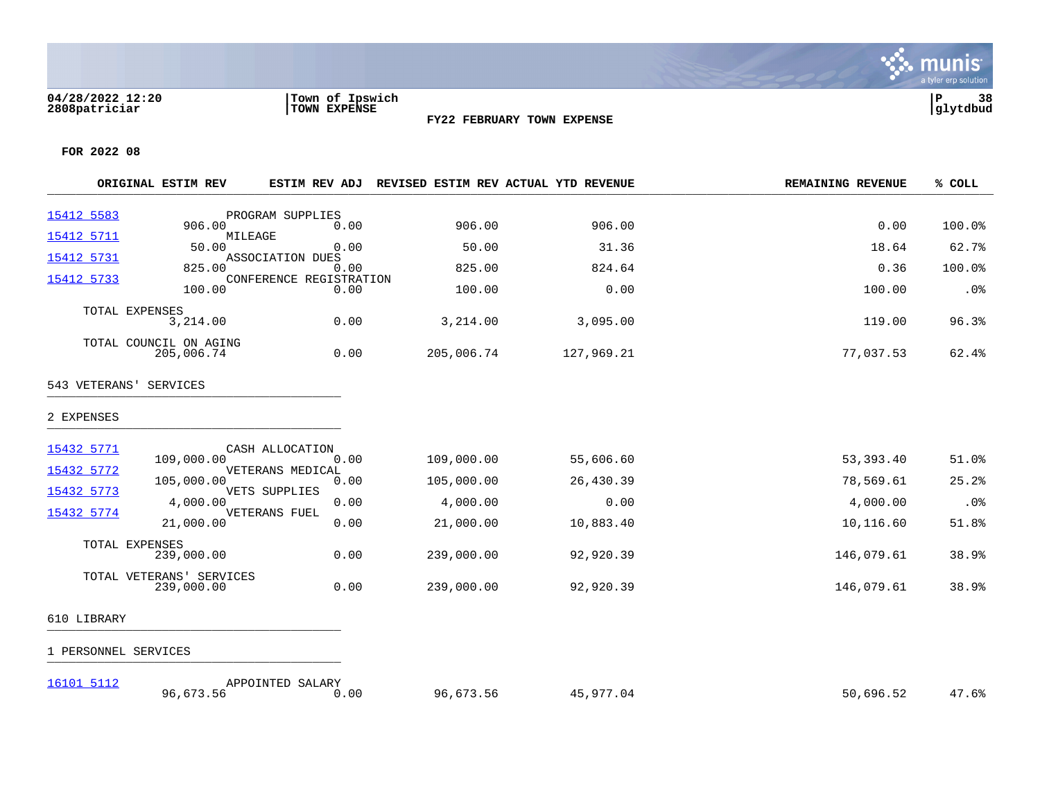### **04/28/2022 12:20 |Town of Ipswich |P 38 2808patriciar |TOWN EXPENSE |glytdbud**



**FY22 FEBRUARY TOWN EXPENSE**

**FOR 2022 08**

[16101 5112](https://yvwlndash063.tylertech.com/sites/mu2808/Live/_layouts/15/DashboardMunisV6.3/PassThru.aspx?-E=CwUHccNJ5/0RE7DjD%2BLeKNmIl/FCJyoG568Tz%2B0G/HAtD/RYrfYsHibLbUcwr8vJ&) APPOINTED SALARY

|             | ORIGINAL ESTIM REV                     |                                 |            | ESTIM REV ADJ REVISED ESTIM REV ACTUAL YTD REVENUE | <b>REMAINING REVENUE</b> | % COLL |
|-------------|----------------------------------------|---------------------------------|------------|----------------------------------------------------|--------------------------|--------|
| 15412 5583  |                                        | PROGRAM SUPPLIES                |            |                                                    |                          |        |
| 15412 5711  | 906.00<br>MILEAGE                      | 0.00                            | 906.00     | 906.00                                             | 0.00                     | 100.0% |
| 15412 5731  | 50.00                                  | 0.00<br>ASSOCIATION DUES        | 50.00      | 31.36                                              | 18.64                    | 62.7%  |
|             | 825.00                                 | 0.00<br>CONFERENCE REGISTRATION | 825.00     | 824.64                                             | 0.36                     | 100.0% |
| 15412 5733  | 100.00                                 | 0.00                            | 100.00     | 0.00                                               | 100.00                   | .0%    |
|             | TOTAL EXPENSES<br>3,214.00             | 0.00                            | 3,214.00   | 3,095.00                                           | 119.00                   | 96.3%  |
|             | TOTAL COUNCIL ON AGING<br>205,006.74   | 0.00                            | 205,006.74 | 127,969.21                                         | 77,037.53                | 62.4%  |
|             | 543 VETERANS' SERVICES                 |                                 |            |                                                    |                          |        |
| 2 EXPENSES  |                                        |                                 |            |                                                    |                          |        |
| 15432 5771  |                                        | CASH ALLOCATION                 |            |                                                    |                          |        |
| 15432 5772  | 109,000.00                             | 0.00<br>VETERANS MEDICAL        | 109,000.00 | 55,606.60                                          | 53,393.40                | 51.0%  |
|             | 105,000.00                             | 0.00                            | 105,000.00 | 26,430.39                                          | 78,569.61                | 25.2%  |
| 15432 5773  | 4,000.00                               | VETS SUPPLIES<br>0.00           | 4,000.00   | 0.00                                               | 4,000.00                 | .0%    |
| 15432 5774  | 21,000.00                              | VETERANS FUEL<br>0.00           | 21,000.00  | 10,883.40                                          | 10,116.60                | 51.8%  |
|             | TOTAL EXPENSES                         |                                 |            |                                                    |                          |        |
|             | 239,000.00                             | 0.00                            | 239,000.00 | 92,920.39                                          | 146,079.61               | 38.9%  |
|             | TOTAL VETERANS' SERVICES<br>239,000.00 | 0.00                            | 239,000.00 | 92,920.39                                          | 146,079.61               | 38.9%  |
| 610 LIBRARY |                                        |                                 |            |                                                    |                          |        |
|             | 1 PERSONNEL SERVICES                   |                                 |            |                                                    |                          |        |

96,673.56 0.00 96,673.56 45,977.04 50,696.52 47.6%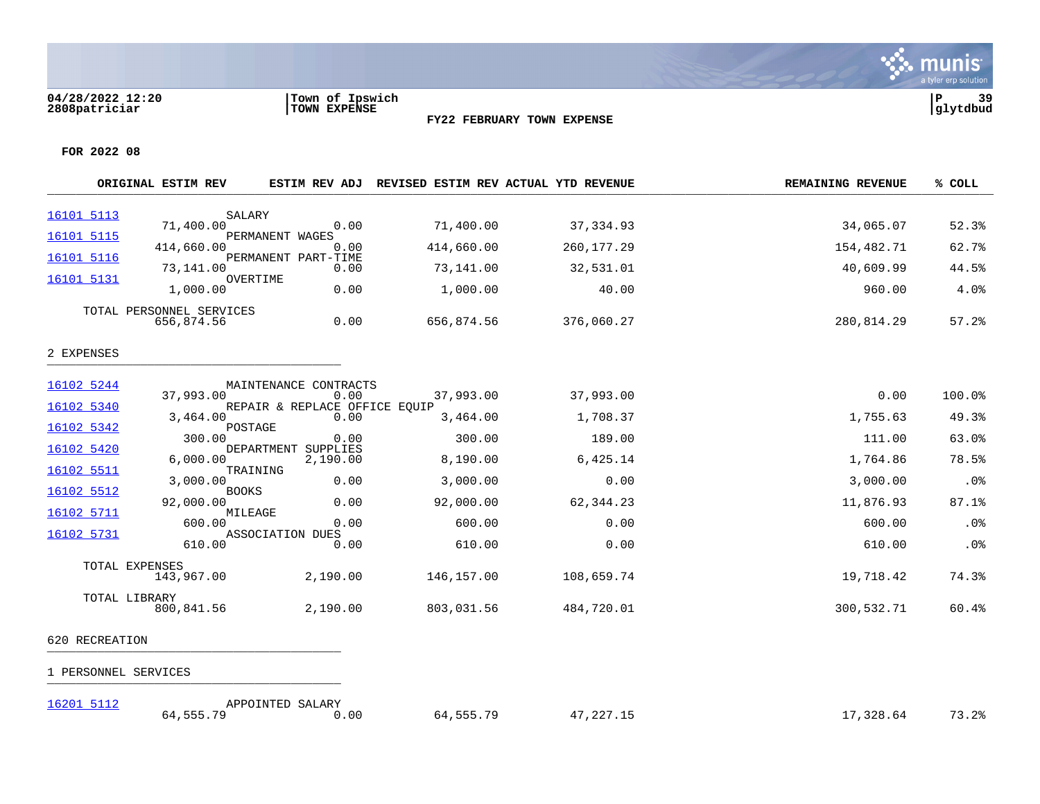### **04/28/2022 12:20 |Town of Ipswich |P 39 2808patriciar |TOWN EXPENSE |glytdbud**



**FY22 FEBRUARY TOWN EXPENSE**

|            | ORIGINAL ESTIM REV           | ESTIM REV ADJ                         |            | REVISED ESTIM REV ACTUAL YTD REVENUE | <b>REMAINING REVENUE</b> | % COLL |
|------------|------------------------------|---------------------------------------|------------|--------------------------------------|--------------------------|--------|
| 16101 5113 |                              |                                       |            |                                      |                          |        |
|            | SALARY<br>71,400.00          | 0.00                                  | 71,400.00  | 37,334.93                            | 34,065.07                | 52.3%  |
| 16101 5115 | 414,660.00                   | PERMANENT WAGES<br>0.00               | 414,660.00 | 260,177.29                           | 154,482.71               | 62.7%  |
| 16101 5116 | 73,141.00                    | PERMANENT PART-TIME<br>0.00           | 73,141.00  | 32,531.01                            | 40,609.99                | 44.5%  |
| 16101 5131 | 1,000.00                     | OVERTIME<br>0.00                      | 1,000.00   | 40.00                                | 960.00                   | 4.0%   |
|            | TOTAL PERSONNEL SERVICES     |                                       |            |                                      |                          |        |
|            | 656,874.56                   | 0.00                                  | 656,874.56 | 376,060.27                           | 280,814.29               | 57.2%  |
| 2 EXPENSES |                              |                                       |            |                                      |                          |        |
|            |                              |                                       |            |                                      |                          |        |
| 16102 5244 |                              | MAINTENANCE CONTRACTS                 |            |                                      |                          |        |
| 16102 5340 | 37,993.00                    | 0.00<br>REPAIR & REPLACE OFFICE EQUIP | 37,993.00  | 37,993.00                            | 0.00                     | 100.0% |
|            | 3,464.00                     | 0.00                                  | 3,464.00   | 1,708.37                             | 1,755.63                 | 49.3%  |
| 16102 5342 | 300.00                       | POSTAGE<br>0.00                       | 300.00     | 189.00                               | 111.00                   | 63.0%  |
| 16102 5420 | 6.000.00                     | DEPARTMENT<br>SUPPLIES<br>2,190.00    | 8,190.00   | 6,425.14                             | 1,764.86                 | 78.5%  |
| 16102 5511 | 3,000.00                     | TRAINING<br>0.00                      | 3,000.00   | 0.00                                 | 3,000.00                 | .0%    |
| 16102 5512 | <b>BOOKS</b>                 |                                       |            |                                      |                          |        |
| 16102 5711 | 92,000.00<br>MILEAGE         | 0.00                                  | 92,000.00  | 62,344.23                            | 11,876.93                | 87.1%  |
|            | 600.00                       | 0.00                                  | 600.00     | 0.00                                 | 600.00                   | .0%    |
| 16102 5731 | 610.00                       | ASSOCIATION DUES<br>0.00              | 610.00     | 0.00                                 | 610.00                   | .0%    |
|            |                              |                                       |            |                                      |                          |        |
|            | TOTAL EXPENSES<br>143,967.00 | 2,190.00                              | 146,157.00 | 108,659.74                           | 19,718.42                | 74.3%  |
|            | TOTAL LIBRARY<br>800,841.56  | 2,190.00                              | 803,031.56 | 484,720.01                           | 300,532.71               | 60.4%  |

- 620 RECREATION \_\_\_\_\_\_\_\_\_\_\_\_\_\_\_\_\_\_\_\_\_\_\_\_\_\_\_\_\_\_\_\_\_\_\_\_\_\_\_\_\_
- 1 PERSONNEL SERVICES \_\_\_\_\_\_\_\_\_\_\_\_\_\_\_\_\_\_\_\_\_\_\_\_\_\_\_\_\_\_\_\_\_\_\_\_\_\_\_\_\_

| 16201 5112 | APPOINTED SALARY      |      |              |                                                        |           |                                       |
|------------|-----------------------|------|--------------|--------------------------------------------------------|-----------|---------------------------------------|
|            | EEE 70<br>- 555<br>64 | 0.00 | 555 79<br>n4 | 227 15<br>. .<br>$\overline{\phantom{a}}$<br>ر ۲۰۰۰ می | 17,328.64 | $\mathbf{z}$<br>$\cap$ 0.<br>ه ۲۰ د ب |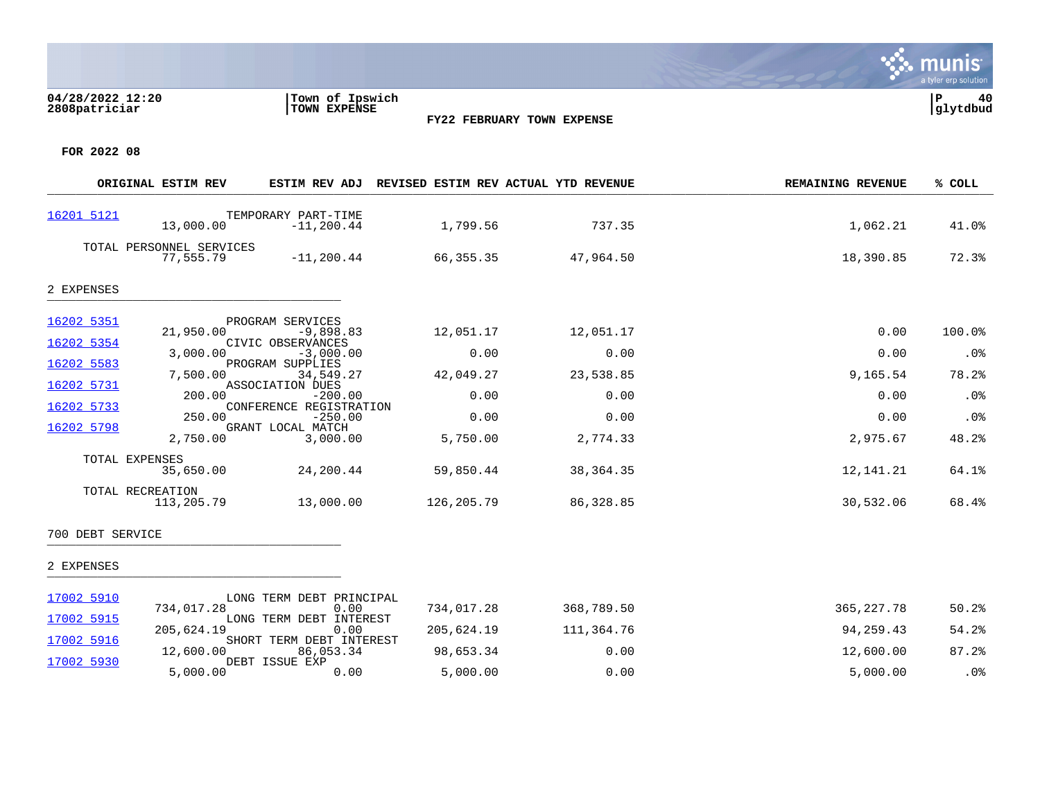## **04/28/2022 12:20 |Town of Ipswich |P 40 2808patriciar |TOWN EXPENSE |glytdbud**



, munis a tyler erp solution

**FOR 2022 08**

[17002 5930](https://yvwlndash063.tylertech.com/sites/mu2808/Live/_layouts/15/DashboardMunisV6.3/PassThru.aspx?-E=2cb%2BvJc4NhA0DUlqUAlT0poiKQiDUZf/MkOAc62zHk187l6jGHR7ezfp9aR/wk4U&) DEBT ISSUE EXP

|                          | ORIGINAL ESTIM REV                    | ESTIM REV ADJ                                               | REVISED ESTIM REV ACTUAL YTD REVENUE |                   | <b>REMAINING REVENUE</b> | % COLL          |
|--------------------------|---------------------------------------|-------------------------------------------------------------|--------------------------------------|-------------------|--------------------------|-----------------|
| 16201 5121               | 13,000.00                             | TEMPORARY PART-TIME<br>$-11, 200.44$                        | 1,799.56                             | 737.35            | 1,062.21                 | 41.0%           |
|                          | TOTAL PERSONNEL SERVICES<br>77,555.79 | $-11, 200.44$                                               | 66,355.35                            | 47,964.50         | 18,390.85                | 72.3%           |
| 2 EXPENSES               |                                       |                                                             |                                      |                   |                          |                 |
| 16202 5351<br>16202 5354 | 21,950.00                             | PROGRAM SERVICES<br>$-9,898.83$<br>CIVIC OBSERVANCES        | 12,051.17                            | 12,051.17         | 0.00                     | 100.0%          |
| 16202 5583               | 3,000.00<br>7,500.00                  | $-3,000.00$<br>PROGRAM SUPPLIES<br>34,549.27                | 0.00<br>42,049.27                    | 0.00<br>23,538.85 | 0.00<br>9,165.54         | $.0\%$<br>78.2% |
| 16202 5731<br>16202 5733 | 200.00                                | ASSOCIATION DUES<br>$-200.00$<br>CONFERENCE REGISTRATION    | 0.00                                 | 0.00              | 0.00                     | .0%             |
| 16202 5798               | 250.00<br>2,750.00                    | $-250.00$<br>GRANT LOCAL MATCH<br>3,000.00                  | 0.00<br>5,750.00                     | 0.00<br>2,774.33  | 0.00<br>2,975.67         | .0%<br>48.2%    |
|                          | TOTAL EXPENSES<br>35,650.00           | 24,200.44                                                   | 59,850.44                            | 38,364.35         | 12,141.21                | 64.1%           |
|                          | TOTAL RECREATION<br>113,205.79        | 13,000.00                                                   | 126,205.79                           | 86,328.85         | 30,532.06                | 68.4%           |
| 700 DEBT SERVICE         |                                       |                                                             |                                      |                   |                          |                 |
| 2 EXPENSES               |                                       |                                                             |                                      |                   |                          |                 |
| 17002 5910               | 734,017.28                            | LONG TERM DEBT PRINCIPAL<br>0.00                            | 734,017.28                           | 368,789.50        | 365, 227. 78             | 50.2%           |
| 17002 5915<br>17002 5916 | 205,624.19                            | LONG TERM DEBT INTEREST<br>0.00<br>SHORT TERM DEBT INTEREST | 205,624.19                           | 111,364.76        | 94,259.43                | 54.2%           |
|                          | 12,600.00                             | 86,053.34                                                   | 98,653.34                            | 0.00              | 12,600.00                | 87.2%           |

5,000.00 0.00 5,000.00 0.00 5,000.00 .0%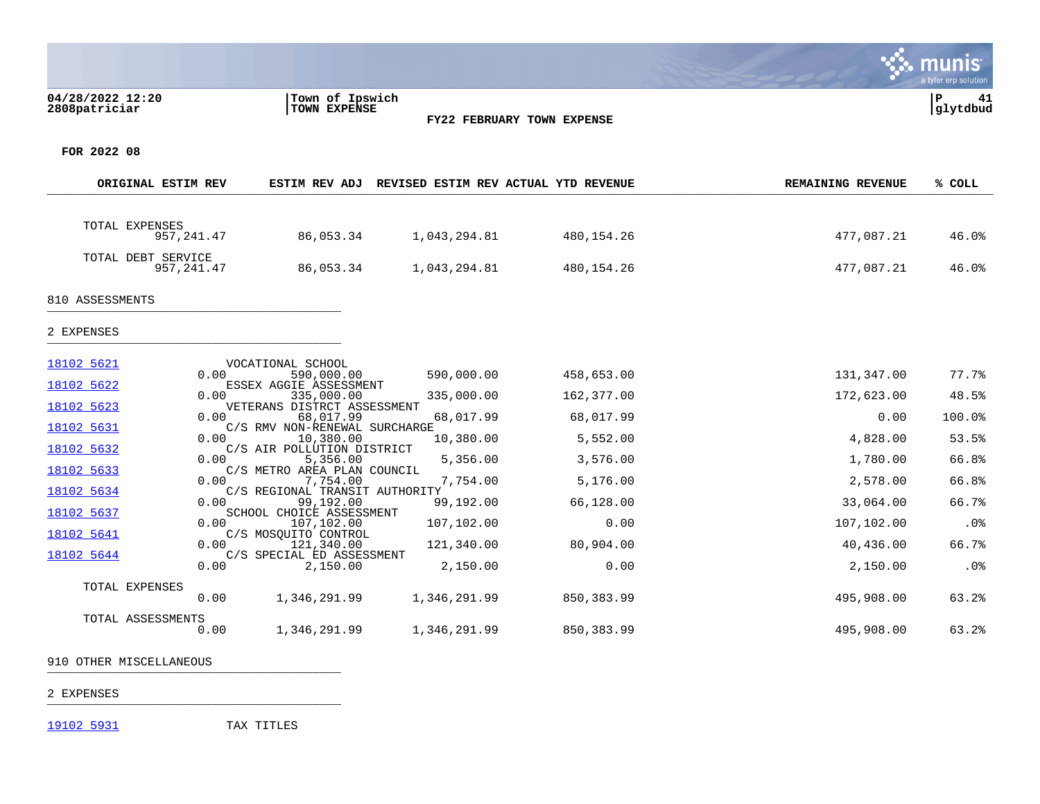## **04/28/2022 12:20 |Town of Ipswich |P 41 2808patriciar |TOWN EXPENSE |glytdbud**





**∵∴** munis

**FOR 2022 08**

| ORIGINAL ESTIM REV |             | <b>ESTIM REV ADJ</b>                        | REVISED ESTIM REV ACTUAL YTD REVENUE |            | <b>REMAINING REVENUE</b> | % COLL |
|--------------------|-------------|---------------------------------------------|--------------------------------------|------------|--------------------------|--------|
|                    |             |                                             |                                      |            |                          |        |
| TOTAL EXPENSES     | 957, 241.47 | 86,053.34                                   | 1,043,294.81                         | 480,154.26 | 477,087.21               | 46.0%  |
| TOTAL DEBT SERVICE | 957, 241.47 | 86,053.34                                   | 1,043,294.81                         | 480,154.26 | 477,087.21               | 46.0%  |
| 810 ASSESSMENTS    |             |                                             |                                      |            |                          |        |
| 2 EXPENSES         |             |                                             |                                      |            |                          |        |
| 18102 5621         | 0.00        | VOCATIONAL SCHOOL<br>590,000.00             | 590,000.00                           | 458,653.00 | 131,347.00               | 77.7%  |
| 18102 5622         | 0.00        | ESSEX AGGIE ASSESSMENT<br>335,000.00        | 335,000.00                           | 162,377.00 | 172,623.00               | 48.5%  |
| 18102 5623         | 0.00        | VETERANS DISTRCT ASSESSMENT<br>68,017.99    | 68,017.99                            | 68,017.99  | 0.00                     | 100.0% |
| 18102 5631         | 0.00        | C/S RMV NON-RENEWAL SURCHARGE<br>10,380.00  | 10,380.00                            | 5,552.00   | 4,828.00                 | 53.5%  |
| 18102 5632         | 0.00        | C/S AIR POLLUTION DISTRICT<br>5,356.00      | 5,356.00                             | 3,576.00   | 1,780.00                 | 66.8%  |
| 18102 5633         | 0.00        | C/S METRO AREA PLAN COUNCIL<br>7,754.00     | 7,754.00                             | 5,176.00   | 2,578.00                 | 66.8%  |
| 18102 5634         | 0.00        | C/S REGIONAL TRANSIT AUTHORITY<br>99,192.00 | 99,192.00                            | 66,128.00  | 33,064.00                | 66.7%  |
| 18102 5637         | 0.00        | SCHOOL CHOICE ASSESSMENT<br>107,102.00      | 107,102.00                           | 0.00       | 107,102.00               | .0%    |
| 18102 5641         | 0.00        | C/S MOSQUITO CONTROL<br>121,340.00          | 121,340.00                           | 80,904.00  | 40,436.00                | 66.7%  |
| 18102 5644         |             | C/S SPECIAL ED ASSESSMENT                   |                                      |            |                          |        |
|                    | 0.00        | 2,150.00                                    | 2,150.00                             | 0.00       | 2,150.00                 | .0%    |
| TOTAL EXPENSES     | 0.00        | 1,346,291.99                                | 1,346,291.99                         | 850,383.99 | 495,908.00               | 63.2%  |
| TOTAL ASSESSMENTS  | 0.00        | 1,346,291.99                                | 1,346,291.99                         | 850,383.99 | 495,908.00               | 63.2%  |

910 OTHER MISCELLANEOUS \_\_\_\_\_\_\_\_\_\_\_\_\_\_\_\_\_\_\_\_\_\_\_\_\_\_\_\_\_\_\_\_\_\_\_\_\_\_\_\_\_

2 EXPENSES \_\_\_\_\_\_\_\_\_\_\_\_\_\_\_\_\_\_\_\_\_\_\_\_\_\_\_\_\_\_\_\_\_\_\_\_\_\_\_\_\_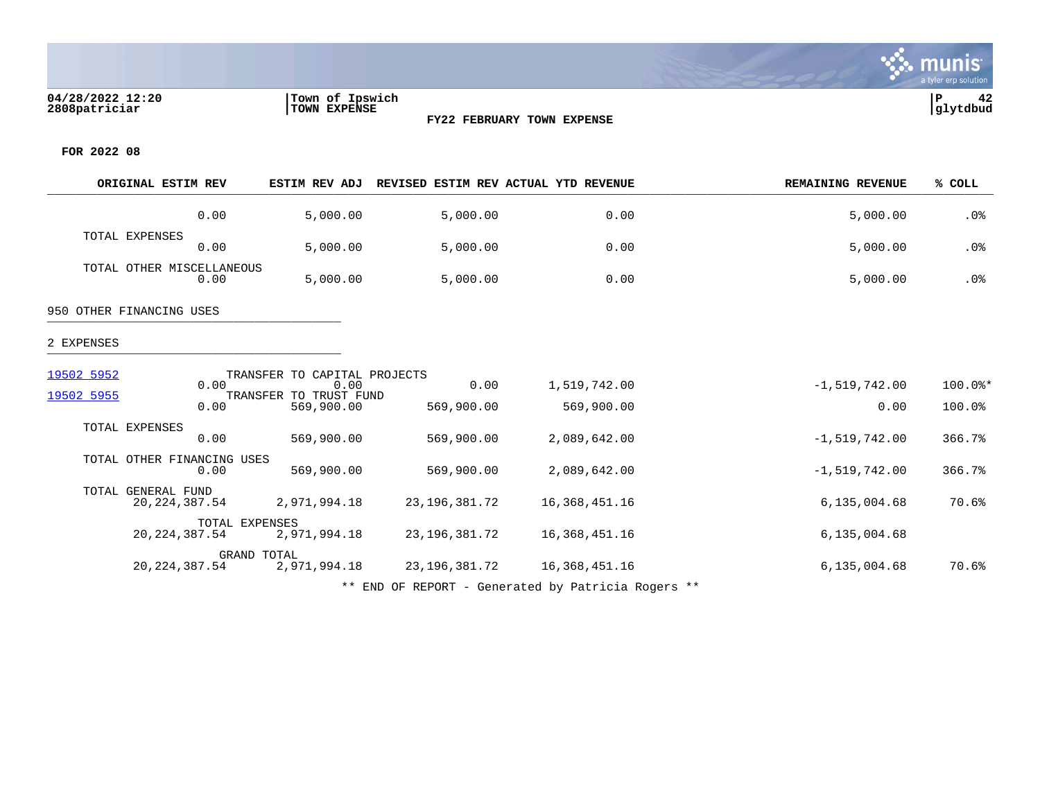

**FOR 2022 08**

|            | ORIGINAL ESTIM REV                    | <b>ESTIM REV ADJ</b>                         |                    | REVISED ESTIM REV ACTUAL YTD REVENUE | <b>REMAINING REVENUE</b> | % COLL            |
|------------|---------------------------------------|----------------------------------------------|--------------------|--------------------------------------|--------------------------|-------------------|
|            | 0.00                                  | 5,000.00                                     | 5,000.00           | 0.00                                 | 5,000.00                 | .0%               |
|            | TOTAL EXPENSES<br>0.00                | 5,000.00                                     | 5,000.00           | 0.00                                 | 5,000.00                 | .0%               |
|            | TOTAL OTHER MISCELLANEOUS<br>0.00     | 5,000.00                                     | 5,000.00           | 0.00                                 | 5,000.00                 | .0%               |
|            | 950 OTHER FINANCING USES              |                                              |                    |                                      |                          |                   |
| 2 EXPENSES |                                       |                                              |                    |                                      |                          |                   |
| 19502 5952 |                                       | TRANSFER TO CAPITAL PROJECTS                 |                    |                                      |                          |                   |
| 19502 5955 | 0.00<br>0.00                          | 0.00<br>TRANSFER TO TRUST FUND<br>569,900.00 | 0.00<br>569,900.00 | 1,519,742.00<br>569,900.00           | $-1,519,742.00$<br>0.00  | 100.0%*<br>100.0% |
|            | TOTAL EXPENSES<br>0.00                | 569,900.00                                   | 569,900.00         | 2,089,642.00                         | $-1,519,742.00$          | 366.7%            |
|            | TOTAL OTHER FINANCING USES<br>0.00    | 569,900.00                                   | 569,900.00         | 2,089,642.00                         | $-1,519,742.00$          | 366.7%            |
|            | TOTAL GENERAL FUND<br>20, 224, 387.54 | 2,971,994.18                                 | 23, 196, 381. 72   | 16,368,451.16                        | 6,135,004.68             | 70.6%             |
|            | 20, 224, 387.54                       | TOTAL EXPENSES<br>2,971,994.18               | 23, 196, 381. 72   | 16,368,451.16                        | 6,135,004.68             |                   |
|            | 20, 224, 387.54                       | GRAND TOTAL<br>2,971,994.18                  | 23, 196, 381. 72   | 16,368,451.16                        | 6,135,004.68             | 70.6%             |

**FY22 FEBRUARY TOWN EXPENSE**

\*\* END OF REPORT - Generated by Patricia Rogers \*\*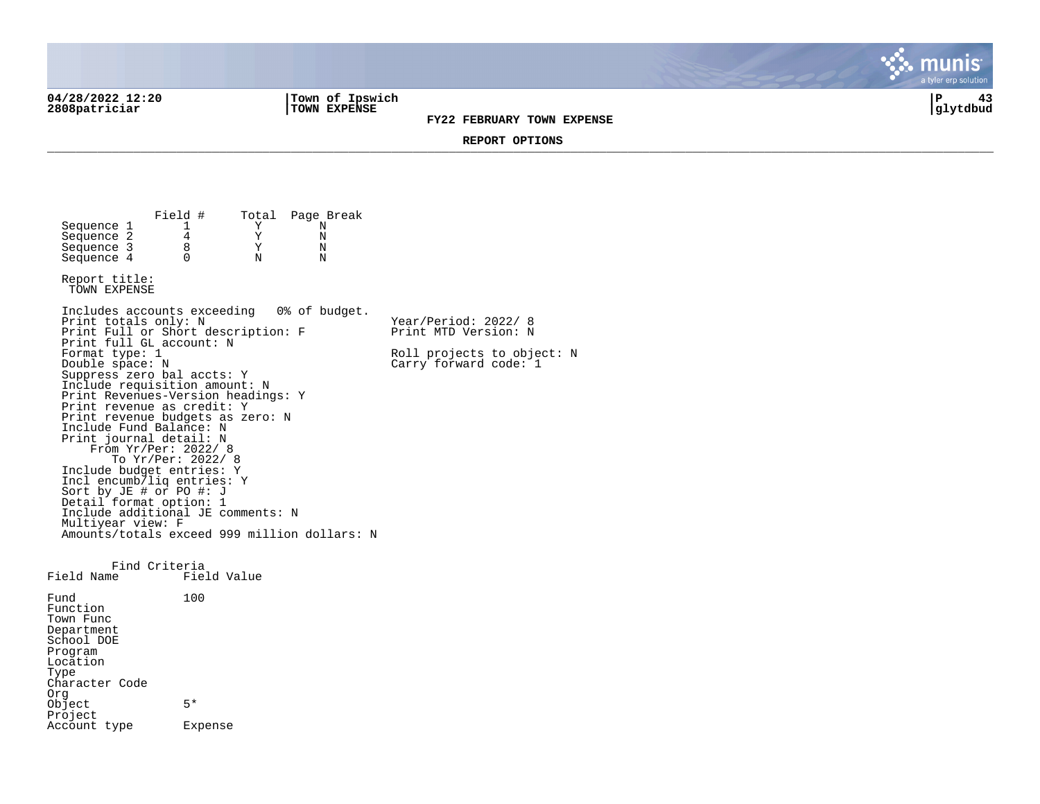**04/28/2022 12:20 |Town of Ipswich |P 43 2808patriciar |TOWN EXPENSE |glytdbud**

Account type Expense

**FY22 FEBRUARY TOWN EXPENSE**

a tyler erp solutior

mu

**REPORT OPTIONS**  \_\_\_\_\_\_\_\_\_\_\_\_\_\_\_\_\_\_\_\_\_\_\_\_\_\_\_\_\_\_\_\_\_\_\_\_\_\_\_\_\_\_\_\_\_\_\_\_\_\_\_\_\_\_\_\_\_\_\_\_\_\_\_\_\_\_\_\_\_\_\_\_\_\_\_\_\_\_\_\_\_\_\_\_\_\_\_\_\_\_\_\_\_\_\_\_\_\_\_\_\_\_\_\_\_\_\_\_\_\_\_\_\_\_\_\_\_\_\_\_\_\_\_\_\_\_\_\_\_\_\_\_

Field # Total Page Break<br>1 Y N Sequence 1 1 1 Y N<br>Sequence 2 4 Y N Sequence 2  $\begin{array}{ccc} 4 & & Y & N \\ 2 & & 8 & Y & N \\ 3 & & 8 & & Y & N \end{array}$ Sequence 3 8 Y N<br>Sequence 4 0 N N  $Sequence 4$ Report title: TOWN EXPENSE Includes accounts exceeding 0% of budget. Print totals only: N Year/Period: 2022/ 8 Print Full or Short description: F Print MTD Version: N Print full GL account: N<br>Format type: 1 Format type: 1 Roll projects to object: N<br>
Double space: N<br>
Carry forward code: 1  $Carry$  forward code:  $1$ Suppress zero bal accts: Y Include requisition amount: N Print Revenues-Version headings: Y Print revenue as credit: Y Print revenue budgets as zero: N Include Fund Balance: N Print journal detail: N From Yr/Per: 2022/ 8 To Yr/Per: 2022/ 8 Include budget entries: Y Incl encumb/liq entries: Y Sort by JE # or PO #: J Detail format option: 1 Include additional JE comments: N Multiyear view: F Amounts/totals exceed 999 million dollars: N Find Criteria<br>Field Name Fiel Field Value Fund 100 Function Town Func Department School DOE Program Location Type Character Code Org Object 5\* Project